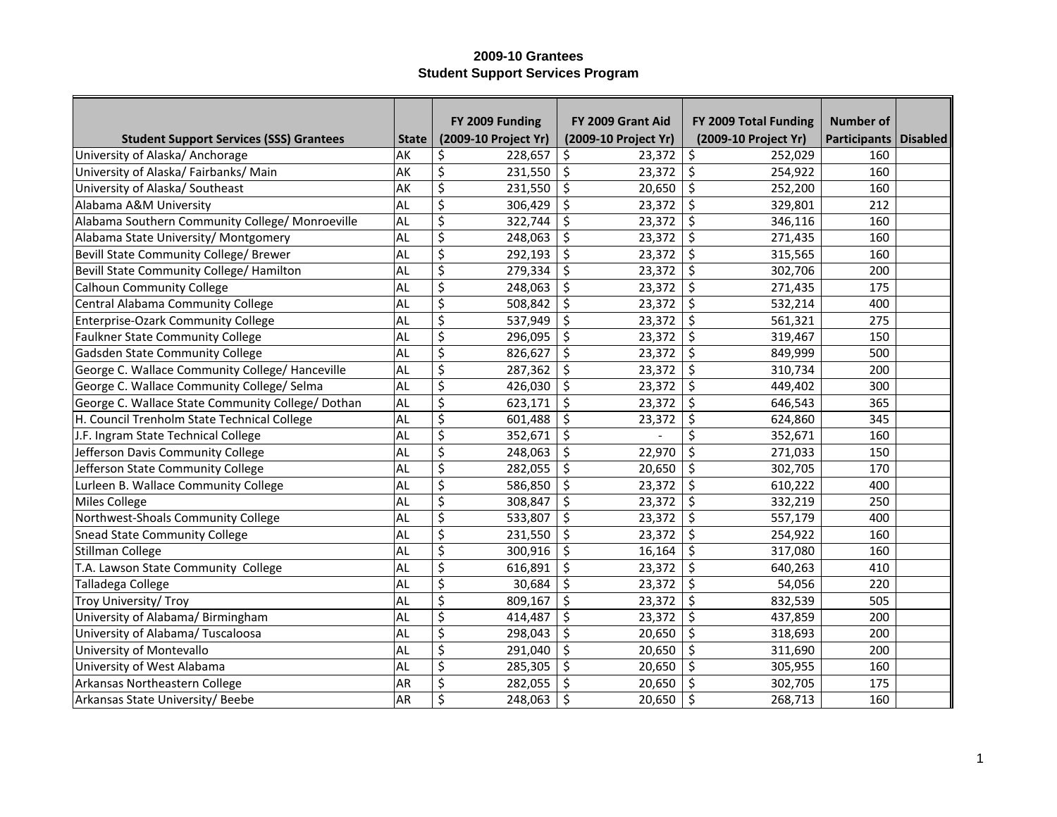|                                                   |              | FY 2009 Funding      | FY 2009 Grant Aid    | FY 2009 Total Funding | <b>Number of</b>        |  |
|---------------------------------------------------|--------------|----------------------|----------------------|-----------------------|-------------------------|--|
| <b>Student Support Services (SSS) Grantees</b>    | <b>State</b> | (2009-10 Project Yr) | (2009-10 Project Yr) | (2009-10 Project Yr)  | Participants   Disabled |  |
| University of Alaska/ Anchorage                   | AK           | 228,657<br>\$        | 23,372<br>\$         | \$<br>252,029         | 160                     |  |
| University of Alaska/Fairbanks/Main               | AK           | \$<br>231,550        | \$<br>23,372         | \$<br>254,922         | 160                     |  |
| University of Alaska/Southeast                    | AK           | \$<br>231,550        | \$<br>20,650         | \$<br>252,200         | 160                     |  |
| Alabama A&M University                            | AL           | \$<br>306,429        | \$<br>23,372         | \$<br>329,801         | 212                     |  |
| Alabama Southern Community College/ Monroeville   | <b>AL</b>    | \$<br>322,744        | \$<br>23,372         | \$<br>346,116         | 160                     |  |
| Alabama State University/ Montgomery              | AL           | \$<br>248,063        | \$<br>23,372         | \$<br>271,435         | 160                     |  |
| Bevill State Community College/ Brewer            | AL           | \$<br>292,193        | \$<br>23,372         | \$<br>315,565         | 160                     |  |
| Bevill State Community College/ Hamilton          | AL           | \$<br>279,334        | \$<br>23,372         | $\zeta$<br>302,706    | 200                     |  |
| <b>Calhoun Community College</b>                  | AL           | \$<br>248,063        | \$<br>23,372         | \$<br>271,435         | 175                     |  |
| Central Alabama Community College                 | AL           | \$<br>508,842        | \$<br>23,372         | $\zeta$<br>532,214    | 400                     |  |
| Enterprise-Ozark Community College                | AL           | \$<br>537,949        | \$<br>23,372         | \$<br>561,321         | 275                     |  |
| <b>Faulkner State Community College</b>           | AL           | \$<br>296,095        | \$<br>23,372         | \$<br>319,467         | 150                     |  |
| Gadsden State Community College                   | AL           | \$<br>826,627        | \$<br>23,372         | \$<br>849,999         | 500                     |  |
| George C. Wallace Community College/ Hanceville   | AL           | \$<br>287,362        | \$<br>23,372         | \$<br>310,734         | 200                     |  |
| George C. Wallace Community College/ Selma        | <b>AL</b>    | \$<br>426,030        | \$<br>23,372         | \$<br>449,402         | 300                     |  |
| George C. Wallace State Community College/ Dothan | AL           | \$<br>623,171        | \$<br>23,372         | \$<br>646,543         | 365                     |  |
| H. Council Trenholm State Technical College       | AL           | \$<br>601,488        | \$<br>23,372         | \$<br>624,860         | 345                     |  |
| J.F. Ingram State Technical College               | AL           | \$<br>352,671        | \$                   | \$<br>352,671         | 160                     |  |
| Jefferson Davis Community College                 | <b>AL</b>    | \$<br>248,063        | \$<br>22,970         | \$<br>271,033         | 150                     |  |
| Jefferson State Community College                 | <b>AL</b>    | \$<br>282,055        | \$<br>20,650         | \$<br>302,705         | 170                     |  |
| Lurleen B. Wallace Community College              | AL           | \$<br>586,850        | \$<br>23,372         | \$<br>610,222         | 400                     |  |
| Miles College                                     | AL           | \$<br>308,847        | \$<br>23,372         | \$<br>332,219         | 250                     |  |
| Northwest-Shoals Community College                | AL           | \$<br>533,807        | \$<br>23,372         | \$<br>557,179         | 400                     |  |
| <b>Snead State Community College</b>              | <b>AL</b>    | \$<br>231,550        | \$<br>23,372         | \$<br>254,922         | 160                     |  |
| Stillman College                                  | <b>AL</b>    | \$<br>300,916        | \$<br>16,164         | \$<br>317,080         | 160                     |  |
| T.A. Lawson State Community College               | AL           | \$<br>616,891        | \$<br>23,372         | \$<br>640,263         | 410                     |  |
| Talladega College                                 | AL           | \$<br>30,684         | \$<br>23,372         | \$<br>54,056          | 220                     |  |
| Troy University/ Troy                             | AL           | \$<br>809,167        | \$<br>23,372         | \$<br>832,539         | 505                     |  |
| University of Alabama/ Birmingham                 | AL           | \$<br>414,487        | \$<br>23,372         | \$<br>437,859         | 200                     |  |
| University of Alabama/ Tuscaloosa                 | AL           | \$<br>298,043        | \$<br>20,650         | \$<br>318,693         | 200                     |  |
| University of Montevallo                          | AL           | \$<br>291,040        | \$<br>20,650         | \$<br>311,690         | 200                     |  |
| University of West Alabama                        | AL           | \$<br>285,305        | \$<br>20,650         | \$<br>305,955         | 160                     |  |
| Arkansas Northeastern College                     | AR           | \$<br>282,055        | \$<br>20,650         | 302,705               | 175                     |  |
| Arkansas State University/ Beebe                  | AR           | \$<br>248,063        | \$<br>20,650         | \$<br>268,713         | 160                     |  |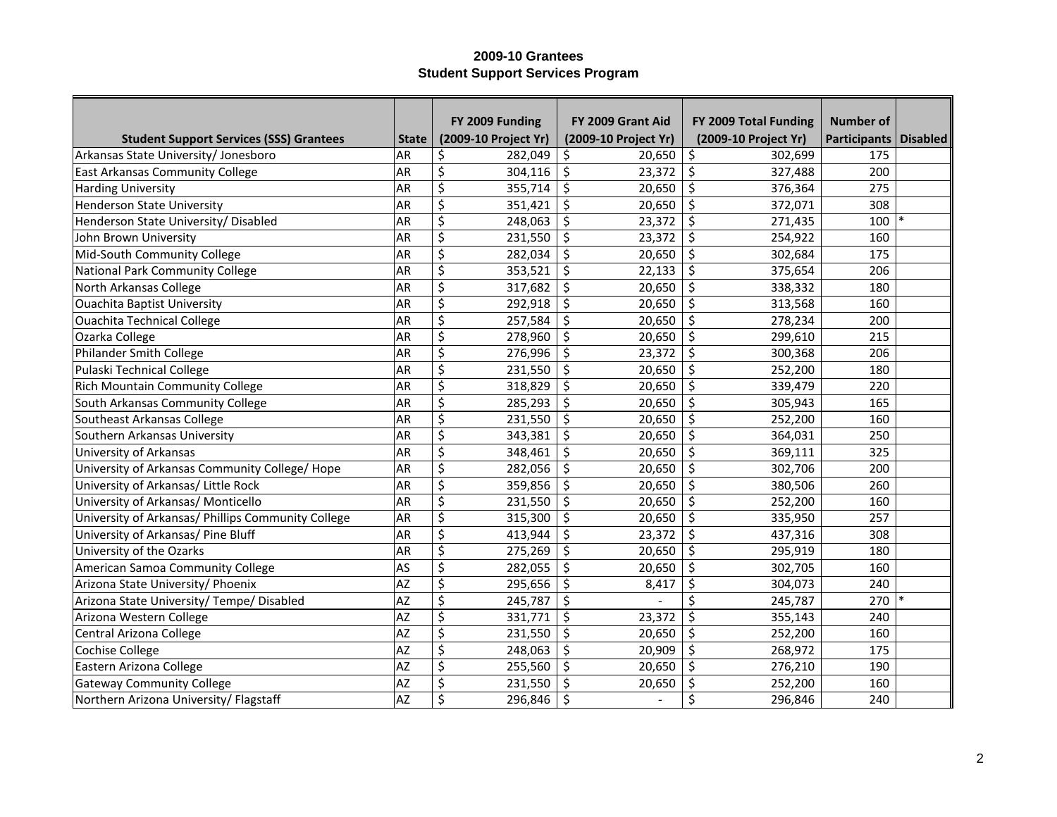|                                                    |              | FY 2009 Funding      | FY 2009 Grant Aid    | FY 2009 Total Funding | <b>Number of</b>        |  |
|----------------------------------------------------|--------------|----------------------|----------------------|-----------------------|-------------------------|--|
| <b>Student Support Services (SSS) Grantees</b>     | <b>State</b> | (2009-10 Project Yr) | (2009-10 Project Yr) | (2009-10 Project Yr)  | Participants   Disabled |  |
| Arkansas State University/ Jonesboro               | AR           | 282,049<br>\$        | 20,650<br>\$         | \$<br>302,699         | 175                     |  |
| <b>East Arkansas Community College</b>             | AR           | \$<br>304,116        | \$<br>23,372         | \$<br>327,488         | 200                     |  |
| <b>Harding University</b>                          | AR           | \$<br>355,714        | \$<br>20,650         | \$<br>376,364         | 275                     |  |
| <b>Henderson State University</b>                  | AR           | \$<br>351,421        | \$<br>20,650         | \$<br>372,071         | 308                     |  |
| Henderson State University/ Disabled               | <b>AR</b>    | \$<br>248,063        | \$<br>23,372         | \$<br>271,435         | 100                     |  |
| John Brown University                              | <b>AR</b>    | \$<br>231,550        | \$<br>23,372         | \$<br>254,922         | 160                     |  |
| Mid-South Community College                        | AR           | \$<br>282,034        | \$<br>20,650         | \$<br>302,684         | 175                     |  |
| <b>National Park Community College</b>             | <b>AR</b>    | \$<br>353,521        | \$<br>22,133         | $\zeta$<br>375,654    | 206                     |  |
| North Arkansas College                             | <b>AR</b>    | \$<br>317,682        | \$<br>20,650         | \$<br>338,332         | 180                     |  |
| <b>Ouachita Baptist University</b>                 | <b>AR</b>    | \$<br>292,918        | \$<br>20,650         | \$<br>313,568         | 160                     |  |
| <b>Ouachita Technical College</b>                  | <b>AR</b>    | \$<br>257,584        | \$<br>20,650         | \$<br>278,234         | 200                     |  |
| Ozarka College                                     | <b>AR</b>    | \$<br>278,960        | \$<br>20,650         | $\zeta$<br>299,610    | 215                     |  |
| Philander Smith College                            | AR           | \$<br>276,996        | \$<br>23,372         | \$<br>300,368         | 206                     |  |
| Pulaski Technical College                          | AR           | \$<br>231,550        | \$<br>20,650         | \$<br>252,200         | 180                     |  |
| <b>Rich Mountain Community College</b>             | AR           | \$<br>318,829        | \$<br>20,650         | \$<br>339,479         | 220                     |  |
| South Arkansas Community College                   | <b>AR</b>    | \$<br>285,293        | \$<br>20,650         | $\zeta$<br>305,943    | 165                     |  |
| Southeast Arkansas College                         | AR           | \$<br>231,550        | \$<br>20,650         | \$<br>252,200         | 160                     |  |
| Southern Arkansas University                       | AR           | \$<br>343,381        | \$<br>20,650         | \$<br>364,031         | 250                     |  |
| University of Arkansas                             | <b>AR</b>    | \$<br>348,461        | \$<br>20,650         | \$<br>369,111         | 325                     |  |
| University of Arkansas Community College/ Hope     | <b>AR</b>    | \$<br>282,056        | \$<br>20,650         | \$<br>302,706         | 200                     |  |
| University of Arkansas/ Little Rock                | <b>AR</b>    | \$<br>359,856        | \$<br>20,650         | \$<br>380,506         | 260                     |  |
| University of Arkansas/ Monticello                 | AR           | \$<br>231,550        | \$<br>20,650         | \$<br>252,200         | 160                     |  |
| University of Arkansas/ Phillips Community College | <b>AR</b>    | \$<br>315,300        | \$<br>20,650         | \$<br>335,950         | 257                     |  |
| University of Arkansas/ Pine Bluff                 | AR           | \$<br>413,944        | \$<br>23,372         | \$<br>437,316         | 308                     |  |
| University of the Ozarks                           | AR           | \$<br>275,269        | \$<br>20,650         | \$<br>295,919         | 180                     |  |
| American Samoa Community College                   | AS           | \$<br>282,055        | \$<br>20,650         | \$<br>302,705         | 160                     |  |
| Arizona State University/ Phoenix                  | <b>AZ</b>    | \$<br>295,656        | \$<br>8,417          | \$<br>304,073         | 240                     |  |
| Arizona State University/ Tempe/ Disabled          | AZ           | \$<br>245,787        | \$                   | \$<br>245,787         | 270                     |  |
| Arizona Western College                            | AZ           | \$<br>331,771        | \$<br>23,372         | \$<br>355,143         | 240                     |  |
| Central Arizona College                            | AZ           | \$<br>231,550        | \$<br>20,650         | \$<br>252,200         | 160                     |  |
| <b>Cochise College</b>                             | AZ           | \$<br>248,063        | \$<br>20,909         | \$<br>268,972         | 175                     |  |
| Eastern Arizona College                            | AZ           | \$<br>255,560        | \$<br>20,650         | \$<br>276,210         | 190                     |  |
| <b>Gateway Community College</b>                   | <b>AZ</b>    | \$<br>231,550        | \$<br>20,650         | 252,200               | 160                     |  |
| Northern Arizona University/ Flagstaff             | AZ           | \$<br>296,846        | \$<br>$\blacksquare$ | \$<br>296,846         | 240                     |  |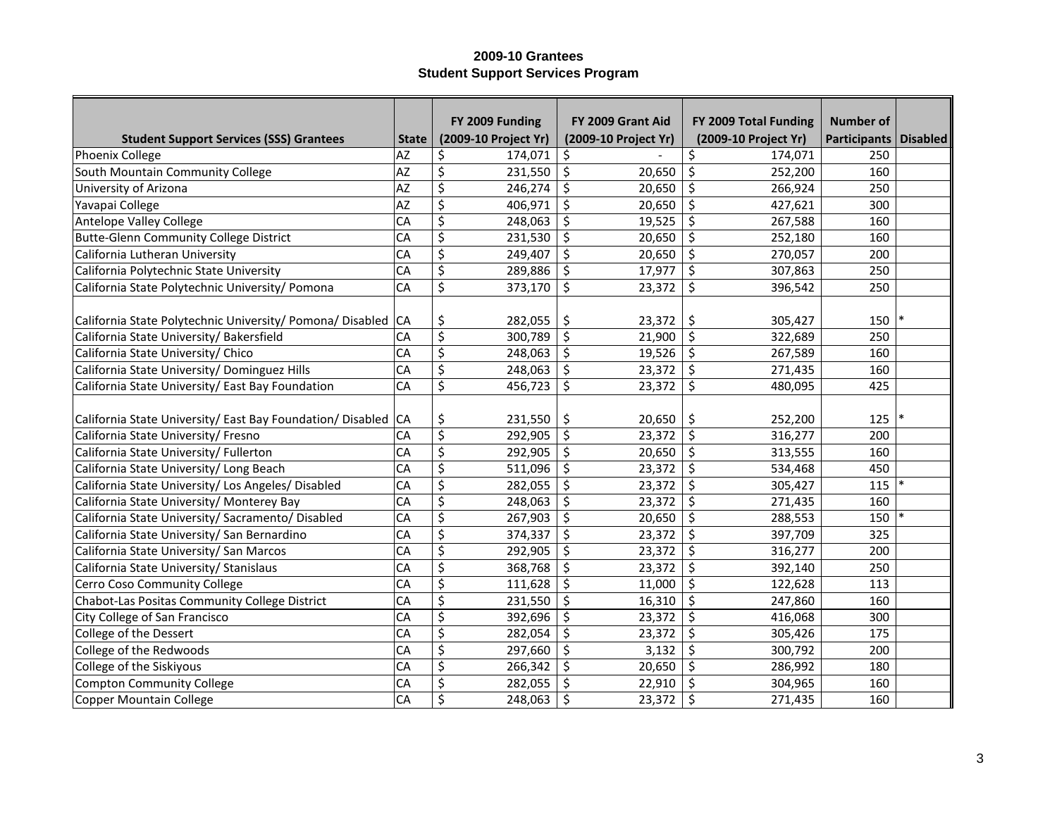|                                                            |              | FY 2009 Funding                   | FY 2009 Grant Aid    | FY 2009 Total Funding             | <b>Number of</b>        |  |
|------------------------------------------------------------|--------------|-----------------------------------|----------------------|-----------------------------------|-------------------------|--|
| <b>Student Support Services (SSS) Grantees</b>             | <b>State</b> | (2009-10 Project Yr)              | (2009-10 Project Yr) | (2009-10 Project Yr)              | Participants   Disabled |  |
| Phoenix College                                            | AZ           | \$<br>174,071                     | \$                   | \$<br>174,071                     | 250                     |  |
| South Mountain Community College                           | AZ           | \$<br>231,550                     | \$<br>20,650         | \$<br>252,200                     | 160                     |  |
| University of Arizona                                      | AZ           | \$<br>246,274                     | \$<br>20,650         | \$<br>266,924                     | 250                     |  |
| Yavapai College                                            | AZ           | \$<br>406,971                     | \$<br>20,650         | \$<br>427,621                     | 300                     |  |
| Antelope Valley College                                    | CA           | \$<br>248,063                     | \$<br>19,525         | \$<br>267,588                     | 160                     |  |
| <b>Butte-Glenn Community College District</b>              | CA           | \$<br>231,530                     | \$<br>20,650         | $\zeta$<br>252,180                | 160                     |  |
| California Lutheran University                             | CA           | \$<br>249,407                     | \$<br>20,650         | $\zeta$<br>270,057                | 200                     |  |
| California Polytechnic State University                    | CA           | \$<br>289,886                     | \$<br>17,977         | $\zeta$<br>307,863                | 250                     |  |
| California State Polytechnic University/ Pomona            | CA           | $\overline{\xi}$<br>373,170       | \$<br>23,372         | $\zeta$<br>396,542                | 250                     |  |
|                                                            |              |                                   |                      |                                   |                         |  |
| California State Polytechnic University/ Pomona/ Disabled  | <b>CA</b>    | \$<br>282,055                     | \$<br>23,372         | \$<br>305,427                     | 150                     |  |
| California State University/ Bakersfield                   | CA           | \$<br>300,789                     | \$<br>21,900         | $\zeta$<br>322,689                | 250                     |  |
| California State University/ Chico                         | CA           | $\overline{\varsigma}$<br>248,063 | \$<br>19,526         | $\zeta$<br>267,589                | 160                     |  |
| California State University/ Dominguez Hills               | CA           | \$<br>248,063                     | \$<br>23,372         | $\zeta$<br>271,435                | 160                     |  |
| California State University/ East Bay Foundation           | CA           | \$<br>456,723                     | \$<br>23,372         | \$<br>480,095                     | 425                     |  |
|                                                            |              |                                   |                      |                                   |                         |  |
| California State University/ East Bay Foundation/ Disabled | <b>CA</b>    | \$<br>231,550                     | \$<br>20,650         | \$<br>252,200                     | 125                     |  |
| California State University/ Fresno                        | CA           | \$<br>292,905                     | \$<br>23,372         | $\zeta$<br>316,277                | 200                     |  |
| California State University/ Fullerton                     | CA           | \$<br>292,905                     | \$<br>20,650         | $\zeta$<br>313,555                | 160                     |  |
| California State University/ Long Beach                    | CA           | \$<br>511,096                     | \$<br>23,372         | $\zeta$<br>534,468                | 450                     |  |
| California State University/ Los Angeles/ Disabled         | CA           | \$<br>282,055                     | \$<br>23,372         | \$<br>305,427                     | 115                     |  |
| California State University/ Monterey Bay                  | CA           | \$<br>248,063                     | \$<br>23,372         | \$<br>271,435                     | 160                     |  |
| California State University/ Sacramento/ Disabled          | CA           | \$<br>267,903                     | \$<br>20,650         | $\zeta$<br>288,553                | 150                     |  |
| California State University/ San Bernardino                | CA           | \$<br>374,337                     | \$<br>23,372         | \$<br>397,709                     | 325                     |  |
| California State University/ San Marcos                    | CA           | \$<br>292,905                     | \$<br>23,372         | \$<br>316,277                     | 200                     |  |
| California State University/ Stanislaus                    | CA           | \$<br>368,768                     | \$<br>23,372         | \$<br>392,140                     | 250                     |  |
| Cerro Coso Community College                               | CA           | \$<br>111,628                     | \$<br>11,000         | $\zeta$<br>122,628                | 113                     |  |
| Chabot-Las Positas Community College District              | CA           | \$<br>231,550                     | \$<br>16,310         | \$<br>247,860                     | 160                     |  |
| City College of San Francisco                              | CA           | \$<br>392,696                     | \$<br>23,372         | \$<br>416,068                     | 300                     |  |
| College of the Dessert                                     | CA           | \$<br>282,054                     | \$<br>23,372         | \$<br>305,426                     | 175                     |  |
| College of the Redwoods                                    | CA           | \$<br>297,660                     | \$<br>3,132          | $\overline{\varsigma}$<br>300,792 | 200                     |  |
| College of the Siskiyous                                   | CA           | \$<br>266,342                     | \$<br>20,650         | \$<br>286,992                     | 180                     |  |
| Compton Community College                                  | CA           | \$<br>282,055                     | \$<br>22,910         | \$<br>304,965                     | 160                     |  |
| Copper Mountain College                                    | CA           | \$<br>248,063                     | \$<br>23,372         | \$<br>271,435                     | 160                     |  |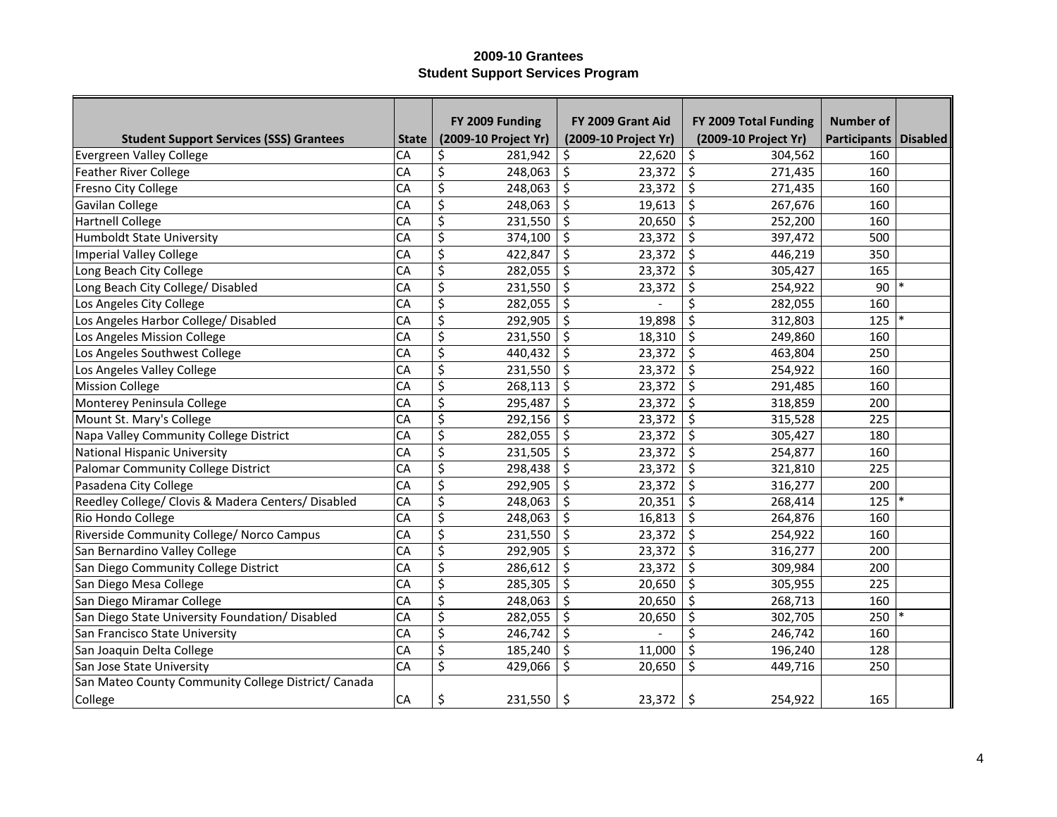|                                                     |                 | FY 2009 Funding      | FY 2009 Grant Aid    | FY 2009 Total Funding | <b>Number of</b>        |  |
|-----------------------------------------------------|-----------------|----------------------|----------------------|-----------------------|-------------------------|--|
| <b>Student Support Services (SSS) Grantees</b>      | <b>State</b>    | (2009-10 Project Yr) | (2009-10 Project Yr) | (2009-10 Project Yr)  | Participants   Disabled |  |
| <b>Evergreen Valley College</b>                     | CA              | \$<br>281,942        | \$<br>22,620         | \$<br>304,562         | 160                     |  |
| <b>Feather River College</b>                        | CA              | \$<br>248,063        | \$<br>23,372         | \$<br>271,435         | 160                     |  |
| Fresno City College                                 | CA              | \$<br>248,063        | \$<br>23,372         | \$<br>271,435         | 160                     |  |
| Gavilan College                                     | CA              | \$<br>248,063        | \$<br>19,613         | \$<br>267,676         | 160                     |  |
| <b>Hartnell College</b>                             | CA              | \$<br>231,550        | \$<br>20,650         | \$<br>252,200         | 160                     |  |
| <b>Humboldt State University</b>                    | CA              | \$<br>374,100        | \$<br>23,372         | \$<br>397,472         | 500                     |  |
| <b>Imperial Valley College</b>                      | CA              | \$<br>422,847        | \$<br>23,372         | \$<br>446,219         | 350                     |  |
| Long Beach City College                             | CA              | \$<br>282,055        | \$<br>23,372         | $\zeta$<br>305,427    | 165                     |  |
| Long Beach City College/ Disabled                   | CA              | \$<br>231,550        | \$<br>23,372         | \$<br>254,922         | 90                      |  |
| Los Angeles City College                            | CA              | \$<br>282,055        | \$                   | \$<br>282,055         | 160                     |  |
| Los Angeles Harbor College/ Disabled                | CA              | \$<br>292,905        | \$<br>19,898         | \$<br>312,803         | 125                     |  |
| Los Angeles Mission College                         | CA              | \$<br>231,550        | \$<br>18,310         | \$<br>249,860         | 160                     |  |
| Los Angeles Southwest College                       | CA              | \$<br>440,432        | \$<br>23,372         | \$<br>463,804         | 250                     |  |
| Los Angeles Valley College                          | CA              | \$<br>231,550        | \$<br>23,372         | \$<br>254,922         | 160                     |  |
| <b>Mission College</b>                              | CA              | \$<br>268,113        | \$<br>23,372         | \$<br>291,485         | 160                     |  |
| Monterey Peninsula College                          | CA              | \$<br>295,487        | \$<br>23,372         | \$<br>318,859         | 200                     |  |
| Mount St. Mary's College                            | CA              | \$<br>292,156        | \$<br>23,372         | \$<br>315,528         | 225                     |  |
| Napa Valley Community College District              | CA              | \$<br>282,055        | \$<br>23,372         | \$<br>305,427         | 180                     |  |
| <b>National Hispanic University</b>                 | CA              | \$<br>231,505        | \$<br>23,372         | \$<br>254,877         | 160                     |  |
| Palomar Community College District                  | CA              | \$<br>298,438        | \$<br>23,372         | \$<br>321,810         | 225                     |  |
| Pasadena City College                               | CA              | \$<br>292,905        | \$<br>23,372         | \$<br>316,277         | 200                     |  |
| Reedley College/ Clovis & Madera Centers/ Disabled  | CA              | \$<br>248,063        | \$<br>20,351         | \$<br>268,414         | 125                     |  |
| Rio Hondo College                                   | CA              | \$<br>248,063        | \$<br>16,813         | \$<br>264,876         | 160                     |  |
| Riverside Community College/ Norco Campus           | CA              | \$<br>231,550        | \$<br>23,372         | \$<br>254,922         | 160                     |  |
| San Bernardino Valley College                       | CA              | \$<br>292,905        | \$<br>23,372         | \$<br>316,277         | 200                     |  |
| San Diego Community College District                | CA              | \$<br>286,612        | \$<br>23,372         | \$<br>309,984         | 200                     |  |
| San Diego Mesa College                              | CA              | \$<br>285,305        | \$<br>20,650         | \$<br>305,955         | 225                     |  |
| San Diego Miramar College                           | CA              | \$<br>248,063        | \$<br>20,650         | \$<br>268,713         | 160                     |  |
| San Diego State University Foundation/ Disabled     | CA              | \$<br>282,055        | \$<br>20,650         | \$<br>302,705         | 250                     |  |
| San Francisco State University                      | CA              | \$<br>246,742        | \$                   | \$<br>246,742         | 160                     |  |
| San Joaquin Delta College                           | CA              | \$<br>185,240        | \$<br>11,000         | \$<br>196,240         | 128                     |  |
| San Jose State University                           | $\overline{CA}$ | \$<br>429,066        | \$<br>20,650         | \$<br>449,716         | 250                     |  |
| San Mateo County Community College District/ Canada |                 |                      |                      |                       |                         |  |
| College                                             | <b>CA</b>       | \$<br>231,550        | \$<br>23,372         | \$<br>254,922         | 165                     |  |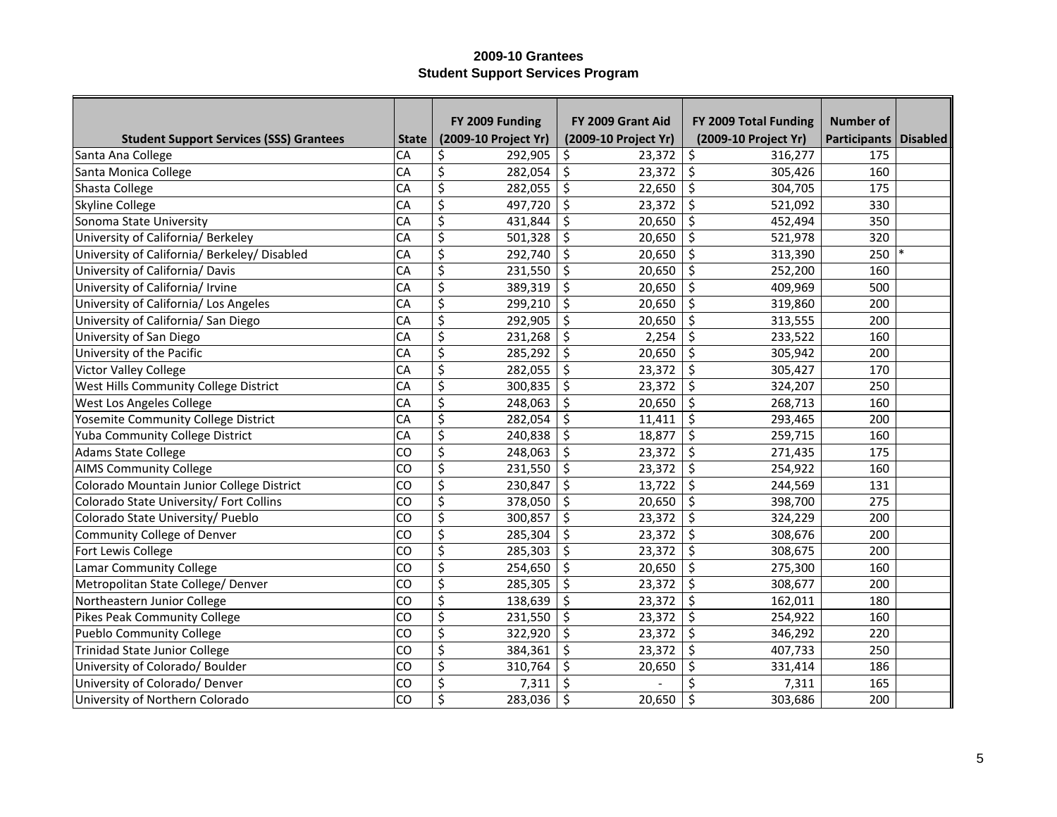|                                                |              | FY 2009 Funding                   | FY 2009 Grant Aid    | FY 2009 Total Funding | <b>Number of</b> |                 |
|------------------------------------------------|--------------|-----------------------------------|----------------------|-----------------------|------------------|-----------------|
| <b>Student Support Services (SSS) Grantees</b> | <b>State</b> | (2009-10 Project Yr)              | (2009-10 Project Yr) | (2009-10 Project Yr)  | Participants     | <b>Disabled</b> |
| Santa Ana College                              | CA           | \$<br>292,905                     | \$<br>23,372         | \$<br>316,277         | 175              |                 |
| Santa Monica College                           | CA           | \$<br>282,054                     | \$<br>23,372         | $\zeta$<br>305,426    | 160              |                 |
| Shasta College                                 | CA           | \$<br>282,055                     | \$<br>22,650         | $\zeta$<br>304,705    | 175              |                 |
| <b>Skyline College</b>                         | CA           | \$<br>497,720                     | \$<br>23,372         | $\zeta$<br>521,092    | 330              |                 |
| Sonoma State University                        | CA           | $\overline{\varsigma}$<br>431,844 | \$<br>20,650         | $\zeta$<br>452,494    | 350              |                 |
| University of California/ Berkeley             | CA           | $\overline{\varsigma}$<br>501,328 | \$<br>20,650         | $\zeta$<br>521,978    | 320              |                 |
| University of California/ Berkeley/ Disabled   | CA           | \$<br>292,740                     | \$<br>20,650         | $\zeta$<br>313,390    | 250              |                 |
| University of California/ Davis                | CA           | \$<br>231,550                     | \$<br>20,650         | $\zeta$<br>252,200    | 160              |                 |
| University of California/ Irvine               | CA           | \$<br>389,319                     | \$<br>20,650         | $\zeta$<br>409,969    | 500              |                 |
| University of California/ Los Angeles          | CA           | \$<br>299,210                     | \$<br>20,650         | $\zeta$<br>319,860    | 200              |                 |
| University of California/ San Diego            | CA           | \$<br>292,905                     | \$<br>20,650         | $\zeta$<br>313,555    | 200              |                 |
| University of San Diego                        | CA           | \$<br>231,268                     | \$<br>2,254          | $\zeta$<br>233,522    | 160              |                 |
| University of the Pacific                      | CA           | \$<br>285,292                     | \$<br>20,650         | $\zeta$<br>305,942    | 200              |                 |
| Victor Valley College                          | CA           | \$<br>282,055                     | \$<br>23,372         | $\zeta$<br>305,427    | 170              |                 |
| West Hills Community College District          | CA           | \$<br>300,835                     | \$<br>23,372         | \$<br>324,207         | 250              |                 |
| West Los Angeles College                       | CA           | \$<br>248,063                     | \$<br>20,650         | $\zeta$<br>268,713    | 160              |                 |
| Yosemite Community College District            | CA           | \$<br>282,054                     | \$<br>11,411         | $\zeta$<br>293,465    | 200              |                 |
| Yuba Community College District                | CA           | \$<br>240,838                     | \$<br>18,877         | \$<br>259,715         | 160              |                 |
| <b>Adams State College</b>                     | CO           | \$<br>248,063                     | \$<br>23,372         | \$<br>271,435         | 175              |                 |
| <b>AIMS Community College</b>                  | CO           | \$<br>231,550                     | \$<br>23,372         | \$<br>254,922         | 160              |                 |
| Colorado Mountain Junior College District      | CO           | \$<br>230,847                     | \$<br>13,722         | \$<br>244,569         | 131              |                 |
| Colorado State University/ Fort Collins        | CO           | \$<br>378,050                     | \$<br>20,650         | $\zeta$<br>398,700    | 275              |                 |
| Colorado State University/ Pueblo              | CO           | \$<br>300,857                     | \$<br>23,372         | \$<br>324,229         | 200              |                 |
| <b>Community College of Denver</b>             | CO           | \$<br>285,304                     | \$<br>23,372         | \$<br>308,676         | 200              |                 |
| Fort Lewis College                             | CO           | \$<br>285,303                     | \$<br>23,372         | \$<br>308,675         | 200              |                 |
| Lamar Community College                        | CO           | \$<br>254,650                     | \$<br>20,650         | \$<br>275,300         | 160              |                 |
| Metropolitan State College/ Denver             | CO           | \$<br>285,305                     | \$<br>23,372         | $\zeta$<br>308,677    | 200              |                 |
| Northeastern Junior College                    | CO           | \$<br>138,639                     | \$<br>23,372         | \$<br>162,011         | 180              |                 |
| <b>Pikes Peak Community College</b>            | CO           | \$<br>231,550                     | \$<br>23,372         | \$<br>254,922         | 160              |                 |
| <b>Pueblo Community College</b>                | CO           | \$<br>322,920                     | \$<br>23,372         | $\zeta$<br>346,292    | 220              |                 |
| <b>Trinidad State Junior College</b>           | CO           | \$<br>384,361                     | \$<br>23,372         | $\zeta$<br>407,733    | 250              |                 |
| University of Colorado/ Boulder                | CO           | \$<br>310,764                     | \$<br>20,650         | \$<br>331,414         | 186              |                 |
| University of Colorado/ Denver                 | CO           | \$<br>7,311                       | \$                   | \$<br>7,311           | 165              |                 |
| University of Northern Colorado                | <b>CO</b>    | \$<br>283,036                     | \$<br>20,650         | \$<br>303,686         | 200              |                 |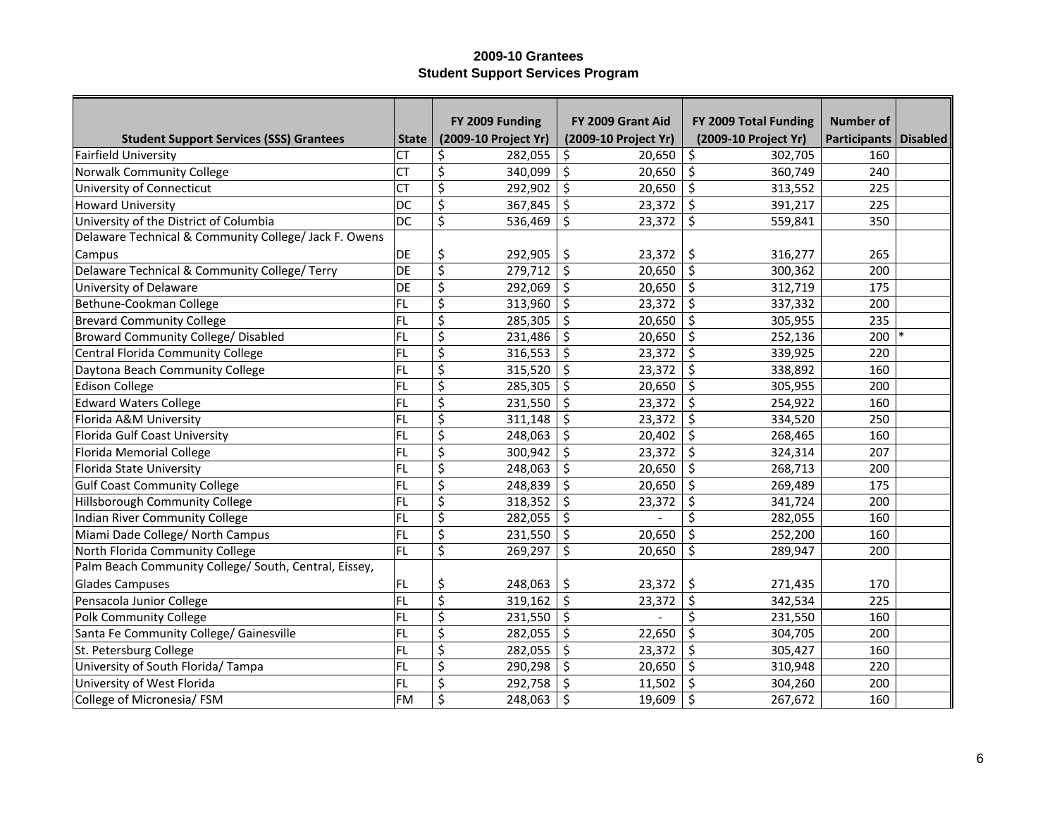|                                                       |                 | FY 2009 Funding      | FY 2009 Grant Aid    | FY 2009 Total Funding | <b>Number of</b>      |  |
|-------------------------------------------------------|-----------------|----------------------|----------------------|-----------------------|-----------------------|--|
| <b>Student Support Services (SSS) Grantees</b>        | <b>State</b>    | (2009-10 Project Yr) | (2009-10 Project Yr) | (2009-10 Project Yr)  | Participants Disabled |  |
| <b>Fairfield University</b>                           | <b>CT</b>       | \$<br>282,055        | \$<br>20,650         | \$<br>302,705         | 160                   |  |
| <b>Norwalk Community College</b>                      | <b>CT</b>       | \$<br>340,099        | \$<br>20,650         | $\zeta$<br>360,749    | 240                   |  |
| University of Connecticut                             | <b>CT</b>       | \$<br>292,902        | \$<br>20,650         | $\zeta$<br>313,552    | 225                   |  |
| <b>Howard University</b>                              | DC              | \$<br>367,845        | \$<br>23,372         | \$<br>391,217         | 225                   |  |
| University of the District of Columbia                | $\overline{DC}$ | \$<br>536,469        | \$<br>23,372         | $\zeta$<br>559,841    | 350                   |  |
| Delaware Technical & Community College/ Jack F. Owens |                 |                      |                      |                       |                       |  |
| Campus                                                | DE              | \$<br>292,905        | \$<br>23,372         | \$<br>316,277         | 265                   |  |
| Delaware Technical & Community College/ Terry         | DE              | \$<br>279,712        | \$<br>20,650         | $\zeta$<br>300,362    | 200                   |  |
| University of Delaware                                | DE              | \$<br>292,069        | \$<br>20,650         | $\zeta$<br>312,719    | 175                   |  |
| Bethune-Cookman College                               | FL              | \$<br>313,960        | \$<br>23,372         | $\zeta$<br>337,332    | 200                   |  |
| <b>Brevard Community College</b>                      | FL              | \$<br>285,305        | \$<br>20,650         | $\zeta$<br>305,955    | 235                   |  |
| <b>Broward Community College/ Disabled</b>            | FL              | \$<br>231,486        | \$<br>20,650         | \$<br>252,136         | 200                   |  |
| Central Florida Community College                     | FL              | \$<br>316,553        | \$<br>23,372         | \$<br>339,925         | 220                   |  |
| Daytona Beach Community College                       | FL              | \$<br>315,520        | \$<br>23,372         | $\zeta$<br>338,892    | 160                   |  |
| <b>Edison College</b>                                 | FL              | \$<br>285,305        | \$<br>20,650         | $\zeta$<br>305,955    | 200                   |  |
| <b>Edward Waters College</b>                          | <b>FL</b>       | \$<br>231,550        | \$<br>23,372         | $\zeta$<br>254,922    | 160                   |  |
| Florida A&M University                                | <b>FL</b>       | \$<br>311,148        | \$<br>23,372         | \$<br>334,520         | 250                   |  |
| Florida Gulf Coast University                         | FL              | \$<br>248,063        | \$<br>20,402         | \$<br>268,465         | 160                   |  |
| <b>Florida Memorial College</b>                       | FL              | \$<br>300,942        | \$<br>23,372         | \$<br>324,314         | 207                   |  |
| Florida State University                              | FL              | \$<br>248,063        | \$<br>20,650         | \$<br>268,713         | 200                   |  |
| <b>Gulf Coast Community College</b>                   | <b>FL</b>       | \$<br>248,839        | \$<br>20,650         | \$<br>269,489         | 175                   |  |
| Hillsborough Community College                        | FL              | \$<br>318,352        | \$<br>23,372         | \$<br>341,724         | 200                   |  |
| Indian River Community College                        | FL              | \$<br>282,055        | \$                   | \$<br>282,055         | 160                   |  |
| Miami Dade College/ North Campus                      | FL              | \$<br>231,550        | \$<br>20,650         | \$<br>252,200         | 160                   |  |
| North Florida Community College                       | FL              | \$<br>269,297        | \$<br>20,650         | \$<br>289,947         | 200                   |  |
| Palm Beach Community College/ South, Central, Eissey, |                 |                      |                      |                       |                       |  |
| <b>Glades Campuses</b>                                | FL              | \$<br>248,063        | 23,372<br>\$         | \$<br>271,435         | 170                   |  |
| Pensacola Junior College                              | FL              | \$<br>319,162        | \$<br>23,372         | \$<br>342,534         | 225                   |  |
| <b>Polk Community College</b>                         | FL              | \$<br>231,550        | \$                   | \$<br>231,550         | 160                   |  |
| Santa Fe Community College/ Gainesville               | FL              | \$<br>282,055        | \$<br>22,650         | \$<br>304,705         | 200                   |  |
| St. Petersburg College                                | FL              | \$<br>282,055        | \$<br>23,372         | \$<br>305,427         | 160                   |  |
| University of South Florida/ Tampa                    | FL              | \$<br>290,298        | \$<br>20,650         | \$<br>310,948         | 220                   |  |
| University of West Florida                            | FL              | \$<br>292,758        | \$<br>11,502         | \$<br>304,260         | 200                   |  |
| College of Micronesia/ FSM                            | FM              | \$<br>248,063        | \$<br>19,609         | \$<br>267,672         | 160                   |  |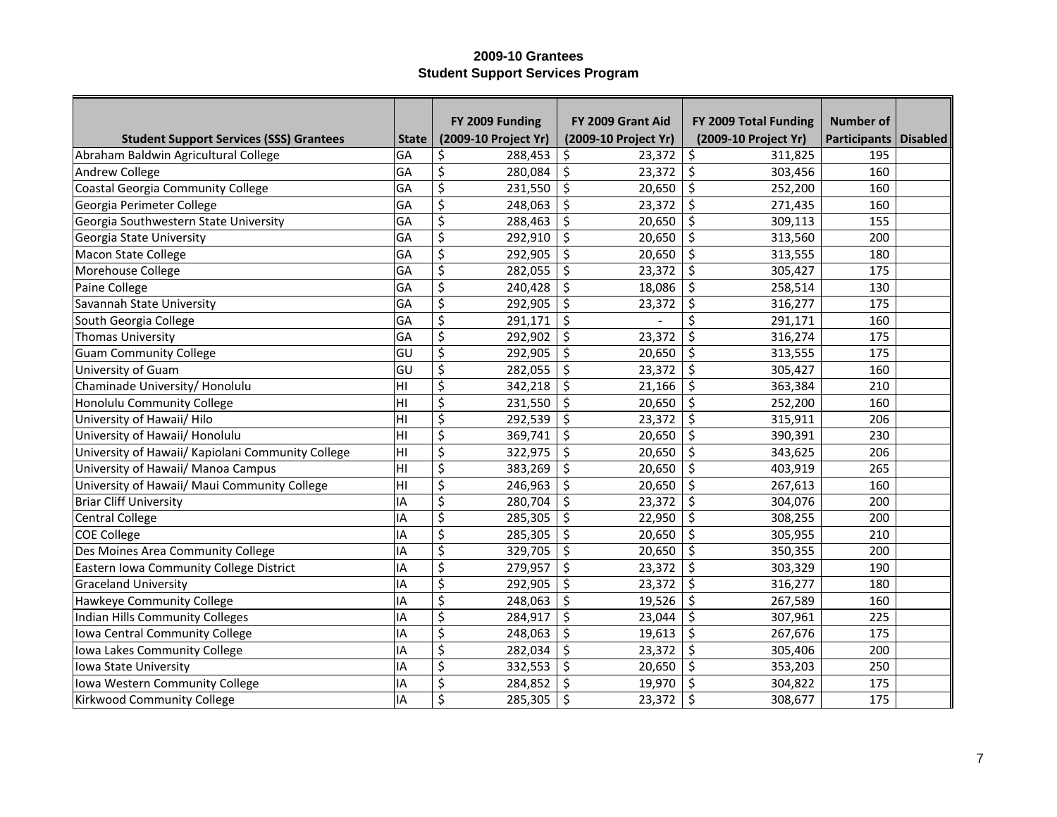|                                                   |              | FY 2009 Funding      | FY 2009 Grant Aid    | FY 2009 Total Funding | <b>Number of</b>        |  |
|---------------------------------------------------|--------------|----------------------|----------------------|-----------------------|-------------------------|--|
| <b>Student Support Services (SSS) Grantees</b>    | <b>State</b> | (2009-10 Project Yr) | (2009-10 Project Yr) | (2009-10 Project Yr)  | Participants   Disabled |  |
| Abraham Baldwin Agricultural College              | GA           | 288,453<br>\$        | 23,372<br>\$         | \$<br>311,825         | 195                     |  |
| Andrew College                                    | GA           | \$<br>280,084        | \$<br>23,372         | \$<br>303,456         | 160                     |  |
| Coastal Georgia Community College                 | GA           | \$<br>231,550        | \$<br>20,650         | \$<br>252,200         | 160                     |  |
| Georgia Perimeter College                         | GA           | \$<br>248,063        | \$<br>23,372         | \$<br>271,435         | 160                     |  |
| Georgia Southwestern State University             | GA           | \$<br>288,463        | \$<br>20,650         | \$<br>309,113         | 155                     |  |
| Georgia State University                          | GA           | \$<br>292,910        | \$<br>20,650         | \$<br>313,560         | 200                     |  |
| <b>Macon State College</b>                        | GA           | \$<br>292,905        | \$<br>20,650         | \$<br>313,555         | 180                     |  |
| Morehouse College                                 | GA           | \$<br>282,055        | \$<br>23,372         | \$<br>305,427         | 175                     |  |
| Paine College                                     | GA           | \$<br>240,428        | \$<br>18,086         | \$<br>258,514         | 130                     |  |
| Savannah State University                         | GA           | \$<br>292,905        | \$<br>23,372         | \$<br>316,277         | 175                     |  |
| South Georgia College                             | GA           | \$<br>291,171        | \$                   | Ś<br>291,171          | 160                     |  |
| Thomas University                                 | GA           | \$<br>292,902        | \$<br>23,372         | \$<br>316,274         | 175                     |  |
| <b>Guam Community College</b>                     | lgu          | \$<br>292,905        | \$<br>20,650         | \$<br>313,555         | 175                     |  |
| University of Guam                                | GU           | \$<br>282,055        | \$<br>23,372         | \$<br>305,427         | 160                     |  |
| Chaminade University/ Honolulu                    | ÌНI          | \$<br>342,218        | \$<br>21,166         | \$<br>363,384         | 210                     |  |
| Honolulu Community College                        | Iнı          | \$<br>231,550        | \$<br>20,650         | \$<br>252,200         | 160                     |  |
| University of Hawaii/ Hilo                        | Iнı          | \$<br>292,539        | \$<br>23,372         | \$<br>315,911         | 206                     |  |
| University of Hawaii/ Honolulu                    | İНІ          | \$<br>369,741        | \$<br>20,650         | \$<br>390,391         | 230                     |  |
| University of Hawaii/ Kapiolani Community College | ŀН           | \$<br>322,975        | \$<br>20,650         | \$<br>343,625         | 206                     |  |
| University of Hawaii/ Manoa Campus                | İНІ          | \$<br>383,269        | \$<br>20,650         | \$<br>403,919         | 265                     |  |
| University of Hawaii/ Maui Community College      | lнı          | \$<br>246,963        | \$<br>20,650         | \$<br>267,613         | 160                     |  |
| <b>Briar Cliff University</b>                     | <b>IA</b>    | \$<br>280,704        | \$<br>23,372         | \$<br>304,076         | 200                     |  |
| <b>Central College</b>                            | <b>IA</b>    | \$<br>285,305        | \$<br>22,950         | \$<br>308,255         | 200                     |  |
| <b>COE College</b>                                | IA           | \$<br>285,305        | \$<br>20,650         | \$<br>305,955         | 210                     |  |
| Des Moines Area Community College                 | IA           | \$<br>329,705        | \$<br>20,650         | \$<br>350,355         | 200                     |  |
| Eastern Iowa Community College District           | IA           | \$<br>279,957        | \$<br>23,372         | \$<br>303,329         | 190                     |  |
| <b>Graceland University</b>                       | IA           | \$<br>292,905        | \$<br>23,372         | \$<br>316,277         | 180                     |  |
| Hawkeye Community College                         | IA           | \$<br>248,063        | \$<br>19,526         | \$<br>267,589         | 160                     |  |
| <b>Indian Hills Community Colleges</b>            | IA           | \$<br>284,917        | \$<br>23,044         | \$<br>307,961         | 225                     |  |
| Iowa Central Community College                    | IA           | \$<br>248,063        | \$<br>19,613         | \$<br>267,676         | 175                     |  |
| Iowa Lakes Community College                      | IA           | \$<br>282,034        | \$<br>23,372         | \$<br>305,406         | 200                     |  |
| Iowa State University                             | IA           | \$<br>332,553        | \$<br>20,650         | \$<br>353,203         | 250                     |  |
| Iowa Western Community College                    | IA           | \$<br>284,852        | \$<br>19,970         | \$<br>304,822         | 175                     |  |
| Kirkwood Community College                        | <b>IA</b>    | \$<br>285,305        | \$<br>23,372         | \$<br>308,677         | 175                     |  |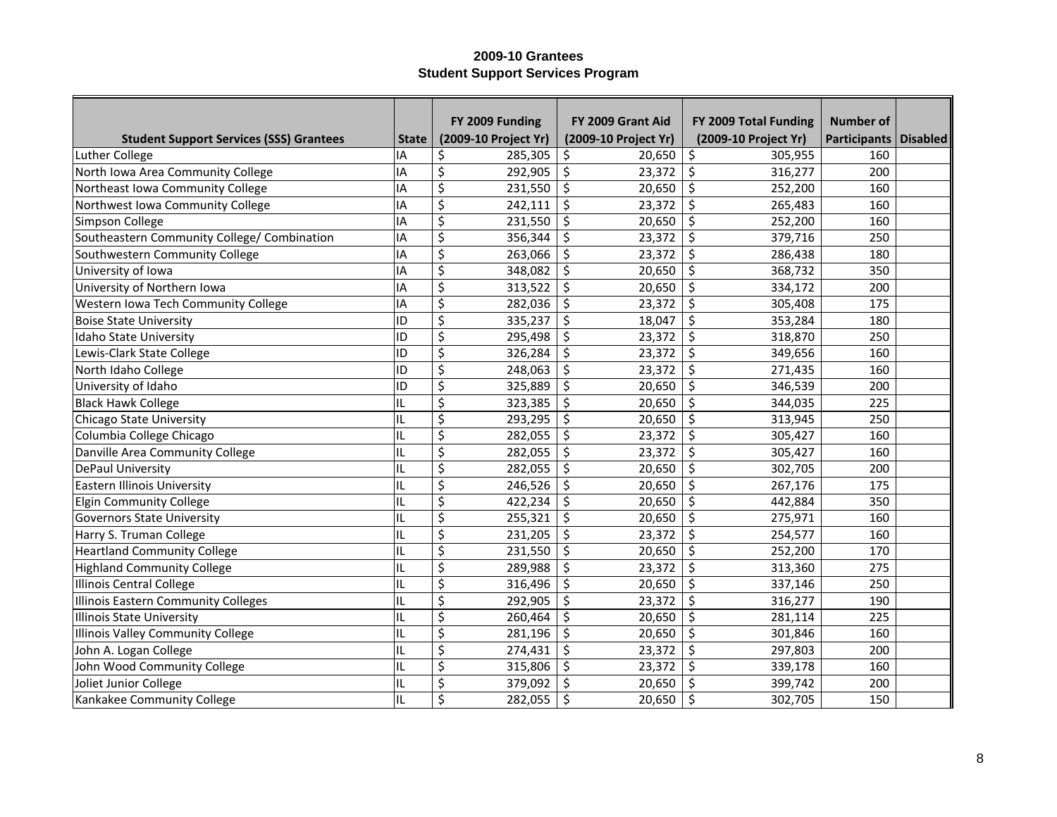|                                                |              | FY 2009 Funding                            | FY 2009 Grant Aid    | FY 2009 Total Funding | Number of               |  |
|------------------------------------------------|--------------|--------------------------------------------|----------------------|-----------------------|-------------------------|--|
| <b>Student Support Services (SSS) Grantees</b> | <b>State</b> | (2009-10 Project Yr)                       | (2009-10 Project Yr) | (2009-10 Project Yr)  | Participants   Disabled |  |
| Luther College                                 | IA           | 285,305<br>\$                              | 20,650<br>\$         | \$<br>305,955         | 160                     |  |
| North Iowa Area Community College              | IA           | \$<br>292,905                              | \$<br>23,372         | \$<br>316,277         | 200                     |  |
| Northeast Iowa Community College               | IA           | \$<br>231,550                              | \$<br>20,650         | \$<br>252,200         | 160                     |  |
| Northwest Iowa Community College               | IA           | \$<br>242,111                              | \$<br>23,372         | \$<br>265,483         | 160                     |  |
| Simpson College                                | IA           | \$<br>231,550                              | \$<br>20,650         | \$<br>252,200         | 160                     |  |
| Southeastern Community College/ Combination    | IA           | \$<br>356,344                              | \$<br>23,372         | \$<br>379,716         | 250                     |  |
| Southwestern Community College                 | IA           | \$<br>263,066                              | \$<br>23,372         | \$<br>286,438         | 180                     |  |
| University of Iowa                             | IA           | \$<br>348,082                              | \$<br>20,650         | \$<br>368,732         | 350                     |  |
| University of Northern Iowa                    | IA           | $\overline{\boldsymbol{\zeta}}$<br>313,522 | \$<br>20,650         | $\zeta$<br>334,172    | 200                     |  |
| Western Iowa Tech Community College            | IA           | \$<br>282,036                              | \$<br>23,372         | $\zeta$<br>305,408    | 175                     |  |
| <b>Boise State University</b>                  | ID           | \$<br>335,237                              | \$<br>18,047         | \$<br>353,284         | 180                     |  |
| Idaho State University                         | ID           | \$<br>295,498                              | \$<br>23,372         | \$<br>318,870         | 250                     |  |
| Lewis-Clark State College                      | ID           | \$<br>326,284                              | \$<br>23,372         | \$<br>349,656         | 160                     |  |
| North Idaho College                            | ID           | \$<br>248,063                              | \$<br>23,372         | \$<br>271,435         | 160                     |  |
| University of Idaho                            | ID           | \$<br>325,889                              | \$<br>20,650         | \$<br>346,539         | 200                     |  |
| <b>Black Hawk College</b>                      | IL           | \$<br>323,385                              | \$<br>20,650         | \$<br>344,035         | 225                     |  |
| Chicago State University                       | IL           | \$<br>293,295                              | \$<br>20,650         | \$<br>313,945         | 250                     |  |
| Columbia College Chicago                       | IL           | \$<br>282,055                              | \$<br>23,372         | \$<br>305,427         | 160                     |  |
| Danville Area Community College                | IL           | \$<br>282,055                              | \$<br>23,372         | \$<br>305,427         | 160                     |  |
| <b>DePaul University</b>                       | IL           | \$<br>282,055                              | \$<br>20,650         | \$<br>302,705         | 200                     |  |
| <b>Eastern Illinois University</b>             | IL           | \$<br>246,526                              | \$<br>20,650         | \$<br>267,176         | 175                     |  |
| <b>Elgin Community College</b>                 | IL           | \$<br>422,234                              | \$<br>20,650         | \$<br>442,884         | 350                     |  |
| <b>Governors State University</b>              | IL           | \$<br>255,321                              | \$<br>20,650         | \$<br>275,971         | 160                     |  |
| Harry S. Truman College                        | IL           | \$<br>231,205                              | \$<br>23,372         | \$<br>254,577         | 160                     |  |
| <b>Heartland Community College</b>             | IL           | \$<br>231,550                              | \$<br>20,650         | \$<br>252,200         | 170                     |  |
| <b>Highland Community College</b>              | IL           | \$<br>289,988                              | \$<br>23,372         | \$<br>313,360         | 275                     |  |
| <b>Illinois Central College</b>                | IL           | \$<br>316,496                              | \$<br>20,650         | \$<br>337,146         | 250                     |  |
| <b>Illinois Eastern Community Colleges</b>     | IL           | \$<br>292,905                              | \$<br>23,372         | \$<br>316,277         | 190                     |  |
| <b>Illinois State University</b>               | IL           | \$<br>260,464                              | \$<br>20,650         | \$<br>281,114         | 225                     |  |
| Illinois Valley Community College              | IL           | \$<br>281,196                              | \$<br>20,650         | \$<br>301,846         | 160                     |  |
| John A. Logan College                          | IL           | \$<br>274,431                              | \$<br>23,372         | \$<br>297,803         | 200                     |  |
| John Wood Community College                    | IL           | \$<br>315,806                              | \$<br>23,372         | \$<br>339,178         | 160                     |  |
| Joliet Junior College                          | IL           | \$<br>379,092                              | \$<br>20,650         | \$<br>399,742         | 200                     |  |
| Kankakee Community College                     | IL           | \$<br>282,055                              | \$<br>20,650         | \$<br>302,705         | 150                     |  |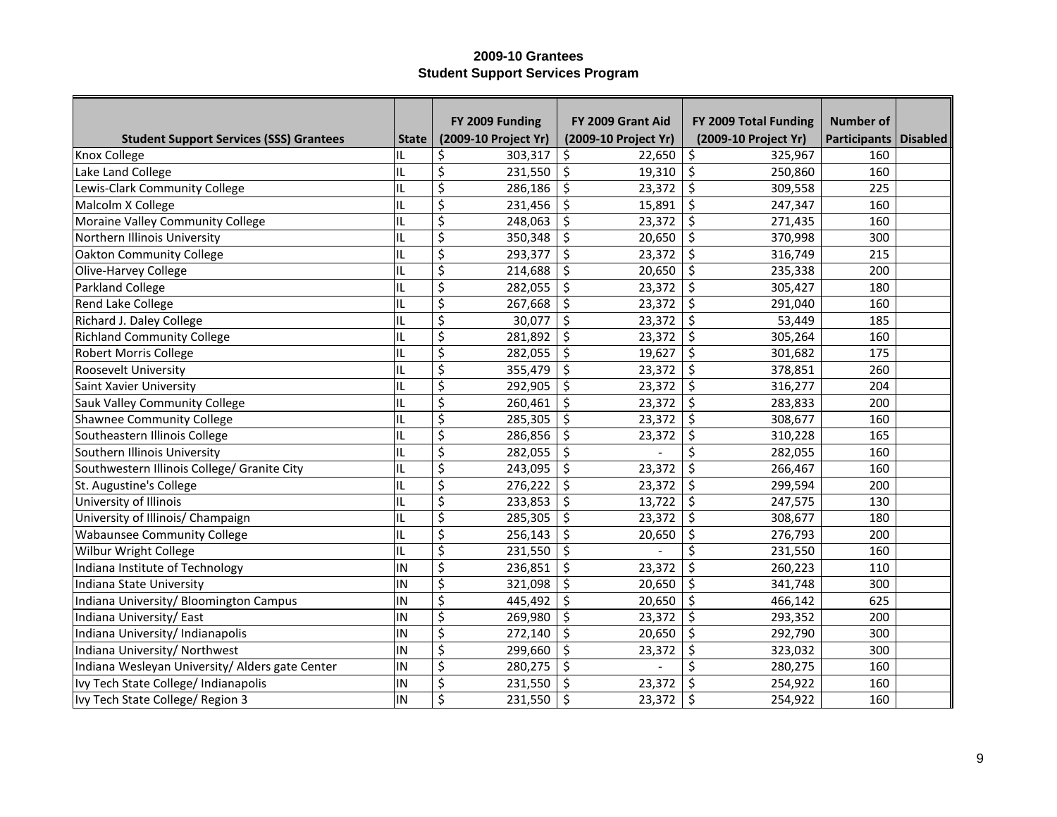|                                                 |              | FY 2009 Funding      | FY 2009 Grant Aid    | FY 2009 Total Funding | <b>Number of</b>        |  |
|-------------------------------------------------|--------------|----------------------|----------------------|-----------------------|-------------------------|--|
| <b>Student Support Services (SSS) Grantees</b>  | <b>State</b> | (2009-10 Project Yr) | (2009-10 Project Yr) | (2009-10 Project Yr)  | Participants   Disabled |  |
| Knox College                                    | IL           | 303,317<br>\$        | \$<br>22,650         | \$<br>325,967         | 160                     |  |
| Lake Land College                               | IL           | \$<br>231,550        | \$<br>19,310         | \$<br>250,860         | 160                     |  |
| Lewis-Clark Community College                   | IL           | \$<br>286,186        | \$<br>23,372         | \$<br>309,558         | 225                     |  |
| Malcolm X College                               | IL           | \$<br>231,456        | \$<br>15,891         | \$<br>247,347         | 160                     |  |
| Moraine Valley Community College                | IL           | \$<br>248,063        | \$<br>23,372         | \$<br>271,435         | 160                     |  |
| Northern Illinois University                    | IL           | \$<br>350,348        | \$<br>20,650         | \$<br>370,998         | 300                     |  |
| <b>Oakton Community College</b>                 | IL           | \$<br>293,377        | \$<br>23,372         | \$<br>316,749         | 215                     |  |
| Olive-Harvey College                            | IL           | \$<br>214,688        | \$<br>20,650         | $\zeta$<br>235,338    | 200                     |  |
| Parkland College                                | IL           | \$<br>282,055        | \$<br>23,372         | \$<br>305,427         | 180                     |  |
| Rend Lake College                               | IL           | \$<br>267,668        | \$<br>23,372         | \$<br>291,040         | 160                     |  |
| Richard J. Daley College                        | IL           | \$<br>30,077         | \$<br>23,372         | $\zeta$<br>53,449     | 185                     |  |
| <b>Richland Community College</b>               | IL           | \$<br>281,892        | \$<br>23,372         | \$<br>305,264         | 160                     |  |
| <b>Robert Morris College</b>                    | IL           | \$<br>282,055        | \$<br>19,627         | \$<br>301,682         | 175                     |  |
| Roosevelt University                            | IL           | \$<br>355,479        | \$<br>23,372         | \$<br>378,851         | 260                     |  |
| Saint Xavier University                         | IL           | \$<br>292,905        | \$<br>23,372         | \$<br>316,277         | 204                     |  |
| Sauk Valley Community College                   | IL           | \$<br>260,461        | \$<br>23,372         | $\zeta$<br>283,833    | 200                     |  |
| <b>Shawnee Community College</b>                | IL           | \$<br>285,305        | \$<br>23,372         | \$<br>308,677         | 160                     |  |
| Southeastern Illinois College                   | IL           | \$<br>286,856        | \$<br>23,372         | \$<br>310,228         | 165                     |  |
| Southern Illinois University                    | IL           | \$<br>282,055        | \$                   | \$<br>282,055         | 160                     |  |
| Southwestern Illinois College/ Granite City     | IL           | \$<br>243,095        | \$<br>23,372         | \$<br>266,467         | 160                     |  |
| St. Augustine's College                         | IL           | \$<br>276,222        | \$<br>23,372         | \$<br>299,594         | 200                     |  |
| University of Illinois                          | IL           | \$<br>233,853        | \$<br>13,722         | \$<br>247,575         | 130                     |  |
| University of Illinois/ Champaign               | IL           | \$<br>285,305        | \$<br>23,372         | \$<br>308,677         | 180                     |  |
| <b>Wabaunsee Community College</b>              | IL           | \$<br>256,143        | \$<br>20,650         | \$<br>276,793         | 200                     |  |
| Wilbur Wright College                           | IL           | \$<br>231,550        | \$                   | \$<br>231,550         | 160                     |  |
| Indiana Institute of Technology                 | IN           | \$<br>236,851        | \$<br>23,372         | \$<br>260,223         | 110                     |  |
| Indiana State University                        | IN           | \$<br>321,098        | \$<br>20,650         | \$<br>341,748         | 300                     |  |
| Indiana University/ Bloomington Campus          | IN           | \$<br>445,492        | \$<br>20,650         | \$<br>466,142         | 625                     |  |
| Indiana University/ East                        | IN           | \$<br>269,980        | \$<br>23,372         | \$<br>293,352         | 200                     |  |
| Indiana University/ Indianapolis                | IN           | \$<br>272,140        | \$<br>20,650         | \$<br>292,790         | 300                     |  |
| Indiana University/ Northwest                   | IN           | \$<br>299,660        | \$<br>23,372         | \$<br>323,032         | 300                     |  |
| Indiana Wesleyan University/ Alders gate Center | IN           | \$<br>280,275        | \$                   | \$<br>280,275         | 160                     |  |
| Ivy Tech State College/ Indianapolis            | IN           | \$<br>231,550        | \$<br>23,372         | Ś<br>254,922          | 160                     |  |
| Ivy Tech State College/ Region 3                | IN           | \$<br>231,550        | \$<br>23,372         | \$<br>254,922         | 160                     |  |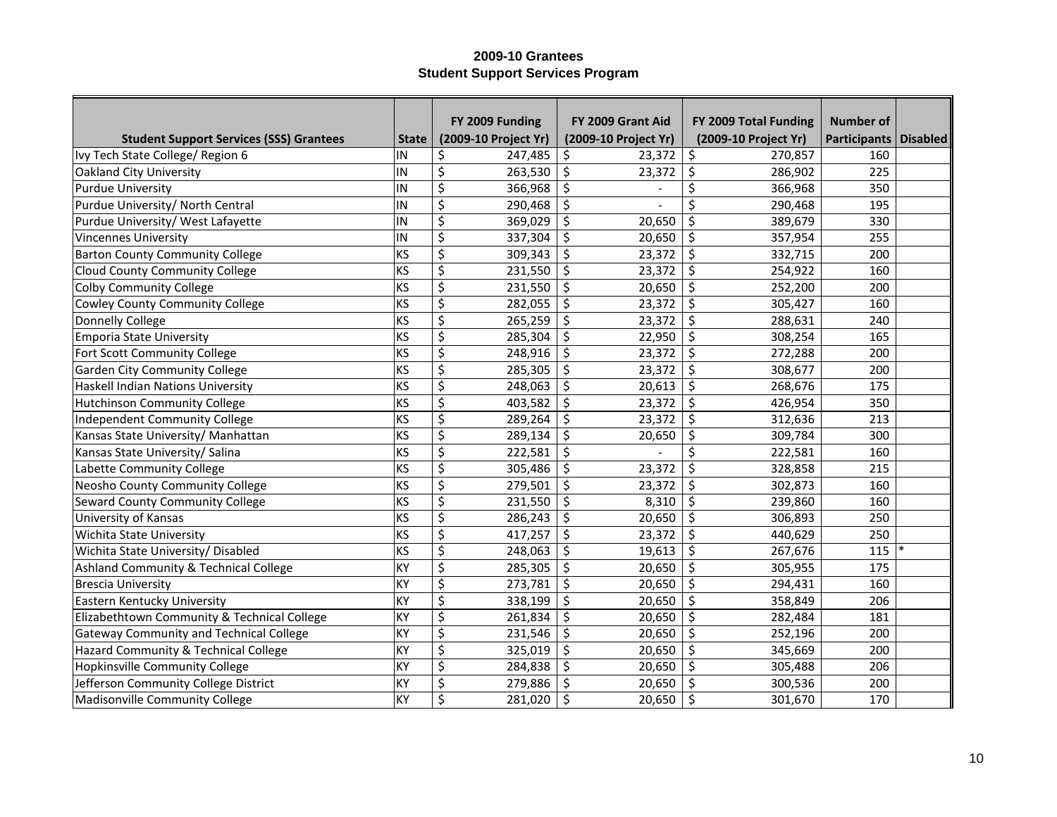|                                                |              | FY 2009 Funding      | FY 2009 Grant Aid    | FY 2009 Total Funding | Number of               |  |
|------------------------------------------------|--------------|----------------------|----------------------|-----------------------|-------------------------|--|
| <b>Student Support Services (SSS) Grantees</b> | <b>State</b> | (2009-10 Project Yr) | (2009-10 Project Yr) | (2009-10 Project Yr)  | Participants   Disabled |  |
| Ivy Tech State College/ Region 6               | IN           | \$<br>247,485        | \$<br>23,372         | \$<br>270,857         | 160                     |  |
| Oakland City University                        | IN           | \$<br>263,530        | \$<br>23,372         | \$<br>286,902         | 225                     |  |
| <b>Purdue University</b>                       | IN           | \$<br>366,968        | \$                   | Ś<br>366,968          | 350                     |  |
| Purdue University/ North Central               | IN           | \$<br>290,468        | \$                   | Ś<br>290,468          | 195                     |  |
| Purdue University/ West Lafayette              | IN           | \$<br>369,029        | \$<br>20,650         | \$<br>389,679         | 330                     |  |
| <b>Vincennes University</b>                    | IN           | \$<br>337,304        | \$<br>20,650         | \$<br>357,954         | 255                     |  |
| <b>Barton County Community College</b>         | KS           | \$<br>309,343        | \$<br>23,372         | \$<br>332,715         | 200                     |  |
| Cloud County Community College                 | KS           | \$<br>231,550        | \$<br>23,372         | $\zeta$<br>254,922    | 160                     |  |
| <b>Colby Community College</b>                 | KS           | \$<br>231,550        | \$<br>20,650         | \$<br>252,200         | 200                     |  |
| <b>Cowley County Community College</b>         | KS           | \$<br>282,055        | \$<br>23,372         | \$<br>305,427         | 160                     |  |
| Donnelly College                               | KS           | \$<br>265,259        | \$<br>23,372         | \$<br>288,631         | 240                     |  |
| <b>Emporia State University</b>                | KS           | \$<br>285,304        | \$<br>22,950         | $\zeta$<br>308,254    | 165                     |  |
| Fort Scott Community College                   | KS           | \$<br>248,916        | \$<br>23,372         | \$<br>272,288         | 200                     |  |
| <b>Garden City Community College</b>           | KS           | \$<br>285,305        | \$<br>23,372         | \$<br>308,677         | 200                     |  |
| <b>Haskell Indian Nations University</b>       | KS           | \$<br>248,063        | \$<br>20,613         | \$<br>268,676         | 175                     |  |
| <b>Hutchinson Community College</b>            | KS           | \$<br>403,582        | \$<br>23,372         | \$<br>426,954         | 350                     |  |
| <b>Independent Community College</b>           | KS           | \$<br>289,264        | \$<br>23,372         | \$<br>312,636         | 213                     |  |
| Kansas State University/ Manhattan             | KS           | \$<br>289,134        | \$<br>20,650         | \$<br>309,784         | 300                     |  |
| Kansas State University/ Salina                | KS           | \$<br>222,581        | \$                   | \$<br>222,581         | 160                     |  |
| Labette Community College                      | KS           | \$<br>305,486        | \$<br>23,372         | \$<br>328,858         | 215                     |  |
| Neosho County Community College                | KS           | \$<br>279,501        | \$<br>23,372         | \$<br>302,873         | 160                     |  |
| Seward County Community College                | KS           | \$<br>231,550        | \$<br>8,310          | \$<br>239,860         | 160                     |  |
| University of Kansas                           | KS           | \$<br>286,243        | \$<br>20,650         | \$<br>306,893         | 250                     |  |
| Wichita State University                       | KS           | \$<br>417,257        | \$<br>23,372         | \$<br>440,629         | 250                     |  |
| Wichita State University/ Disabled             | KS           | \$<br>248,063        | \$<br>19,613         | \$<br>267,676         | 115                     |  |
| Ashland Community & Technical College          | KY           | \$<br>285,305        | \$<br>20,650         | \$<br>305,955         | 175                     |  |
| <b>Brescia University</b>                      | KY           | \$<br>273,781        | \$<br>20,650         | \$<br>294,431         | 160                     |  |
| Eastern Kentucky University                    | KY           | \$<br>338,199        | \$<br>20,650         | \$<br>358,849         | 206                     |  |
| Elizabethtown Community & Technical College    | KY           | \$<br>261,834        | \$<br>20,650         | \$<br>282,484         | 181                     |  |
| <b>Gateway Community and Technical College</b> | KY           | \$<br>231,546        | \$<br>20,650         | \$<br>252,196         | 200                     |  |
| Hazard Community & Technical College           | KY           | \$<br>325,019        | \$<br>20,650         | \$<br>345,669         | 200                     |  |
| Hopkinsville Community College                 | KY           | \$<br>284,838        | \$<br>20,650         | \$<br>305,488         | 206                     |  |
| Jefferson Community College District           | KY           | \$<br>279,886        | \$<br>20,650         | \$<br>300,536         | 200                     |  |
| Madisonville Community College                 | KY           | \$<br>281,020        | \$<br>20,650         | \$<br>301,670         | 170                     |  |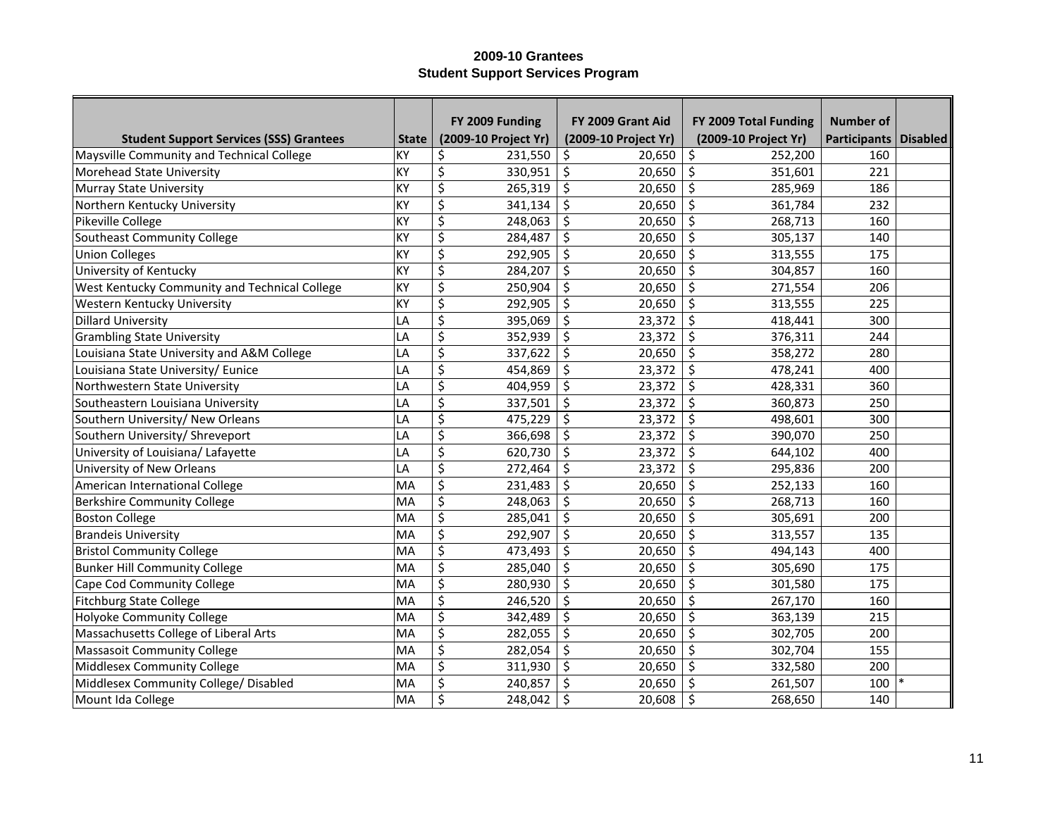|                                                |              | FY 2009 Funding      | FY 2009 Grant Aid    | FY 2009 Total Funding | Number of                      |  |
|------------------------------------------------|--------------|----------------------|----------------------|-----------------------|--------------------------------|--|
| <b>Student Support Services (SSS) Grantees</b> | <b>State</b> | (2009-10 Project Yr) | (2009-10 Project Yr) | (2009-10 Project Yr)  | <b>Participants   Disabled</b> |  |
| Maysville Community and Technical College      | KY           | \$<br>231,550        | \$<br>20,650         | \$<br>252,200         | 160                            |  |
| Morehead State University                      | KY           | \$<br>330,951        | \$<br>20,650         | \$<br>351,601         | 221                            |  |
| <b>Murray State University</b>                 | KY           | \$<br>265,319        | \$<br>20,650         | \$<br>285,969         | 186                            |  |
| Northern Kentucky University                   | KY           | \$<br>341,134        | \$<br>20,650         | $\zeta$<br>361,784    | 232                            |  |
| Pikeville College                              | KY           | \$<br>248,063        | \$<br>20,650         | \$<br>268,713         | 160                            |  |
| Southeast Community College                    | KY           | \$<br>284,487        | \$<br>20,650         | \$<br>305,137         | 140                            |  |
| <b>Union Colleges</b>                          | KY           | \$<br>292,905        | \$<br>20,650         | \$<br>313,555         | 175                            |  |
| University of Kentucky                         | KY           | \$<br>284,207        | \$<br>20,650         | \$<br>304,857         | 160                            |  |
| West Kentucky Community and Technical College  | KY           | \$<br>250,904        | \$<br>20,650         | $\zeta$<br>271,554    | 206                            |  |
| Western Kentucky University                    | KY           | \$<br>292,905        | \$<br>20,650         | \$<br>313,555         | 225                            |  |
| <b>Dillard University</b>                      | LA           | \$<br>395,069        | \$<br>23,372         | \$<br>418,441         | 300                            |  |
| <b>Grambling State University</b>              | LA           | \$<br>352,939        | \$<br>23,372         | \$<br>376,311         | 244                            |  |
| Louisiana State University and A&M College     | LA           | \$<br>337,622        | \$<br>20,650         | \$<br>358,272         | 280                            |  |
| Louisiana State University/ Eunice             | LA           | \$<br>454,869        | \$<br>23,372         | \$<br>478,241         | 400                            |  |
| Northwestern State University                  | LA           | \$<br>404,959        | \$<br>23,372         | \$<br>428,331         | 360                            |  |
| Southeastern Louisiana University              | LA           | \$<br>337,501        | \$<br>23,372         | \$<br>360,873         | 250                            |  |
| Southern University/ New Orleans               | LA           | \$<br>475,229        | \$<br>23,372         | \$<br>498,601         | 300                            |  |
| Southern University/ Shreveport                | LA           | \$<br>366,698        | \$<br>23,372         | \$<br>390,070         | 250                            |  |
| University of Louisiana/ Lafayette             | LA           | \$<br>620,730        | \$<br>23,372         | \$<br>644,102         | 400                            |  |
| University of New Orleans                      | LA           | \$<br>272,464        | \$<br>23,372         | \$<br>295,836         | 200                            |  |
| American International College                 | MA           | \$<br>231,483        | \$<br>20,650         | \$<br>252,133         | 160                            |  |
| <b>Berkshire Community College</b>             | MA           | \$<br>248,063        | \$<br>20,650         | \$<br>268,713         | 160                            |  |
| <b>Boston College</b>                          | MA           | \$<br>285,041        | \$<br>20,650         | \$<br>305,691         | 200                            |  |
| <b>Brandeis University</b>                     | MA           | \$<br>292,907        | \$<br>20,650         | \$<br>313,557         | 135                            |  |
| <b>Bristol Community College</b>               | MA           | \$<br>473,493        | \$<br>20,650         | \$<br>494,143         | 400                            |  |
| <b>Bunker Hill Community College</b>           | MA           | \$<br>285,040        | \$<br>20,650         | \$<br>305,690         | 175                            |  |
| Cape Cod Community College                     | MA           | \$<br>280,930        | \$<br>20,650         | \$<br>301,580         | 175                            |  |
| <b>Fitchburg State College</b>                 | MA           | \$<br>246,520        | \$<br>20,650         | \$<br>267,170         | 160                            |  |
| Holyoke Community College                      | MA           | \$<br>342,489        | \$<br>20,650         | \$<br>363,139         | 215                            |  |
| Massachusetts College of Liberal Arts          | MA           | \$<br>282,055        | \$<br>20,650         | \$<br>302,705         | 200                            |  |
| <b>Massasoit Community College</b>             | MA           | \$<br>282,054        | \$<br>20,650         | \$<br>302,704         | 155                            |  |
| Middlesex Community College                    | MA           | \$<br>311,930        | \$<br>20,650         | \$<br>332,580         | 200                            |  |
| Middlesex Community College/ Disabled          | MA           | \$<br>240,857        | \$<br>20,650         | Ś<br>261,507          | 100                            |  |
| Mount Ida College                              | MA           | \$<br>248,042        | \$<br>20,608         | \$<br>268,650         | 140                            |  |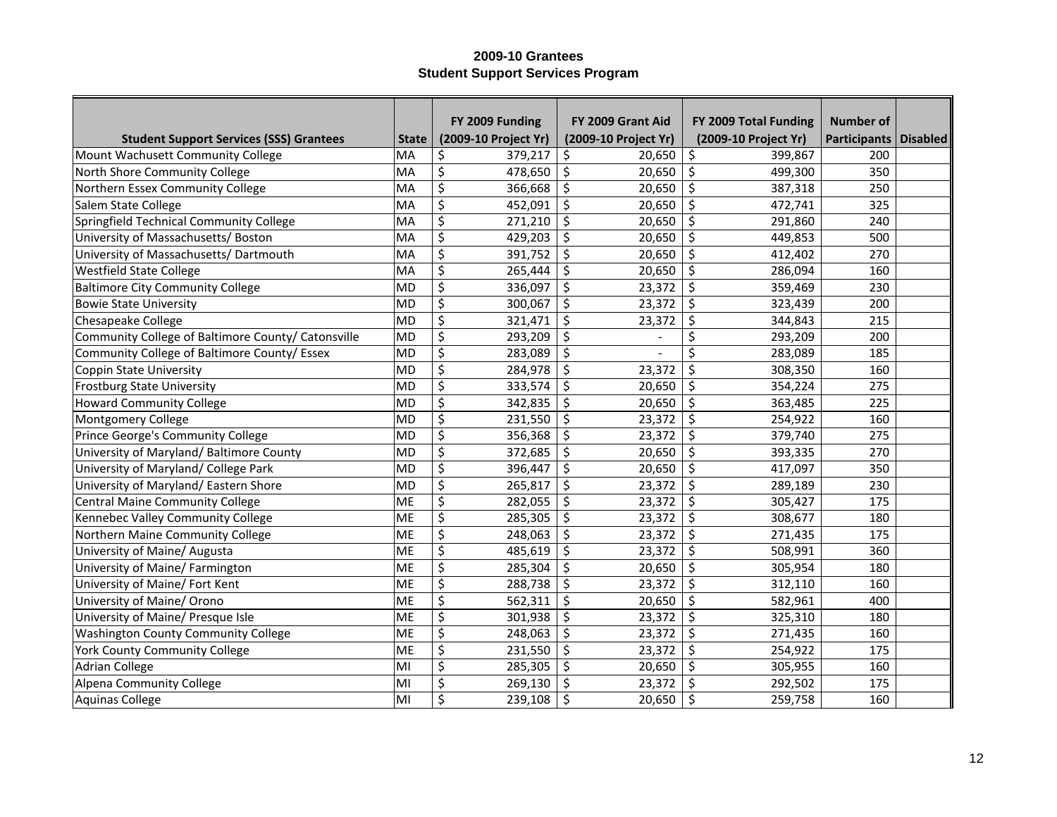|                                                    |              | FY 2009 Funding      | FY 2009 Grant Aid    | FY 2009 Total Funding | <b>Number of</b>        |  |
|----------------------------------------------------|--------------|----------------------|----------------------|-----------------------|-------------------------|--|
| <b>Student Support Services (SSS) Grantees</b>     | <b>State</b> | (2009-10 Project Yr) | (2009-10 Project Yr) | (2009-10 Project Yr)  | Participants   Disabled |  |
| Mount Wachusett Community College                  | MA           | \$<br>379,217        | \$<br>20,650         | \$<br>399,867         | 200                     |  |
| North Shore Community College                      | MA           | \$<br>478,650        | \$<br>20,650         | \$<br>499,300         | 350                     |  |
| Northern Essex Community College                   | MA           | \$<br>366,668        | \$<br>20,650         | \$<br>387,318         | 250                     |  |
| Salem State College                                | MA           | \$<br>452,091        | \$<br>20,650         | \$<br>472,741         | 325                     |  |
| Springfield Technical Community College            | MA           | \$<br>271,210        | \$<br>20,650         | \$<br>291,860         | 240                     |  |
| University of Massachusetts/ Boston                | MA           | \$<br>429,203        | \$<br>20,650         | \$<br>449,853         | 500                     |  |
| University of Massachusetts/ Dartmouth             | MA           | \$<br>391,752        | \$<br>20,650         | \$<br>412,402         | 270                     |  |
| <b>Westfield State College</b>                     | MA           | \$<br>265,444        | \$<br>20,650         | \$<br>286,094         | 160                     |  |
| <b>Baltimore City Community College</b>            | <b>MD</b>    | \$<br>336,097        | \$<br>23,372         | \$<br>359,469         | 230                     |  |
| <b>Bowie State University</b>                      | <b>MD</b>    | \$<br>300,067        | \$<br>23,372         | \$<br>323,439         | 200                     |  |
| Chesapeake College                                 | <b>MD</b>    | \$<br>321,471        | \$<br>23,372         | \$<br>344,843         | 215                     |  |
| Community College of Baltimore County/ Catonsville | <b>MD</b>    | \$<br>293,209        | \$                   | \$<br>293,209         | 200                     |  |
| Community College of Baltimore County/ Essex       | <b>MD</b>    | \$<br>283,089        | \$                   | Ś<br>283,089          | 185                     |  |
| <b>Coppin State University</b>                     | <b>MD</b>    | \$<br>284,978        | \$<br>23,372         | \$<br>308,350         | 160                     |  |
| Frostburg State University                         | <b>MD</b>    | \$<br>333,574        | \$<br>20,650         | \$<br>354,224         | 275                     |  |
| <b>Howard Community College</b>                    | <b>MD</b>    | \$<br>342,835        | \$<br>20,650         | \$<br>363,485         | 225                     |  |
| Montgomery College                                 | <b>MD</b>    | \$<br>231,550        | \$<br>23,372         | \$<br>254,922         | 160                     |  |
| Prince George's Community College                  | <b>MD</b>    | \$<br>356,368        | \$<br>23,372         | \$<br>379,740         | 275                     |  |
| University of Maryland/ Baltimore County           | <b>MD</b>    | \$<br>372,685        | \$<br>20,650         | \$<br>393,335         | 270                     |  |
| University of Maryland/ College Park               | <b>MD</b>    | \$<br>396,447        | \$<br>20,650         | \$<br>417,097         | 350                     |  |
| University of Maryland/ Eastern Shore              | <b>MD</b>    | \$<br>265,817        | \$<br>23,372         | \$<br>289,189         | 230                     |  |
| <b>Central Maine Community College</b>             | <b>ME</b>    | \$<br>282,055        | \$<br>23,372         | \$<br>305,427         | 175                     |  |
| Kennebec Valley Community College                  | ME           | \$<br>285,305        | \$<br>23,372         | \$<br>308,677         | 180                     |  |
| Northern Maine Community College                   | ME           | \$<br>248,063        | \$<br>23,372         | \$<br>271,435         | 175                     |  |
| University of Maine/ Augusta                       | <b>ME</b>    | \$<br>485,619        | \$<br>23,372         | \$<br>508,991         | 360                     |  |
| University of Maine/ Farmington                    | <b>ME</b>    | \$<br>285,304        | \$<br>20,650         | \$<br>305,954         | 180                     |  |
| University of Maine/ Fort Kent                     | <b>ME</b>    | \$<br>288,738        | \$<br>23,372         | \$<br>312,110         | 160                     |  |
| University of Maine/ Orono                         | <b>ME</b>    | \$<br>562,311        | \$<br>20,650         | \$<br>582,961         | 400                     |  |
| University of Maine/ Presque Isle                  | <b>ME</b>    | \$<br>301,938        | \$<br>23,372         | \$<br>325,310         | 180                     |  |
| <b>Washington County Community College</b>         | <b>ME</b>    | \$<br>248,063        | \$<br>23,372         | \$<br>271,435         | 160                     |  |
| York County Community College                      | <b>ME</b>    | \$<br>231,550        | \$<br>23,372         | \$<br>254,922         | 175                     |  |
| <b>Adrian College</b>                              | MI           | \$<br>285,305        | \$<br>20,650         | \$<br>305,955         | 160                     |  |
| Alpena Community College                           | MI           | \$<br>269,130        | \$<br>23,372         | \$<br>292,502         | 175                     |  |
| Aquinas College                                    | MI           | \$<br>239,108        | \$<br>20,650         | \$<br>259,758         | 160                     |  |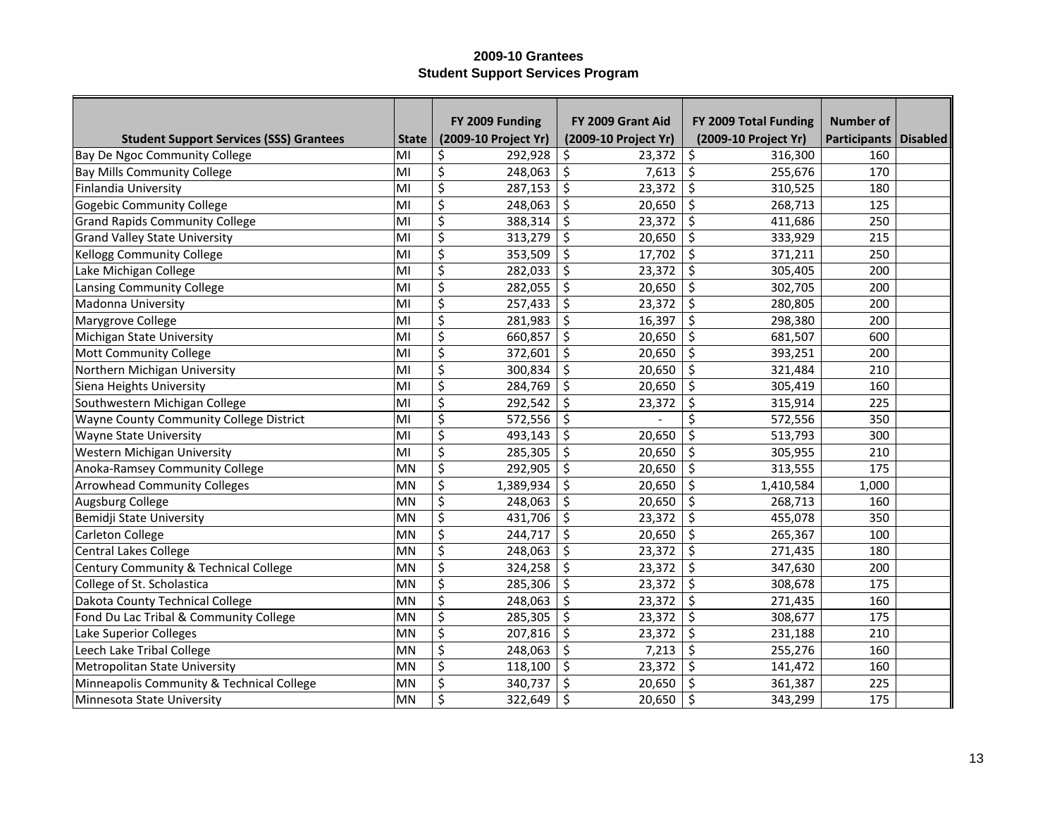|                                                |              | FY 2009 Funding      | FY 2009 Grant Aid    | FY 2009 Total Funding | Number of               |  |
|------------------------------------------------|--------------|----------------------|----------------------|-----------------------|-------------------------|--|
| <b>Student Support Services (SSS) Grantees</b> | <b>State</b> | (2009-10 Project Yr) | (2009-10 Project Yr) | (2009-10 Project Yr)  | Participants   Disabled |  |
| Bay De Ngoc Community College                  | MI           | \$<br>292,928        | 23,372<br>\$         | \$<br>316,300         | 160                     |  |
| <b>Bay Mills Community College</b>             | MI           | \$<br>248,063        | \$<br>7,613          | \$<br>255,676         | 170                     |  |
| Finlandia University                           | MI           | \$<br>287,153        | \$<br>23,372         | \$<br>310,525         | 180                     |  |
| <b>Gogebic Community College</b>               | MI           | \$<br>248,063        | \$<br>20,650         | \$<br>268,713         | 125                     |  |
| <b>Grand Rapids Community College</b>          | MI           | \$<br>388,314        | \$<br>23,372         | \$<br>411,686         | 250                     |  |
| <b>Grand Valley State University</b>           | MI           | \$<br>313,279        | \$<br>20,650         | \$<br>333,929         | 215                     |  |
| <b>Kellogg Community College</b>               | MI           | \$<br>353,509        | \$<br>17,702         | \$<br>371,211         | 250                     |  |
| Lake Michigan College                          | MI           | \$<br>282,033        | \$<br>23,372         | \$<br>305,405         | 200                     |  |
| Lansing Community College                      | MI           | \$<br>282,055        | \$<br>20,650         | \$<br>302,705         | 200                     |  |
| Madonna University                             | MI           | \$<br>257,433        | \$<br>23,372         | \$<br>280,805         | 200                     |  |
| Marygrove College                              | MI           | \$<br>281,983        | \$<br>16,397         | $\zeta$<br>298,380    | 200                     |  |
| Michigan State University                      | MI           | \$<br>660,857        | \$<br>20,650         | \$<br>681,507         | 600                     |  |
| Mott Community College                         | MI           | \$<br>372,601        | \$<br>20,650         | \$<br>393,251         | 200                     |  |
| Northern Michigan University                   | MI           | \$<br>300,834        | \$<br>20,650         | \$<br>321,484         | 210                     |  |
| Siena Heights University                       | MI           | \$<br>284,769        | \$<br>20,650         | \$<br>305,419         | 160                     |  |
| Southwestern Michigan College                  | MI           | \$<br>292,542        | \$<br>23,372         | \$<br>315,914         | 225                     |  |
| Wayne County Community College District        | MI           | \$<br>572,556        | \$                   | \$<br>572,556         | 350                     |  |
| <b>Wayne State University</b>                  | MI           | \$<br>493,143        | \$<br>20,650         | \$<br>513,793         | 300                     |  |
| Western Michigan University                    | MI           | \$<br>285,305        | \$<br>20,650         | \$<br>305,955         | 210                     |  |
| Anoka-Ramsey Community College                 | MN           | \$<br>292,905        | \$<br>20,650         | $\zeta$<br>313,555    | 175                     |  |
| <b>Arrowhead Community Colleges</b>            | MN           | \$<br>1,389,934      | \$<br>20,650         | \$<br>1,410,584       | 1,000                   |  |
| Augsburg College                               | MN           | \$<br>248,063        | \$<br>20,650         | \$<br>268,713         | 160                     |  |
| Bemidji State University                       | MN           | \$<br>431,706        | \$<br>23,372         | \$<br>455,078         | 350                     |  |
| Carleton College                               | MN           | \$<br>244,717        | \$<br>20,650         | \$<br>265,367         | 100                     |  |
| <b>Central Lakes College</b>                   | MN           | \$<br>248,063        | \$<br>23,372         | \$<br>271,435         | 180                     |  |
| Century Community & Technical College          | MN           | \$<br>324,258        | \$<br>23,372         | \$<br>347,630         | 200                     |  |
| College of St. Scholastica                     | MN           | \$<br>285,306        | \$<br>23,372         | \$<br>308,678         | 175                     |  |
| Dakota County Technical College                | MN           | \$<br>248,063        | \$<br>23,372         | \$<br>271,435         | 160                     |  |
| Fond Du Lac Tribal & Community College         | <b>MN</b>    | \$<br>285,305        | \$<br>23,372         | \$<br>308,677         | 175                     |  |
| Lake Superior Colleges                         | MN           | \$<br>207,816        | \$<br>23,372         | \$<br>231,188         | 210                     |  |
| Leech Lake Tribal College                      | MN           | \$<br>248,063        | \$<br>7,213          | \$<br>255,276         | 160                     |  |
| <b>Metropolitan State University</b>           | MN           | \$<br>118,100        | \$<br>23,372         | \$<br>141,472         | 160                     |  |
| Minneapolis Community & Technical College      | MN           | \$<br>340,737        | \$<br>20,650         | \$<br>361,387         | 225                     |  |
| Minnesota State University                     | MN           | \$<br>322,649        | \$<br>20,650         | \$<br>343,299         | 175                     |  |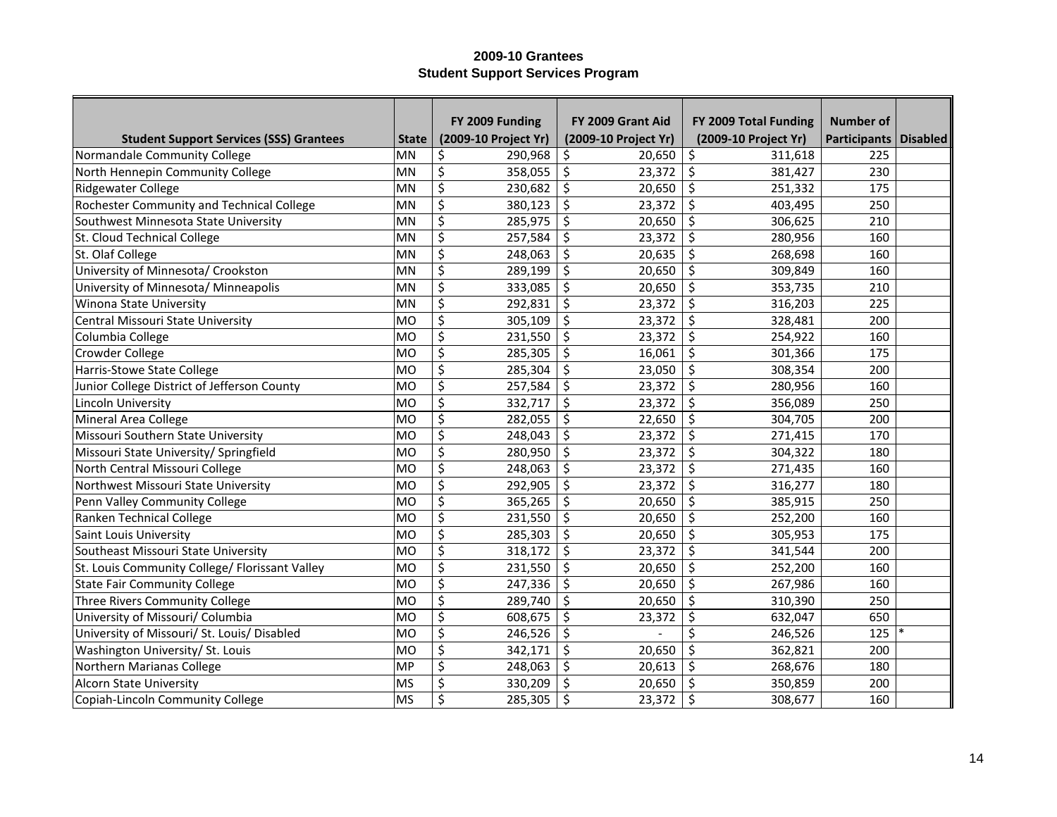|                                                |              | FY 2009 Funding      | FY 2009 Grant Aid    | FY 2009 Total Funding | Number of               |  |
|------------------------------------------------|--------------|----------------------|----------------------|-----------------------|-------------------------|--|
| <b>Student Support Services (SSS) Grantees</b> | <b>State</b> | (2009-10 Project Yr) | (2009-10 Project Yr) | (2009-10 Project Yr)  | Participants   Disabled |  |
| Normandale Community College                   | MN           | \$<br>290,968        | 20,650<br>\$         | \$<br>311,618         | 225                     |  |
| North Hennepin Community College               | <b>MN</b>    | \$<br>358,055        | \$<br>23,372         | \$<br>381,427         | 230                     |  |
| <b>Ridgewater College</b>                      | <b>MN</b>    | \$<br>230,682        | \$<br>20,650         | \$<br>251,332         | 175                     |  |
| Rochester Community and Technical College      | MN           | \$<br>380,123        | \$<br>23,372         | \$<br>403,495         | 250                     |  |
| Southwest Minnesota State University           | MN           | \$<br>285,975        | \$<br>20,650         | \$<br>306,625         | 210                     |  |
| St. Cloud Technical College                    | MN           | \$<br>257,584        | \$<br>23,372         | \$<br>280,956         | 160                     |  |
| St. Olaf College                               | MN           | \$<br>248,063        | \$<br>20,635         | \$<br>268,698         | 160                     |  |
| University of Minnesota/ Crookston             | MN           | \$<br>289,199        | \$<br>20,650         | \$<br>309,849         | 160                     |  |
| University of Minnesota/ Minneapolis           | MN           | \$<br>333,085        | \$<br>20,650         | \$<br>353,735         | 210                     |  |
| Winona State University                        | MN           | \$<br>292,831        | \$<br>23,372         | \$<br>316,203         | 225                     |  |
| <b>Central Missouri State University</b>       | MO           | \$<br>305,109        | \$<br>23,372         | $\zeta$<br>328,481    | 200                     |  |
| Columbia College                               | MO           | \$<br>231,550        | \$<br>23,372         | \$<br>254,922         | 160                     |  |
| Crowder College                                | MO           | \$<br>285,305        | \$<br>16,061         | \$<br>301,366         | 175                     |  |
| Harris-Stowe State College                     | MO           | \$<br>285,304        | \$<br>23,050         | $\zeta$<br>308,354    | 200                     |  |
| Junior College District of Jefferson County    | MO           | \$<br>257,584        | \$<br>23,372         | \$<br>280,956         | 160                     |  |
| Lincoln University                             | MO           | \$<br>332,717        | \$<br>23,372         | \$<br>356,089         | 250                     |  |
| Mineral Area College                           | MO           | \$<br>282,055        | \$<br>22,650         | \$<br>304,705         | 200                     |  |
| Missouri Southern State University             | MO           | \$<br>248,043        | \$<br>23,372         | \$<br>271,415         | 170                     |  |
| Missouri State University/ Springfield         | MO           | \$<br>280,950        | \$<br>23,372         | \$<br>304,322         | 180                     |  |
| North Central Missouri College                 | MO           | \$<br>248,063        | \$<br>23,372         | \$<br>271,435         | 160                     |  |
| Northwest Missouri State University            | MO           | \$<br>292,905        | \$<br>23,372         | \$<br>316,277         | 180                     |  |
| Penn Valley Community College                  | MO           | \$<br>365,265        | \$<br>20,650         | \$<br>385,915         | 250                     |  |
| Ranken Technical College                       | MO           | \$<br>231,550        | \$<br>20,650         | \$<br>252,200         | 160                     |  |
| Saint Louis University                         | MO           | \$<br>285,303        | \$<br>20,650         | \$<br>305,953         | 175                     |  |
| Southeast Missouri State University            | MO           | \$<br>318,172        | \$<br>23,372         | \$<br>341,544         | 200                     |  |
| St. Louis Community College/ Florissant Valley | MO           | \$<br>231,550        | \$<br>20,650         | \$<br>252,200         | 160                     |  |
| <b>State Fair Community College</b>            | MO           | \$<br>247,336        | \$<br>20,650         | \$<br>267,986         | 160                     |  |
| Three Rivers Community College                 | MO           | \$<br>289,740        | \$<br>20,650         | \$<br>310,390         | 250                     |  |
| University of Missouri/ Columbia               | MO           | \$<br>608,675        | \$<br>23,372         | \$<br>632,047         | 650                     |  |
| University of Missouri/ St. Louis/ Disabled    | MO           | \$<br>246,526        | \$                   | \$<br>246,526         | 125                     |  |
| Washington University/ St. Louis               | MO           | \$<br>342,171        | \$<br>20,650         | \$<br>362,821         | 200                     |  |
| Northern Marianas College                      | MP           | \$<br>248,063        | \$<br>20,613         | \$<br>268,676         | 180                     |  |
| <b>Alcorn State University</b>                 | <b>MS</b>    | \$<br>330,209        | \$<br>20,650         | \$<br>350,859         | 200                     |  |
| Copiah-Lincoln Community College               | MS           | \$<br>285,305        | \$<br>23,372         | \$<br>308,677         | 160                     |  |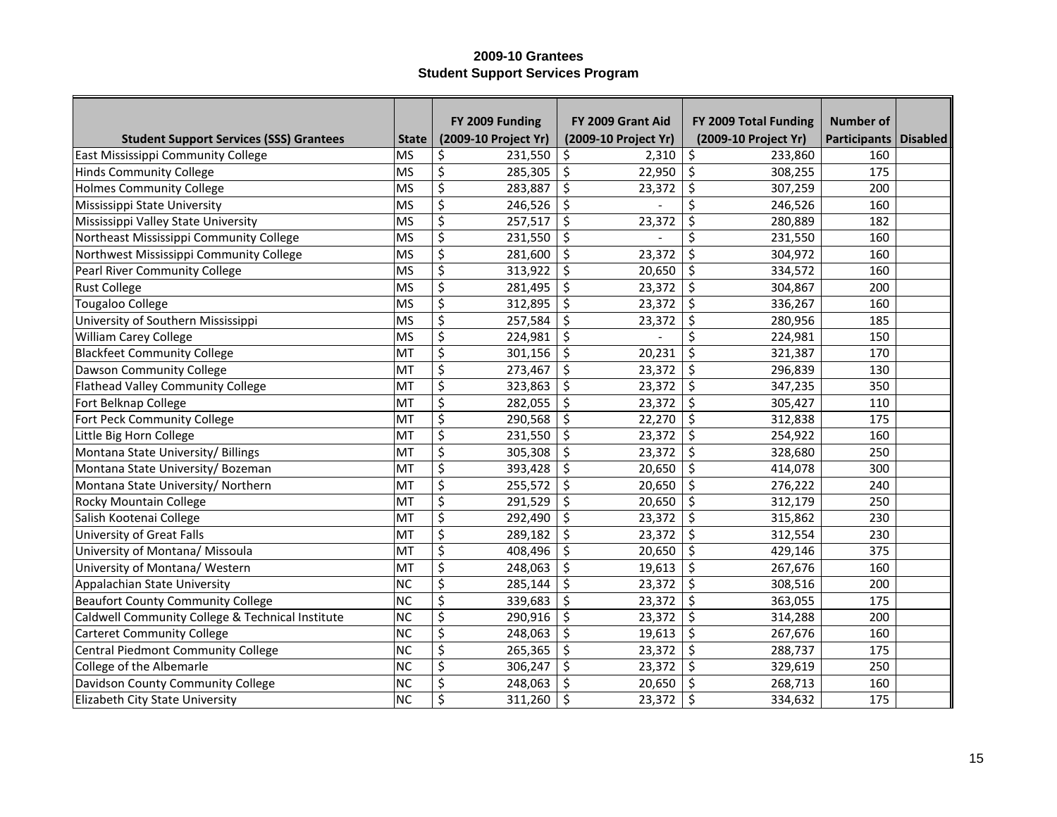|                                                  |              | FY 2009 Funding      | FY 2009 Grant Aid    | FY 2009 Total Funding | <b>Number of</b>        |  |
|--------------------------------------------------|--------------|----------------------|----------------------|-----------------------|-------------------------|--|
| <b>Student Support Services (SSS) Grantees</b>   | <b>State</b> | (2009-10 Project Yr) | (2009-10 Project Yr) | (2009-10 Project Yr)  | Participants   Disabled |  |
| East Mississippi Community College               | MS           | \$<br>231,550        | 2,310<br>\$          | \$<br>233,860         | 160                     |  |
| <b>Hinds Community College</b>                   | MS           | \$<br>285,305        | \$<br>22,950         | \$<br>308,255         | 175                     |  |
| <b>Holmes Community College</b>                  | MS           | \$<br>283,887        | \$<br>23,372         | \$<br>307,259         | 200                     |  |
| Mississippi State University                     | MS           | \$<br>246,526        | \$                   | \$<br>246,526         | 160                     |  |
| Mississippi Valley State University              | MS           | \$<br>257,517        | \$<br>23,372         | \$<br>280,889         | 182                     |  |
| Northeast Mississippi Community College          | MS           | \$<br>231,550        | \$                   | Ś<br>231,550          | 160                     |  |
| Northwest Mississippi Community College          | MS           | \$<br>281,600        | \$<br>23,372         | \$<br>304,972         | 160                     |  |
| Pearl River Community College                    | MS           | \$<br>313,922        | \$<br>20,650         | \$<br>334,572         | 160                     |  |
| <b>Rust College</b>                              | MS           | \$<br>281,495        | \$<br>23,372         | \$<br>304,867         | 200                     |  |
| <b>Tougaloo College</b>                          | MS           | \$<br>312,895        | \$<br>23,372         | \$<br>336,267         | 160                     |  |
| University of Southern Mississippi               | MS           | \$<br>257,584        | \$<br>23,372         | \$<br>280,956         | 185                     |  |
| William Carey College                            | MS           | \$<br>224,981        | \$                   | Ś<br>224,981          | 150                     |  |
| <b>Blackfeet Community College</b>               | MT           | \$<br>301,156        | \$<br>20,231         | \$<br>321,387         | 170                     |  |
| Dawson Community College                         | MT           | \$<br>273,467        | \$<br>23,372         | \$<br>296,839         | 130                     |  |
| Flathead Valley Community College                | MT           | \$<br>323,863        | \$<br>23,372         | \$<br>347,235         | 350                     |  |
| Fort Belknap College                             | MT           | \$<br>282,055        | \$<br>23,372         | \$<br>305,427         | 110                     |  |
| Fort Peck Community College                      | MT           | \$<br>290,568        | \$<br>22,270         | $\zeta$<br>312,838    | 175                     |  |
| Little Big Horn College                          | MT           | \$<br>231,550        | \$<br>23,372         | \$<br>254,922         | 160                     |  |
| Montana State University/ Billings               | MT           | \$<br>305,308        | \$<br>23,372         | \$<br>328,680         | 250                     |  |
| Montana State University/ Bozeman                | MT           | \$<br>393,428        | \$<br>20,650         | $\zeta$<br>414,078    | 300                     |  |
| Montana State University/ Northern               | MT           | \$<br>255,572        | \$<br>20,650         | \$<br>276,222         | 240                     |  |
| Rocky Mountain College                           | MT           | \$<br>291,529        | \$<br>20,650         | \$<br>312,179         | 250                     |  |
| Salish Kootenai College                          | MT           | \$<br>292,490        | \$<br>23,372         | \$<br>315,862         | 230                     |  |
| University of Great Falls                        | MT           | \$<br>289,182        | \$<br>23,372         | \$<br>312,554         | 230                     |  |
| University of Montana/ Missoula                  | MT           | \$<br>408,496        | \$<br>20,650         | \$<br>429,146         | 375                     |  |
| University of Montana/ Western                   | MT           | \$<br>248,063        | \$<br>19,613         | \$<br>267,676         | 160                     |  |
| Appalachian State University                     | NC           | \$<br>285,144        | \$<br>23,372         | \$<br>308,516         | 200                     |  |
| <b>Beaufort County Community College</b>         | NC           | \$<br>339,683        | \$<br>23,372         | \$<br>363,055         | 175                     |  |
| Caldwell Community College & Technical Institute | NC           | \$<br>290,916        | \$<br>23,372         | \$<br>314,288         | 200                     |  |
| <b>Carteret Community College</b>                | <b>NC</b>    | \$<br>248,063        | \$<br>19,613         | \$<br>267,676         | 160                     |  |
| Central Piedmont Community College               | NC           | \$<br>265,365        | \$<br>23,372         | \$<br>288,737         | 175                     |  |
| College of the Albemarle                         | NC           | \$<br>306,247        | \$<br>23,372         | \$<br>329,619         | 250                     |  |
| Davidson County Community College                | NC           | \$<br>248,063        | \$<br>20,650         | \$<br>268,713         | 160                     |  |
| Elizabeth City State University                  | NC           | \$<br>311,260        | \$<br>23,372         | \$<br>334,632         | 175                     |  |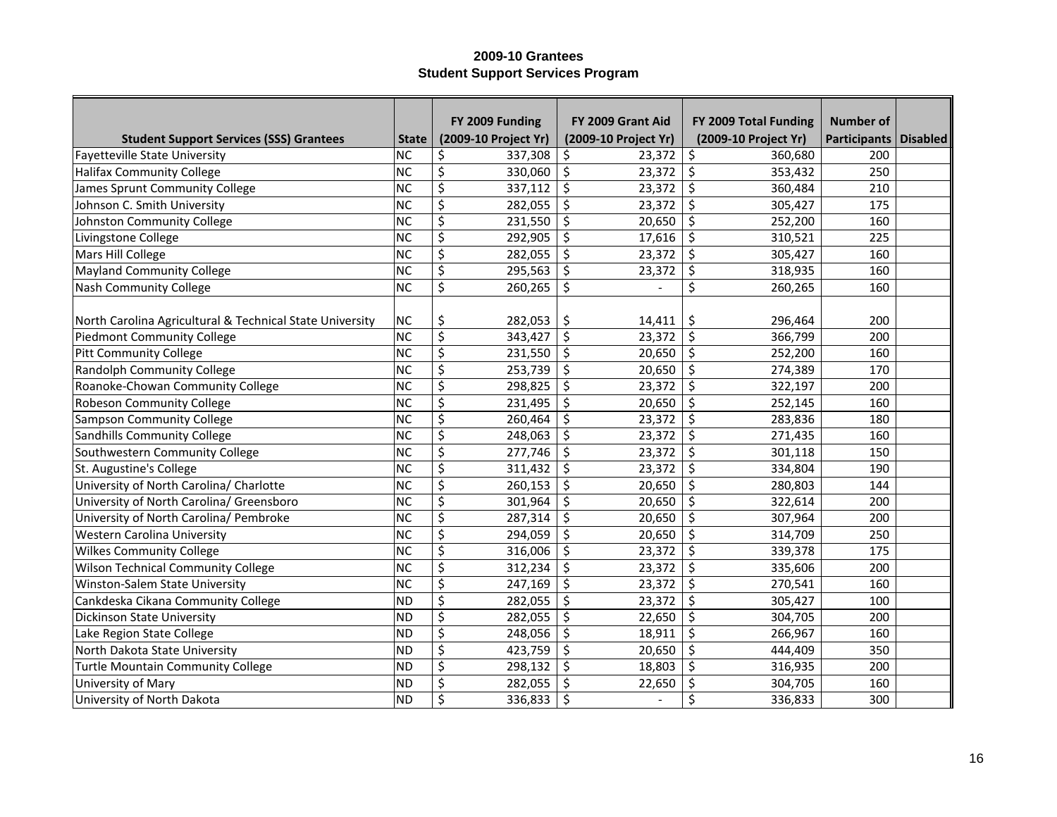|                                                          |                | FY 2009 Funding      | FY 2009 Grant Aid    | FY 2009 Total Funding | <b>Number of</b>        |  |
|----------------------------------------------------------|----------------|----------------------|----------------------|-----------------------|-------------------------|--|
| <b>Student Support Services (SSS) Grantees</b>           | <b>State</b>   | (2009-10 Project Yr) | (2009-10 Project Yr) | (2009-10 Project Yr)  | Participants   Disabled |  |
| <b>Fayetteville State University</b>                     | <b>NC</b>      | 337,308<br>\$        | 23,372<br>\$         | \$<br>360,680         | 200                     |  |
| <b>Halifax Community College</b>                         | <b>NC</b>      | \$<br>330,060        | \$<br>23,372         | \$<br>353,432         | 250                     |  |
| James Sprunt Community College                           | <b>NC</b>      | \$<br>337,112        | \$<br>23,372         | \$<br>360,484         | 210                     |  |
| Johnson C. Smith University                              | NC             | \$<br>282,055        | \$<br>23,372         | \$<br>305,427         | 175                     |  |
| Johnston Community College                               | NC             | \$<br>231,550        | \$<br>20,650         | \$<br>252,200         | 160                     |  |
| Livingstone College                                      | NC             | \$<br>292,905        | \$<br>17,616         | \$<br>310,521         | 225                     |  |
| Mars Hill College                                        | NC             | \$<br>282,055        | \$<br>23,372         | \$<br>305,427         | 160                     |  |
| <b>Mayland Community College</b>                         | NC             | \$<br>295,563        | \$<br>23,372         | \$<br>318,935         | 160                     |  |
| <b>Nash Community College</b>                            | NC             | \$<br>260,265        | \$                   | \$<br>260,265         | 160                     |  |
|                                                          |                |                      |                      |                       |                         |  |
| North Carolina Agricultural & Technical State University | <b>NC</b>      | \$<br>282,053        | \$.<br>14,411        | \$<br>296,464         | 200                     |  |
| <b>Piedmont Community College</b>                        | NC             | \$<br>343,427        | \$<br>23,372         | \$<br>366,799         | 200                     |  |
| <b>Pitt Community College</b>                            | NC             | \$<br>231,550        | \$<br>20,650         | $\zeta$<br>252,200    | 160                     |  |
| <b>Randolph Community College</b>                        | NC             | \$<br>253,739        | \$<br>20,650         | $\zeta$<br>274,389    | 170                     |  |
| Roanoke-Chowan Community College                         | NC             | \$<br>298,825        | \$<br>23,372         | \$<br>322,197         | 200                     |  |
| <b>Robeson Community College</b>                         | NC             | \$<br>231,495        | \$<br>20,650         | \$<br>252,145         | 160                     |  |
| <b>Sampson Community College</b>                         | NC             | \$<br>260,464        | \$<br>23,372         | \$<br>283,836         | 180                     |  |
| Sandhills Community College                              | NC             | \$<br>248,063        | \$<br>23,372         | \$<br>271,435         | 160                     |  |
| Southwestern Community College                           | NC             | \$<br>277,746        | \$<br>23,372         | \$<br>301,118         | 150                     |  |
| St. Augustine's College                                  | NC             | \$<br>311,432        | \$<br>23,372         | \$<br>334,804         | 190                     |  |
| University of North Carolina/ Charlotte                  | N <sub>C</sub> | \$<br>260,153        | \$<br>20,650         | \$<br>280,803         | 144                     |  |
| University of North Carolina/ Greensboro                 | NC             | \$<br>301,964        | \$<br>20,650         | \$<br>322,614         | 200                     |  |
| University of North Carolina/ Pembroke                   | N <sub>C</sub> | \$<br>287,314        | \$<br>20,650         | \$<br>307,964         | 200                     |  |
| Western Carolina University                              | NC             | \$<br>294,059        | \$<br>20,650         | \$<br>314,709         | 250                     |  |
| <b>Wilkes Community College</b>                          | NC             | \$<br>316,006        | \$<br>23,372         | \$<br>339,378         | 175                     |  |
| <b>Wilson Technical Community College</b>                | NC             | \$<br>312,234        | \$<br>23,372         | \$<br>335,606         | 200                     |  |
| Winston-Salem State University                           | NC             | \$<br>247,169        | \$<br>23,372         | \$<br>270,541         | 160                     |  |
| Cankdeska Cikana Community College                       | ND             | \$<br>282,055        | \$<br>23,372         | \$<br>305,427         | 100                     |  |
| <b>Dickinson State University</b>                        | ND             | \$<br>282,055        | \$<br>22,650         | \$<br>304,705         | 200                     |  |
| Lake Region State College                                | ND             | \$<br>248,056        | \$<br>18,911         | \$<br>266,967         | 160                     |  |
| North Dakota State University                            | ND             | \$<br>423,759        | \$<br>20,650         | \$<br>444,409         | 350                     |  |
| <b>Turtle Mountain Community College</b>                 | ND             | \$<br>298,132        | \$<br>18,803         | \$<br>316,935         | 200                     |  |
| University of Mary                                       | ND             | \$<br>282,055        | \$<br>22,650         | \$<br>304,705         | 160                     |  |
| University of North Dakota                               | ND             | \$<br>336,833        | \$<br>$\blacksquare$ | \$<br>336,833         | 300                     |  |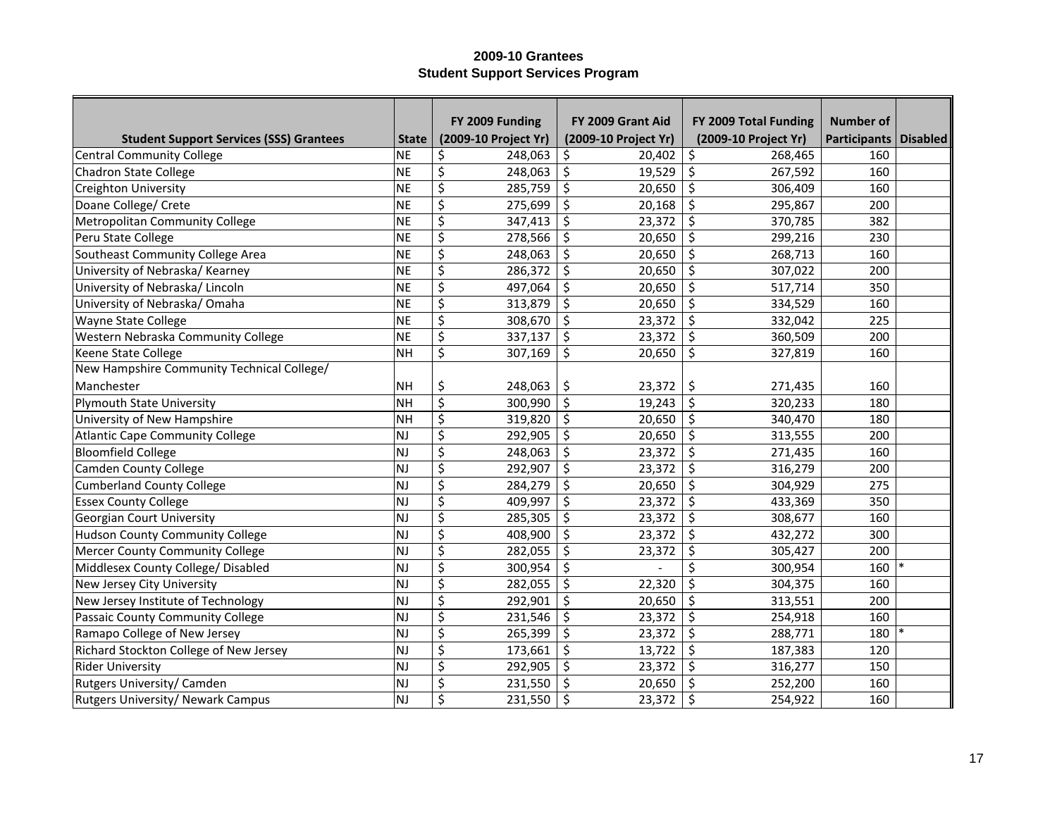|                                                |              | FY 2009 Funding      | FY 2009 Grant Aid    | FY 2009 Total Funding | Number of               |  |
|------------------------------------------------|--------------|----------------------|----------------------|-----------------------|-------------------------|--|
| <b>Student Support Services (SSS) Grantees</b> | <b>State</b> | (2009-10 Project Yr) | (2009-10 Project Yr) | (2009-10 Project Yr)  | Participants   Disabled |  |
| <b>Central Community College</b>               | NE           | \$<br>248,063        | \$<br>20,402         | \$<br>268,465         | 160                     |  |
| Chadron State College                          | NE           | \$<br>248,063        | \$<br>19,529         | \$<br>267,592         | 160                     |  |
| <b>Creighton University</b>                    | NE           | \$<br>285,759        | \$<br>20,650         | \$<br>306,409         | 160                     |  |
| Doane College/ Crete                           | NE           | \$<br>275,699        | \$<br>20,168         | \$<br>295,867         | 200                     |  |
| Metropolitan Community College                 | NE           | \$<br>347,413        | \$<br>23,372         | $\zeta$<br>370,785    | 382                     |  |
| Peru State College                             | NE           | \$<br>278,566        | \$<br>20,650         | \$<br>299,216         | 230                     |  |
| Southeast Community College Area               | NE           | \$<br>248,063        | \$<br>20,650         | \$<br>268,713         | 160                     |  |
| University of Nebraska/Kearney                 | NE           | \$<br>286,372        | \$<br>20,650         | $\zeta$<br>307,022    | 200                     |  |
| University of Nebraska/Lincoln                 | NE           | \$<br>497,064        | \$<br>20,650         | \$<br>517,714         | 350                     |  |
| University of Nebraska/Omaha                   | NE           | \$<br>313,879        | \$<br>20,650         | $\zeta$<br>334,529    | 160                     |  |
| Wayne State College                            | NE           | \$<br>308,670        | \$<br>23,372         | \$<br>332,042         | 225                     |  |
| Western Nebraska Community College             | NE           | \$<br>337,137        | \$<br>23,372         | \$<br>360,509         | 200                     |  |
| Keene State College                            | <b>NH</b>    | \$<br>307,169        | \$<br>20,650         | \$<br>327,819         | 160                     |  |
| New Hampshire Community Technical College/     |              |                      |                      |                       |                         |  |
| Manchester                                     | NH           | \$<br>248,063        | \$<br>23,372         | \$<br>271,435         | 160                     |  |
| <b>Plymouth State University</b>               | NH           | \$<br>300,990        | \$<br>19,243         | $\zeta$<br>320,233    | 180                     |  |
| University of New Hampshire                    | NH           | \$<br>319,820        | \$<br>20,650         | $\zeta$<br>340,470    | 180                     |  |
| <b>Atlantic Cape Community College</b>         | NJ           | \$<br>292,905        | \$<br>20,650         | \$<br>313,555         | 200                     |  |
| <b>Bloomfield College</b>                      | NJ           | \$<br>248,063        | \$<br>23,372         | \$<br>271,435         | 160                     |  |
| <b>Camden County College</b>                   | NJ           | \$<br>292,907        | \$<br>23,372         | \$<br>316,279         | 200                     |  |
| <b>Cumberland County College</b>               | NJ           | \$<br>284,279        | \$<br>20,650         | \$<br>304,929         | 275                     |  |
| <b>Essex County College</b>                    | NJ           | \$<br>409,997        | \$<br>23,372         | \$<br>433,369         | 350                     |  |
| <b>Georgian Court University</b>               | NJ           | \$<br>285,305        | \$<br>23,372         | \$<br>308,677         | 160                     |  |
| <b>Hudson County Community College</b>         | NJ           | \$<br>408,900        | \$<br>23,372         | \$<br>432,272         | 300                     |  |
| Mercer County Community College                | NJ           | \$<br>282,055        | \$<br>23,372         | \$<br>305,427         | 200                     |  |
| Middlesex County College/ Disabled             | NJ           | \$<br>300,954        | \$                   | \$<br>300,954         | 160                     |  |
| New Jersey City University                     | NJ           | \$<br>282,055        | \$<br>22,320         | \$<br>304,375         | 160                     |  |
| New Jersey Institute of Technology             | <b>NJ</b>    | \$<br>292,901        | \$<br>20,650         | \$<br>313,551         | 200                     |  |
| Passaic County Community College               | <b>NJ</b>    | \$<br>231,546        | \$<br>23,372         | \$<br>254,918         | 160                     |  |
| Ramapo College of New Jersey                   | NJ           | \$<br>265,399        | \$<br>23,372         | \$<br>288,771         | 180                     |  |
| Richard Stockton College of New Jersey         | NJ           | \$<br>173,661        | \$<br>13,722         | \$<br>187,383         | 120                     |  |
| <b>Rider University</b>                        | NJ           | \$<br>292,905        | \$<br>23,372         | \$<br>316,277         | 150                     |  |
| Rutgers University/ Camden                     | NJ           | \$<br>231,550        | \$<br>20,650         | \$<br>252,200         | 160                     |  |
| Rutgers University/ Newark Campus              | NJ           | \$<br>231,550        | \$<br>23,372         | \$<br>254,922         | 160                     |  |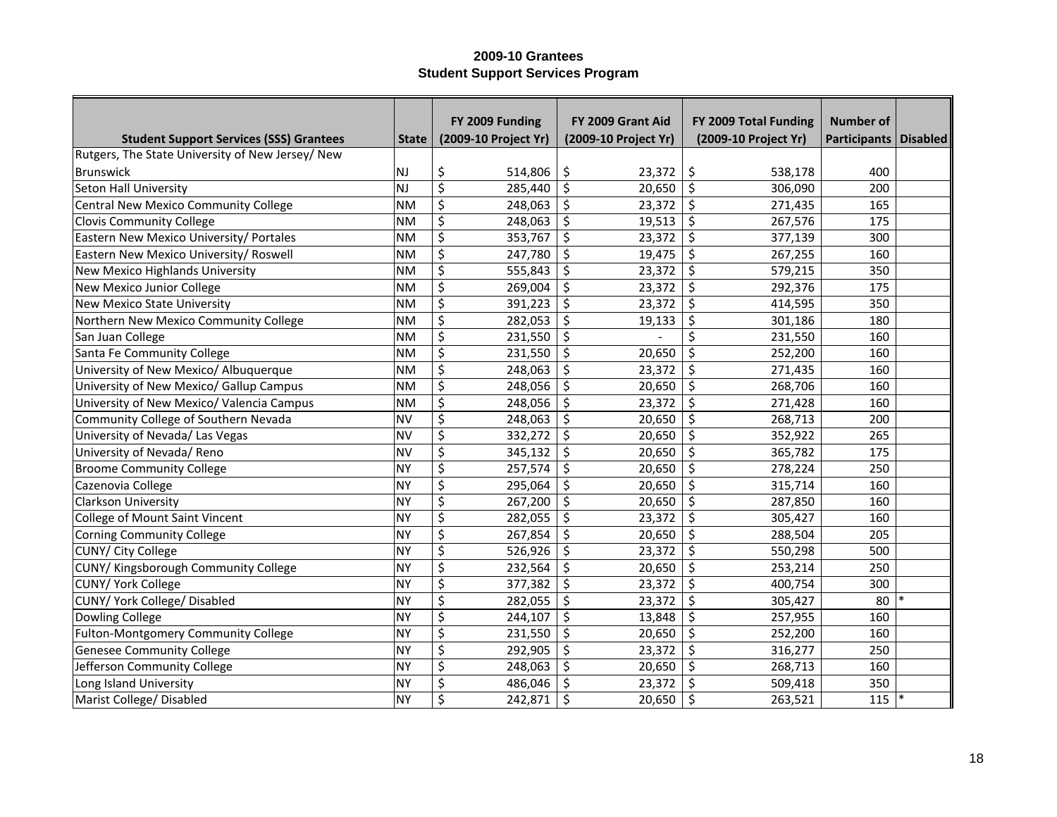|                                                  |              | FY 2009 Funding             | FY 2009 Grant Aid    | FY 2009 Total Funding | <b>Number of</b>        |  |
|--------------------------------------------------|--------------|-----------------------------|----------------------|-----------------------|-------------------------|--|
| <b>Student Support Services (SSS) Grantees</b>   | <b>State</b> | (2009-10 Project Yr)        | (2009-10 Project Yr) | (2009-10 Project Yr)  | Participants   Disabled |  |
| Rutgers, The State University of New Jersey/ New |              |                             |                      |                       |                         |  |
| <b>Brunswick</b>                                 | NJ           | \$<br>514,806               | \$<br>23,372         | \$<br>538,178         | 400                     |  |
| Seton Hall University                            | l NJ         | \$<br>285,440               | \$<br>20,650         | \$<br>306,090         | 200                     |  |
| <b>Central New Mexico Community College</b>      | <b>NM</b>    | \$<br>248,063               | \$<br>23,372         | $\zeta$<br>271,435    | 165                     |  |
| <b>Clovis Community College</b>                  | <b>NM</b>    | \$<br>248,063               | \$<br>19,513         | \$<br>267,576         | 175                     |  |
| Eastern New Mexico University/ Portales          | <b>NM</b>    | \$<br>353,767               | \$<br>23,372         | \$<br>377,139         | 300                     |  |
| Eastern New Mexico University/ Roswell           | <b>NM</b>    | \$<br>247,780               | \$<br>19,475         | \$<br>267,255         | 160                     |  |
| New Mexico Highlands University                  | <b>NM</b>    | \$<br>555,843               | \$<br>23,372         | \$<br>579,215         | 350                     |  |
| New Mexico Junior College                        | <b>NM</b>    | \$<br>269,004               | \$<br>23,372         | \$<br>292,376         | 175                     |  |
| <b>New Mexico State University</b>               | <b>NM</b>    | $\overline{\xi}$<br>391,223 | \$<br>23,372         | \$<br>414,595         | 350                     |  |
| Northern New Mexico Community College            | <b>NM</b>    | \$<br>282,053               | \$<br>19,133         | \$<br>301,186         | 180                     |  |
| San Juan College                                 | <b>NM</b>    | \$<br>231,550               | \$                   | Ś<br>231,550          | 160                     |  |
| Santa Fe Community College                       | <b>NM</b>    | \$<br>231,550               | \$<br>20,650         | \$<br>252,200         | 160                     |  |
| University of New Mexico/ Albuquerque            | <b>NM</b>    | \$<br>248,063               | \$<br>23,372         | \$<br>271,435         | 160                     |  |
| University of New Mexico/ Gallup Campus          | <b>NM</b>    | \$<br>248,056               | \$<br>20,650         | $\zeta$<br>268,706    | 160                     |  |
| University of New Mexico/ Valencia Campus        | <b>NM</b>    | \$<br>248,056               | \$<br>23,372         | \$<br>271,428         | 160                     |  |
| Community College of Southern Nevada             | <b>NV</b>    | \$<br>248,063               | \$<br>20,650         | \$<br>268,713         | 200                     |  |
| University of Nevada/ Las Vegas                  | <b>NV</b>    | \$<br>332,272               | \$<br>20,650         | $\zeta$<br>352,922    | 265                     |  |
| University of Nevada/ Reno                       | <b>NV</b>    | \$<br>345,132               | \$<br>20,650         | \$<br>365,782         | 175                     |  |
| <b>Broome Community College</b>                  | NY           | \$<br>257,574               | \$<br>20,650         | \$<br>278,224         | 250                     |  |
| Cazenovia College                                | NY           | \$<br>295,064               | \$<br>20,650         | \$<br>315,714         | 160                     |  |
| <b>Clarkson University</b>                       | NY           | \$<br>267,200               | \$<br>20,650         | \$<br>287,850         | 160                     |  |
| College of Mount Saint Vincent                   | NY           | \$<br>282,055               | \$<br>23,372         | \$<br>305,427         | 160                     |  |
| <b>Corning Community College</b>                 | NY           | \$<br>267,854               | \$<br>20,650         | \$<br>288,504         | 205                     |  |
| CUNY/ City College                               | NY           | \$<br>526,926               | \$<br>23,372         | \$<br>550,298         | 500                     |  |
| CUNY/ Kingsborough Community College             | NY           | \$<br>232,564               | \$<br>20,650         | \$<br>253,214         | 250                     |  |
| CUNY/ York College                               | NY           | \$<br>377,382               | \$<br>23,372         | \$<br>400,754         | 300                     |  |
| CUNY/ York College/ Disabled                     | NY           | \$<br>282,055               | \$<br>23,372         | \$<br>305,427         | 80                      |  |
| Dowling College                                  | NY           | \$<br>244,107               | \$<br>13,848         | \$<br>257,955         | 160                     |  |
| Fulton-Montgomery Community College              | NY           | \$<br>231,550               | \$<br>20,650         | \$<br>252,200         | 160                     |  |
| <b>Genesee Community College</b>                 | NY           | \$<br>292,905               | \$<br>23,372         | \$<br>316,277         | 250                     |  |
| Jefferson Community College                      | NY           | \$<br>248,063               | \$<br>20,650         | \$<br>268,713         | 160                     |  |
| Long Island University                           | NY           | \$<br>486,046               | \$<br>23,372         | \$<br>509,418         | 350                     |  |
| Marist College/ Disabled                         | NY           | \$<br>242,871               | \$<br>20,650         | \$<br>263,521         | 115                     |  |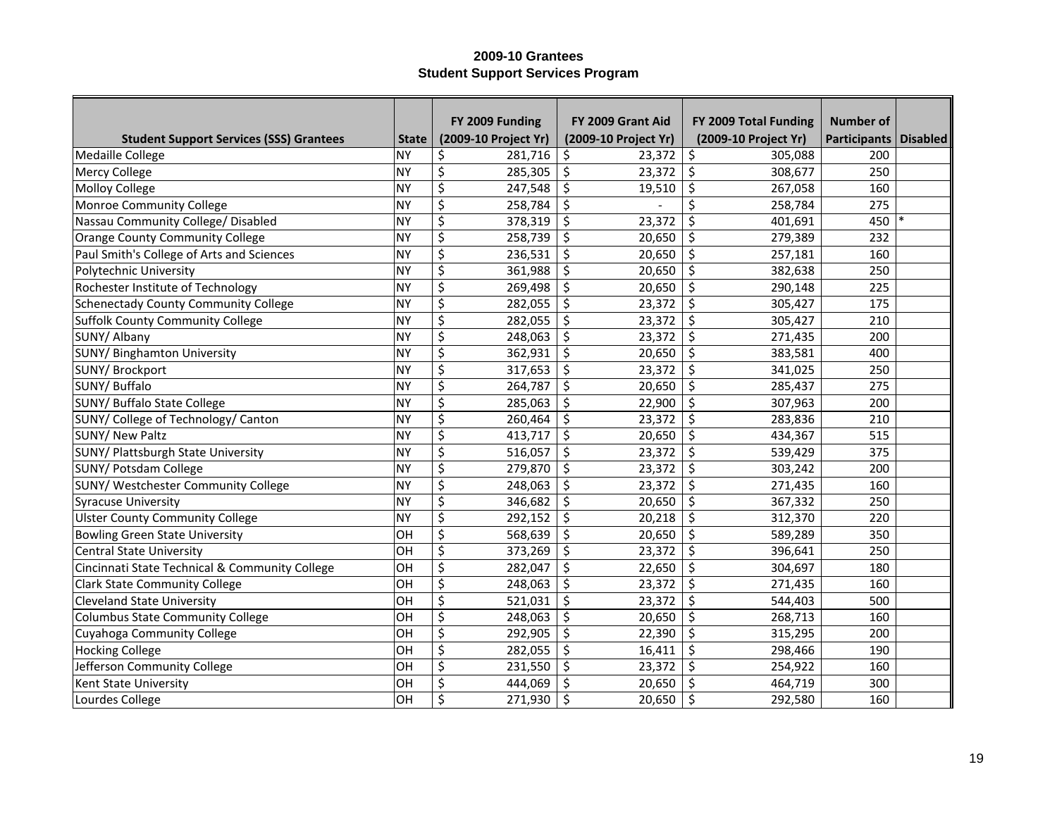|                                                |              | FY 2009 Funding      | FY 2009 Grant Aid    | FY 2009 Total Funding | <b>Number of</b>        |  |
|------------------------------------------------|--------------|----------------------|----------------------|-----------------------|-------------------------|--|
| <b>Student Support Services (SSS) Grantees</b> | <b>State</b> | (2009-10 Project Yr) | (2009-10 Project Yr) | (2009-10 Project Yr)  | Participants   Disabled |  |
| Medaille College                               | <b>NY</b>    | \$<br>281,716        | \$<br>23,372         | \$<br>305,088         | 200                     |  |
| Mercy College                                  | <b>NY</b>    | \$<br>285,305        | \$<br>23,372         | \$<br>308,677         | 250                     |  |
| <b>Molloy College</b>                          | <b>NY</b>    | \$<br>247,548        | \$<br>19,510         | \$<br>267,058         | 160                     |  |
| Monroe Community College                       | <b>NY</b>    | \$<br>258,784        | \$                   | \$<br>258,784         | 275                     |  |
| Nassau Community College/ Disabled             | <b>NY</b>    | \$<br>378,319        | \$<br>23,372         | \$<br>401,691         | 450                     |  |
| <b>Orange County Community College</b>         | <b>NY</b>    | \$<br>258,739        | \$<br>20,650         | \$<br>279,389         | 232                     |  |
| Paul Smith's College of Arts and Sciences      | <b>NY</b>    | \$<br>236,531        | \$<br>20,650         | \$<br>257,181         | 160                     |  |
| Polytechnic University                         | <b>NY</b>    | \$<br>361,988        | \$<br>20,650         | \$<br>382,638         | 250                     |  |
| Rochester Institute of Technology              | <b>NY</b>    | \$<br>269,498        | \$<br>20,650         | \$<br>290,148         | 225                     |  |
| <b>Schenectady County Community College</b>    | <b>NY</b>    | \$<br>282,055        | \$<br>23,372         | \$<br>305,427         | 175                     |  |
| Suffolk County Community College               | <b>NY</b>    | \$<br>282,055        | \$<br>23,372         | $\zeta$<br>305,427    | 210                     |  |
| SUNY/ Albany                                   | <b>NY</b>    | \$<br>248,063        | \$<br>23,372         | \$<br>271,435         | 200                     |  |
| <b>SUNY/ Binghamton University</b>             | <b>NY</b>    | \$<br>362,931        | \$<br>20,650         | \$<br>383,581         | 400                     |  |
| SUNY/ Brockport                                | <b>NY</b>    | \$<br>317,653        | \$<br>23,372         | \$<br>341,025         | 250                     |  |
| SUNY/ Buffalo                                  | <b>NY</b>    | \$<br>264,787        | \$<br>20,650         | \$<br>285,437         | 275                     |  |
| <b>SUNY/ Buffalo State College</b>             | <b>NY</b>    | \$<br>285,063        | \$<br>22,900         | \$<br>307,963         | 200                     |  |
| SUNY/ College of Technology/ Canton            | <b>NY</b>    | \$<br>260,464        | \$<br>23,372         | \$<br>283,836         | 210                     |  |
| <b>SUNY/ New Paltz</b>                         | <b>NY</b>    | \$<br>413,717        | \$<br>20,650         | \$<br>434,367         | 515                     |  |
| SUNY/ Plattsburgh State University             | <b>NY</b>    | \$<br>516,057        | \$<br>23,372         | \$<br>539,429         | 375                     |  |
| SUNY/ Potsdam College                          | <b>NY</b>    | \$<br>279,870        | \$<br>23,372         | \$<br>303,242         | 200                     |  |
| SUNY/ Westchester Community College            | <b>NY</b>    | \$<br>248,063        | \$<br>23,372         | \$<br>271,435         | 160                     |  |
| <b>Syracuse University</b>                     | <b>NY</b>    | \$<br>346,682        | \$<br>20,650         | \$<br>367,332         | 250                     |  |
| <b>Ulster County Community College</b>         | <b>NY</b>    | \$<br>292,152        | \$<br>20,218         | \$<br>312,370         | 220                     |  |
| <b>Bowling Green State University</b>          | OH           | \$<br>568,639        | \$<br>20,650         | \$<br>589,289         | 350                     |  |
| <b>Central State University</b>                | OH           | \$<br>373,269        | \$<br>23,372         | \$<br>396,641         | 250                     |  |
| Cincinnati State Technical & Community College | OH           | \$<br>282,047        | \$<br>22,650         | \$<br>304,697         | 180                     |  |
| <b>Clark State Community College</b>           | OH           | \$<br>248,063        | \$<br>23,372         | \$<br>271,435         | 160                     |  |
| <b>Cleveland State University</b>              | OH           | \$<br>521,031        | \$<br>23,372         | \$<br>544,403         | 500                     |  |
| <b>Columbus State Community College</b>        | OH           | \$<br>248,063        | \$<br>20,650         | \$<br>268,713         | 160                     |  |
| Cuyahoga Community College                     | OH           | \$<br>292,905        | \$<br>22,390         | \$<br>315,295         | 200                     |  |
| <b>Hocking College</b>                         | OH           | \$<br>282,055        | \$<br>16,411         | \$<br>298,466         | 190                     |  |
| Jefferson Community College                    | OH           | \$<br>231,550        | \$<br>23,372         | \$<br>254,922         | 160                     |  |
| <b>Kent State University</b>                   | OH           | \$<br>444,069        | \$<br>20,650         | \$<br>464,719         | 300                     |  |
| Lourdes College                                | OH           | \$<br>271,930        | \$<br>20,650         | \$<br>292,580         | 160                     |  |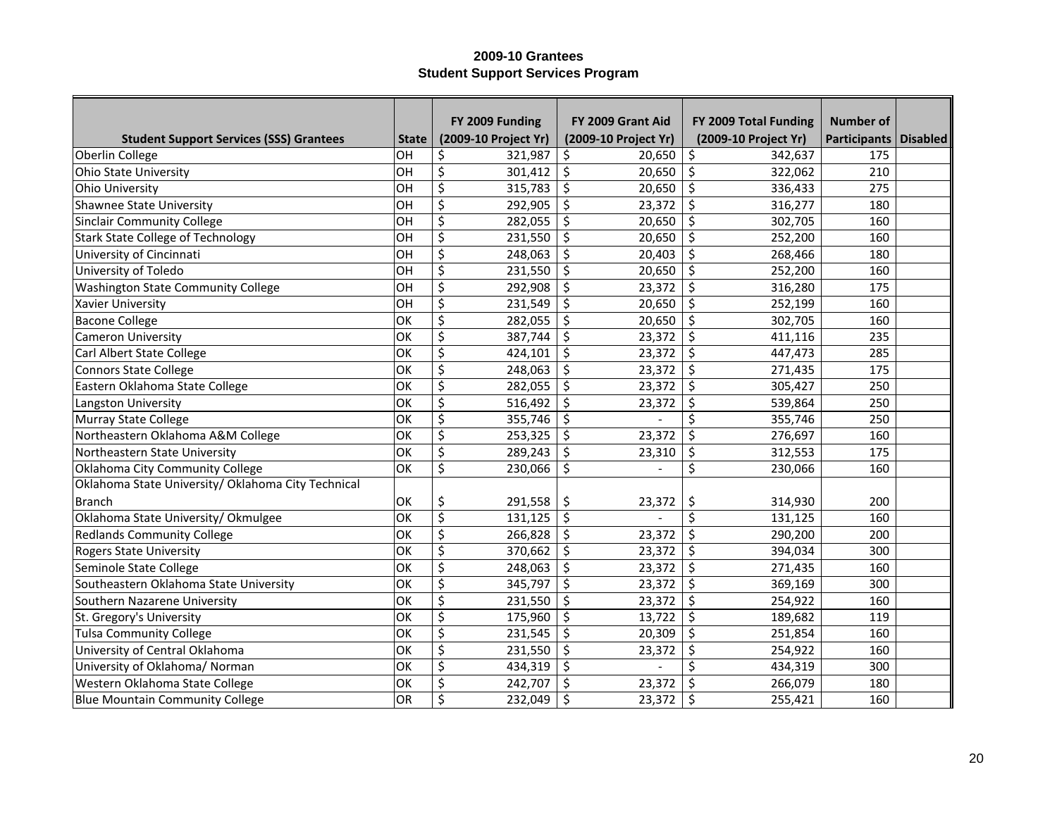|                                                    |              | FY 2009 Funding      | FY 2009 Grant Aid    | FY 2009 Total Funding | Number of               |  |
|----------------------------------------------------|--------------|----------------------|----------------------|-----------------------|-------------------------|--|
| <b>Student Support Services (SSS) Grantees</b>     | <b>State</b> | (2009-10 Project Yr) | (2009-10 Project Yr) | (2009-10 Project Yr)  | Participants   Disabled |  |
| Oberlin College                                    | OH           | \$<br>321,987        | Ś.<br>20,650         | \$<br>342.637         | 175                     |  |
| <b>Ohio State University</b>                       | OH           | \$<br>301,412        | \$<br>20,650         | \$<br>322,062         | 210                     |  |
| Ohio University                                    | OH           | \$<br>315,783        | \$<br>20,650         | \$<br>336,433         | 275                     |  |
| <b>Shawnee State University</b>                    | OH           | \$<br>292,905        | \$<br>23,372         | \$<br>316,277         | 180                     |  |
| <b>Sinclair Community College</b>                  | OH           | \$<br>282,055        | \$<br>20,650         | $\zeta$<br>302,705    | 160                     |  |
| <b>Stark State College of Technology</b>           | OH           | \$<br>231,550        | \$<br>20,650         | \$<br>252,200         | 160                     |  |
| University of Cincinnati                           | OH           | \$<br>248,063        | \$<br>20,403         | \$<br>268,466         | 180                     |  |
| University of Toledo                               | OH           | \$<br>231,550        | $\zeta$<br>20,650    | $\zeta$<br>252,200    | 160                     |  |
| <b>Washington State Community College</b>          | OH           | \$<br>292,908        | \$<br>23,372         | $\zeta$<br>316,280    | 175                     |  |
| Xavier University                                  | OH           | \$<br>231,549        | \$<br>20,650         | $\zeta$<br>252,199    | 160                     |  |
| <b>Bacone College</b>                              | OK           | \$<br>282,055        | \$<br>20,650         | $\zeta$<br>302,705    | 160                     |  |
| <b>Cameron University</b>                          | OK           | \$<br>387,744        | $\zeta$<br>23,372    | $\zeta$<br>411,116    | 235                     |  |
| Carl Albert State College                          | OK           | \$<br>424,101        | \$<br>23,372         | $\zeta$<br>447,473    | 285                     |  |
| <b>Connors State College</b>                       | OK           | \$<br>248,063        | \$<br>23,372         | \$<br>271,435         | 175                     |  |
| Eastern Oklahoma State College                     | OK           | \$<br>282,055        | \$<br>23,372         | \$<br>305,427         | 250                     |  |
| Langston University                                | OK           | \$<br>516,492        | \$<br>23,372         | \$<br>539,864         | 250                     |  |
| <b>Murray State College</b>                        | OK           | \$<br>355,746        | \$                   | \$<br>355,746         | 250                     |  |
| Northeastern Oklahoma A&M College                  | OK           | \$<br>253,325        | \$<br>23,372         | \$<br>276,697         | 160                     |  |
| Northeastern State University                      | OK           | \$<br>289,243        | \$<br>23,310         | \$<br>312,553         | 175                     |  |
| Oklahoma City Community College                    | OK           | \$<br>230,066        | \$                   | \$<br>230,066         | 160                     |  |
| Oklahoma State University/ Oklahoma City Technical |              |                      |                      |                       |                         |  |
| <b>Branch</b>                                      | OK           | \$<br>291,558        | \$<br>23,372         | \$<br>314,930         | 200                     |  |
| Oklahoma State University/ Okmulgee                | OK           | \$<br>131,125        | \$                   | \$<br>131,125         | 160                     |  |
| <b>Redlands Community College</b>                  | OK           | \$<br>266,828        | \$<br>23,372         | \$<br>290,200         | 200                     |  |
| <b>Rogers State University</b>                     | OK           | \$<br>370,662        | \$<br>23,372         | \$<br>394,034         | 300                     |  |
| Seminole State College                             | OK           | \$<br>248,063        | \$<br>23,372         | \$<br>271,435         | 160                     |  |
| Southeastern Oklahoma State University             | OK           | \$<br>345,797        | \$<br>23,372         | \$<br>369,169         | 300                     |  |
| Southern Nazarene University                       | OK           | \$<br>231,550        | \$<br>23,372         | \$<br>254,922         | 160                     |  |
| St. Gregory's University                           | OK           | \$<br>175,960        | \$<br>13,722         | \$<br>189,682         | 119                     |  |
| <b>Tulsa Community College</b>                     | OK           | \$<br>231,545        | \$<br>20,309         | \$<br>251,854         | 160                     |  |
| University of Central Oklahoma                     | OK           | \$<br>231,550        | \$<br>23,372         | \$<br>254,922         | 160                     |  |
| University of Oklahoma/ Norman                     | OK           | \$<br>434,319        | \$                   | \$<br>434,319         | 300                     |  |
| Western Oklahoma State College                     | OK           | \$<br>242,707        | \$<br>23,372         | \$<br>266,079         | 180                     |  |
| <b>Blue Mountain Community College</b>             | OR           | \$<br>232,049        | \$<br>23,372         | \$<br>255,421         | 160                     |  |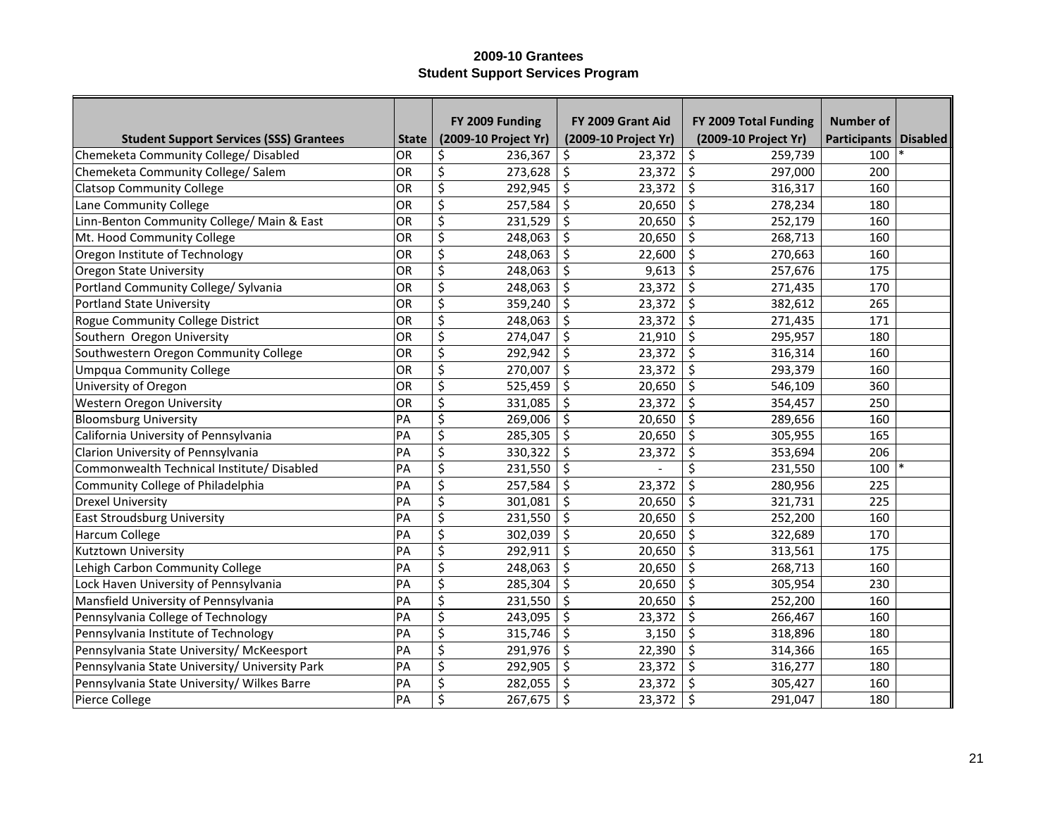|                                                |              | FY 2009 Funding      | FY 2009 Grant Aid    | FY 2009 Total Funding | <b>Number of</b>    |                 |
|------------------------------------------------|--------------|----------------------|----------------------|-----------------------|---------------------|-----------------|
| <b>Student Support Services (SSS) Grantees</b> | <b>State</b> | (2009-10 Project Yr) | (2009-10 Project Yr) | (2009-10 Project Yr)  | <b>Participants</b> | <b>Disabled</b> |
| Chemeketa Community College/ Disabled          | OR           | 236,367<br>\$        | \$<br>23,372         | \$<br>259,739         | 100                 |                 |
| Chemeketa Community College/ Salem             | OR           | \$<br>273,628        | \$<br>23,372         | \$<br>297,000         | 200                 |                 |
| <b>Clatsop Community College</b>               | OR           | \$<br>292,945        | \$<br>23,372         | \$<br>316,317         | 160                 |                 |
| Lane Community College                         | OR           | \$<br>257,584        | \$<br>20,650         | \$<br>278,234         | 180                 |                 |
| Linn-Benton Community College/ Main & East     | OR           | \$<br>231,529        | \$<br>20,650         | \$<br>252,179         | 160                 |                 |
| Mt. Hood Community College                     | OR           | \$<br>248,063        | \$<br>20,650         | \$<br>268,713         | 160                 |                 |
| Oregon Institute of Technology                 | OR           | \$<br>248,063        | \$<br>22,600         | \$<br>270,663         | 160                 |                 |
| <b>Oregon State University</b>                 | OR           | \$<br>248,063        | \$<br>9,613          | \$<br>257,676         | 175                 |                 |
| Portland Community College/ Sylvania           | OR           | \$<br>248,063        | \$<br>23,372         | $\zeta$<br>271,435    | 170                 |                 |
| <b>Portland State University</b>               | OR           | \$<br>359,240        | \$<br>23,372         | \$<br>382,612         | 265                 |                 |
| Rogue Community College District               | OR           | \$<br>248,063        | \$<br>23,372         | \$<br>271,435         | 171                 |                 |
| Southern Oregon University                     | OR           | \$<br>274,047        | \$<br>21,910         | \$<br>295,957         | 180                 |                 |
| Southwestern Oregon Community College          | OR           | \$<br>292,942        | \$<br>23,372         | \$<br>316,314         | 160                 |                 |
| <b>Umpqua Community College</b>                | OR           | \$<br>270,007        | \$<br>23,372         | \$<br>293,379         | 160                 |                 |
| University of Oregon                           | OR           | \$<br>525,459        | \$<br>20,650         | \$<br>546,109         | 360                 |                 |
| Western Oregon University                      | OR           | \$<br>331,085        | \$<br>23,372         | \$<br>354,457         | 250                 |                 |
| <b>Bloomsburg University</b>                   | PA           | \$<br>269,006        | \$<br>20,650         | \$<br>289,656         | 160                 |                 |
| California University of Pennsylvania          | PA           | \$<br>285,305        | \$<br>20,650         | \$<br>305,955         | 165                 |                 |
| Clarion University of Pennsylvania             | PA           | \$<br>330,322        | \$<br>23,372         | \$<br>353,694         | 206                 |                 |
| Commonwealth Technical Institute/ Disabled     | PA           | \$<br>231,550        | \$                   | Ś<br>231,550          | 100                 |                 |
| Community College of Philadelphia              | PA           | \$<br>257,584        | \$<br>23,372         | \$<br>280,956         | 225                 |                 |
| <b>Drexel University</b>                       | PA           | \$<br>301,081        | \$<br>20,650         | \$<br>321,731         | 225                 |                 |
| <b>East Stroudsburg University</b>             | PA           | \$<br>231,550        | \$<br>20,650         | \$<br>252,200         | 160                 |                 |
| Harcum College                                 | PA           | \$<br>302,039        | \$<br>20,650         | \$<br>322,689         | 170                 |                 |
| Kutztown University                            | PA           | \$<br>292,911        | \$<br>20,650         | \$<br>313,561         | 175                 |                 |
| Lehigh Carbon Community College                | PA           | \$<br>248,063        | \$<br>20,650         | \$<br>268,713         | 160                 |                 |
| Lock Haven University of Pennsylvania          | PA           | \$<br>285,304        | \$<br>20,650         | \$<br>305,954         | 230                 |                 |
| Mansfield University of Pennsylvania           | PA           | \$<br>231,550        | \$<br>20,650         | \$<br>252,200         | 160                 |                 |
| Pennsylvania College of Technology             | PA           | \$<br>243,095        | \$<br>23,372         | \$<br>266,467         | 160                 |                 |
| Pennsylvania Institute of Technology           | PA           | \$<br>315,746        | \$<br>3,150          | \$<br>318,896         | 180                 |                 |
| Pennsylvania State University/ McKeesport      | PA           | \$<br>291,976        | \$<br>22,390         | \$<br>314,366         | 165                 |                 |
| Pennsylvania State University/ University Park | PA           | \$<br>292,905        | \$<br>23,372         | \$<br>316,277         | 180                 |                 |
| Pennsylvania State University/ Wilkes Barre    | PA           | \$<br>282,055        | \$<br>23,372         | \$<br>305,427         | 160                 |                 |
| Pierce College                                 | PA           | \$<br>267,675        | \$<br>23,372         | \$<br>291,047         | 180                 |                 |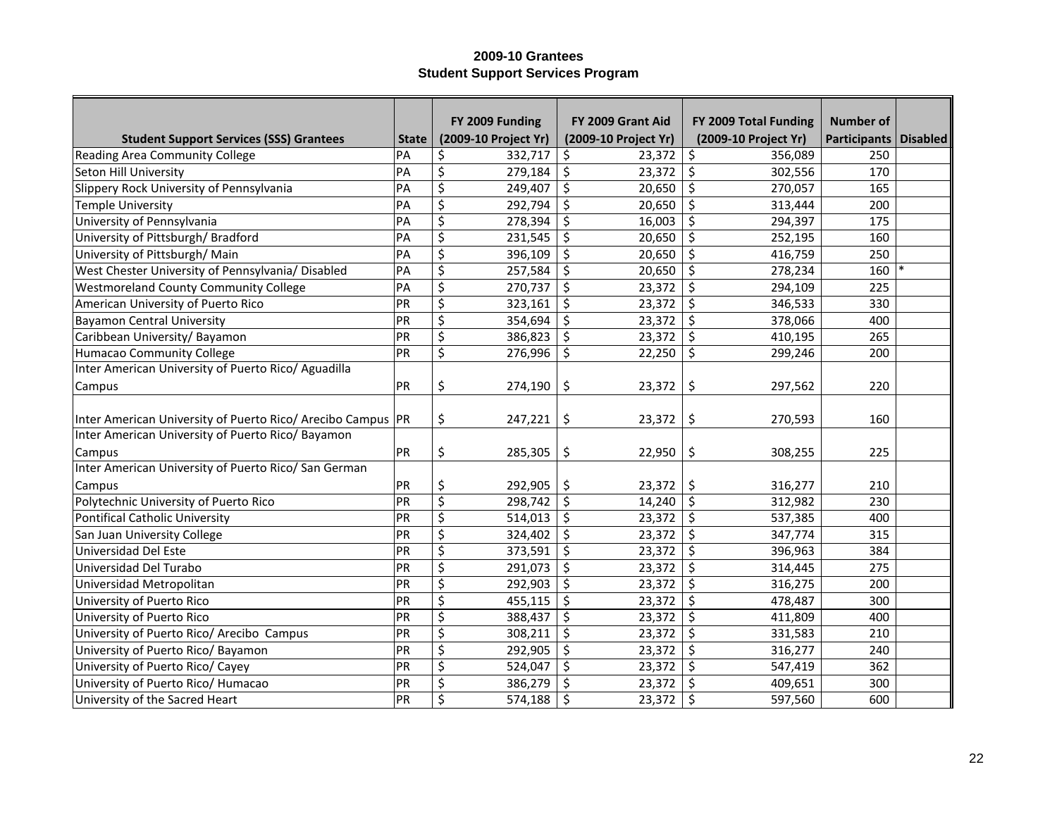|                                                               |              | FY 2009 Funding      | FY 2009 Grant Aid    | FY 2009 Total Funding | <b>Number of</b>      |  |
|---------------------------------------------------------------|--------------|----------------------|----------------------|-----------------------|-----------------------|--|
| <b>Student Support Services (SSS) Grantees</b>                | <b>State</b> | (2009-10 Project Yr) | (2009-10 Project Yr) | (2009-10 Project Yr)  | Participants Disabled |  |
| Reading Area Community College                                | PA           | \$<br>332,717        | \$<br>23,372         | \$<br>356,089         | 250                   |  |
| Seton Hill University                                         | PA           | \$<br>279,184        | \$<br>23,372         | \$<br>302,556         | 170                   |  |
| Slippery Rock University of Pennsylvania                      | PA           | \$<br>249,407        | \$<br>20,650         | \$<br>270,057         | 165                   |  |
| <b>Temple University</b>                                      | PA           | \$<br>292,794        | \$<br>20,650         | \$<br>313,444         | 200                   |  |
| University of Pennsylvania                                    | PA           | \$<br>278,394        | \$<br>16,003         | $\zeta$<br>294,397    | 175                   |  |
| University of Pittsburgh/Bradford                             | PA           | \$<br>231,545        | \$<br>20,650         | \$<br>252,195         | 160                   |  |
| University of Pittsburgh/Main                                 | PA           | \$<br>396,109        | \$<br>20,650         | $\zeta$<br>416,759    | 250                   |  |
| West Chester University of Pennsylvania/ Disabled             | PA           | \$<br>257,584        | \$<br>20,650         | $\zeta$<br>278,234    | 160                   |  |
| <b>Westmoreland County Community College</b>                  | PA           | \$<br>270,737        | \$<br>23,372         | \$<br>294,109         | 225                   |  |
| American University of Puerto Rico                            | PR           | \$<br>323,161        | \$<br>23,372         | $\zeta$<br>346,533    | 330                   |  |
| <b>Bayamon Central University</b>                             | PR           | \$<br>354,694        | \$<br>23,372         | $\zeta$<br>378,066    | 400                   |  |
| Caribbean University/ Bayamon                                 | PR           | \$<br>386,823        | \$<br>23,372         | \$<br>410,195         | 265                   |  |
| <b>Humacao Community College</b>                              | PR           | \$<br>276,996        | \$<br>22,250         | $\zeta$<br>299,246    | 200                   |  |
| Inter American University of Puerto Rico/ Aguadilla           |              |                      |                      |                       |                       |  |
| Campus                                                        | PR           | \$<br>274,190        | \$<br>23,372         | \$<br>297,562         | 220                   |  |
|                                                               |              |                      |                      |                       |                       |  |
| Inter American University of Puerto Rico/ Arecibo Campus   PR |              | \$<br>247,221        | \$<br>23,372         | \$<br>270,593         | 160                   |  |
| Inter American University of Puerto Rico/ Bayamon             |              |                      |                      |                       |                       |  |
| Campus                                                        | PR           | \$<br>285,305        | \$<br>22,950         | \$<br>308,255         | 225                   |  |
| Inter American University of Puerto Rico/ San German          |              |                      |                      |                       |                       |  |
| Campus                                                        | PR           | \$<br>292,905        | \$<br>23,372         | \$<br>316,277         | 210                   |  |
| Polytechnic University of Puerto Rico                         | PR           | \$<br>298,742        | \$<br>14,240         | $\zeta$<br>312,982    | 230                   |  |
| <b>Pontifical Catholic University</b>                         | PR           | \$<br>514,013        | \$<br>23,372         | \$<br>537,385         | 400                   |  |
| San Juan University College                                   | PR           | \$<br>324,402        | \$<br>23,372         | \$<br>347,774         | 315                   |  |
| Universidad Del Este                                          | PR           | \$<br>373,591        | \$<br>23,372         | \$<br>396,963         | 384                   |  |
| Universidad Del Turabo                                        | PR           | \$<br>291,073        | \$<br>23,372         | \$<br>314,445         | 275                   |  |
| Universidad Metropolitan                                      | PR           | \$<br>292,903        | \$<br>23,372         | \$<br>316,275         | 200                   |  |
| University of Puerto Rico                                     | PR           | \$<br>455,115        | \$<br>23,372         | \$<br>478,487         | 300                   |  |
| University of Puerto Rico                                     | PR           | \$<br>388,437        | \$<br>23,372         | \$<br>411,809         | 400                   |  |
| University of Puerto Rico/ Arecibo Campus                     | PR           | \$<br>308,211        | \$<br>23,372         | \$<br>331,583         | 210                   |  |
| University of Puerto Rico/ Bayamon                            | PR           | \$<br>292,905        | \$<br>23,372         | \$<br>316,277         | 240                   |  |
| University of Puerto Rico/ Cayey                              | PR           | \$<br>524,047        | \$<br>23,372         | \$<br>547,419         | 362                   |  |
| University of Puerto Rico/ Humacao                            | PR           | \$<br>386,279        | \$<br>23,372         | \$<br>409,651         | 300                   |  |
| University of the Sacred Heart                                | PR           | \$<br>574,188        | \$<br>23,372         | \$<br>597,560         | 600                   |  |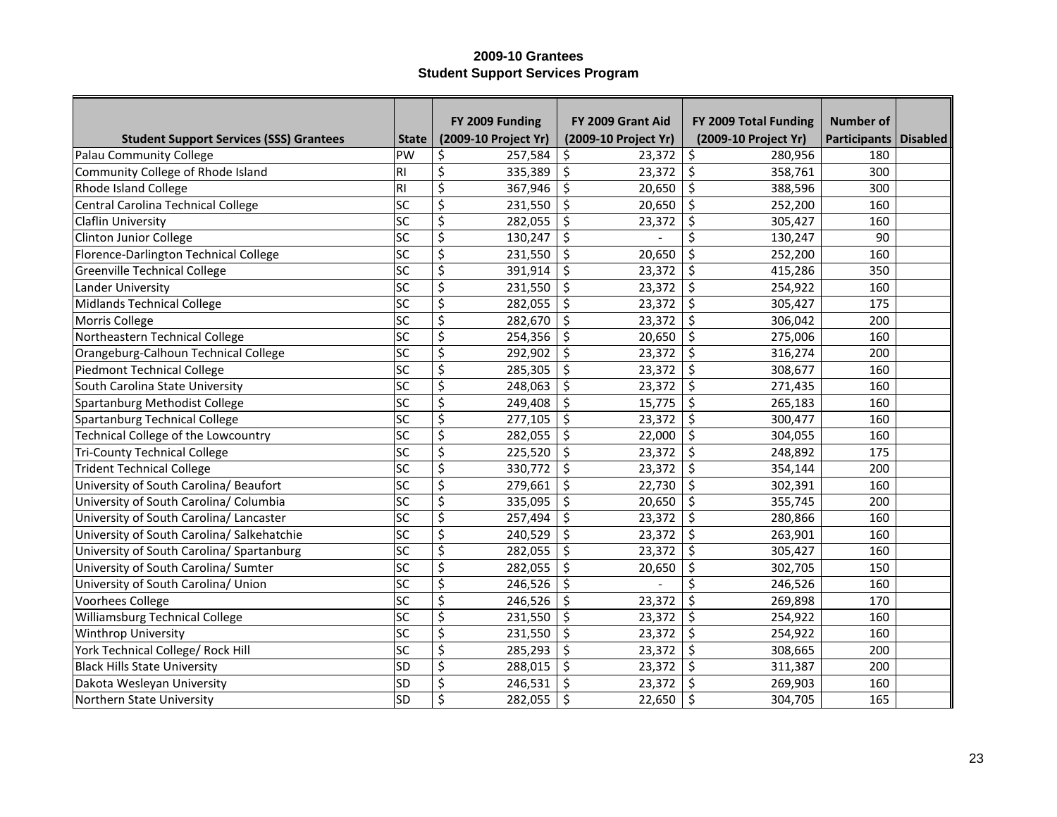|                                                |                          | FY 2009 Funding      | FY 2009 Grant Aid    | FY 2009 Total Funding | <b>Number of</b>             |  |
|------------------------------------------------|--------------------------|----------------------|----------------------|-----------------------|------------------------------|--|
| <b>Student Support Services (SSS) Grantees</b> | <b>State</b>             | (2009-10 Project Yr) | (2009-10 Project Yr) | (2009-10 Project Yr)  | <b>Participants Disabled</b> |  |
| Palau Community College                        | PW                       | \$<br>257,584        | \$<br>23,372         | \$<br>280,956         | 180                          |  |
| Community College of Rhode Island              | R <sub>l</sub>           | \$<br>335,389        | \$<br>23,372         | \$<br>358,761         | 300                          |  |
| Rhode Island College                           | R                        | \$<br>367,946        | \$<br>20,650         | \$<br>388,596         | 300                          |  |
| Central Carolina Technical College             | $\overline{sc}$          | \$<br>231,550        | \$<br>20,650         | \$<br>252,200         | 160                          |  |
| <b>Claflin University</b>                      | $\overline{sc}$          | \$<br>282,055        | \$<br>23,372         | \$<br>305,427         | 160                          |  |
| <b>Clinton Junior College</b>                  | $\overline{sc}$          | \$<br>130,247        | \$                   | Ś<br>130,247          | 90                           |  |
| Florence-Darlington Technical College          | $ \overline{SC} $        | \$<br>231,550        | \$<br>20,650         | \$<br>252,200         | 160                          |  |
| <b>Greenville Technical College</b>            | sc                       | \$<br>391,914        | \$<br>23,372         | \$<br>415,286         | 350                          |  |
| Lander University                              | $\overline{\textsf{sc}}$ | \$<br>231,550        | \$<br>23,372         | $\zeta$<br>254,922    | 160                          |  |
| Midlands Technical College                     | lsc                      | \$<br>282,055        | \$<br>23,372         | \$<br>305,427         | 175                          |  |
| Morris College                                 | lsc                      | \$<br>282,670        | \$<br>23,372         | \$<br>306,042         | 200                          |  |
| Northeastern Technical College                 | lsc                      | \$<br>254,356        | \$<br>20,650         | $\zeta$<br>275,006    | 160                          |  |
| Orangeburg-Calhoun Technical College           | sc                       | \$<br>292,902        | \$<br>23,372         | \$<br>316,274         | 200                          |  |
| Piedmont Technical College                     | sc                       | \$<br>285,305        | \$<br>23,372         | \$<br>308,677         | 160                          |  |
| South Carolina State University                | lsc                      | \$<br>248,063        | \$<br>23,372         | \$<br>271,435         | 160                          |  |
| Spartanburg Methodist College                  | lsc                      | \$<br>249,408        | \$<br>15,775         | \$<br>265,183         | 160                          |  |
| Spartanburg Technical College                  | sc                       | \$<br>277,105        | \$<br>23,372         | \$<br>300,477         | 160                          |  |
| Technical College of the Lowcountry            | sc                       | \$<br>282,055        | \$<br>22,000         | \$<br>304,055         | 160                          |  |
| <b>Tri-County Technical College</b>            | sc                       | \$<br>225,520        | \$<br>23,372         | \$<br>248,892         | 175                          |  |
| <b>Trident Technical College</b>               | sc                       | \$<br>330,772        | \$<br>23,372         | \$<br>354,144         | 200                          |  |
| University of South Carolina/ Beaufort         | lsc                      | \$<br>279,661        | \$<br>22,730         | \$<br>302,391         | 160                          |  |
| University of South Carolina/ Columbia         | lsc                      | \$<br>335,095        | \$<br>20,650         | \$<br>355,745         | 200                          |  |
| University of South Carolina/ Lancaster        | SC                       | \$<br>257,494        | \$<br>23,372         | \$<br>280,866         | 160                          |  |
| University of South Carolina/ Salkehatchie     | SC                       | \$<br>240,529        | \$<br>23,372         | \$<br>263,901         | 160                          |  |
| University of South Carolina/ Spartanburg      | SC                       | \$<br>282,055        | \$<br>23,372         | \$<br>305,427         | 160                          |  |
| University of South Carolina/ Sumter           | SC                       | \$<br>282,055        | \$<br>20,650         | \$<br>302,705         | 150                          |  |
| University of South Carolina/ Union            | SC                       | \$<br>246,526        | \$                   | \$<br>246,526         | 160                          |  |
| Voorhees College                               | SC                       | \$<br>246,526        | \$<br>23,372         | \$<br>269,898         | 170                          |  |
| Williamsburg Technical College                 | SC                       | \$<br>231,550        | \$<br>23,372         | \$<br>254,922         | 160                          |  |
| Winthrop University                            | SC                       | \$<br>231,550        | \$<br>23,372         | \$<br>254,922         | 160                          |  |
| York Technical College/ Rock Hill              | SC                       | \$<br>285,293        | \$<br>23,372         | \$<br>308,665         | 200                          |  |
| <b>Black Hills State University</b>            | <b>SD</b>                | \$<br>288,015        | \$<br>23,372         | \$<br>311,387         | 200                          |  |
| Dakota Wesleyan University                     | SD                       | \$<br>246,531        | \$<br>23,372         | \$<br>269,903         | 160                          |  |
| Northern State University                      | <b>SD</b>                | \$<br>282,055        | \$<br>22,650         | \$<br>304,705         | 165                          |  |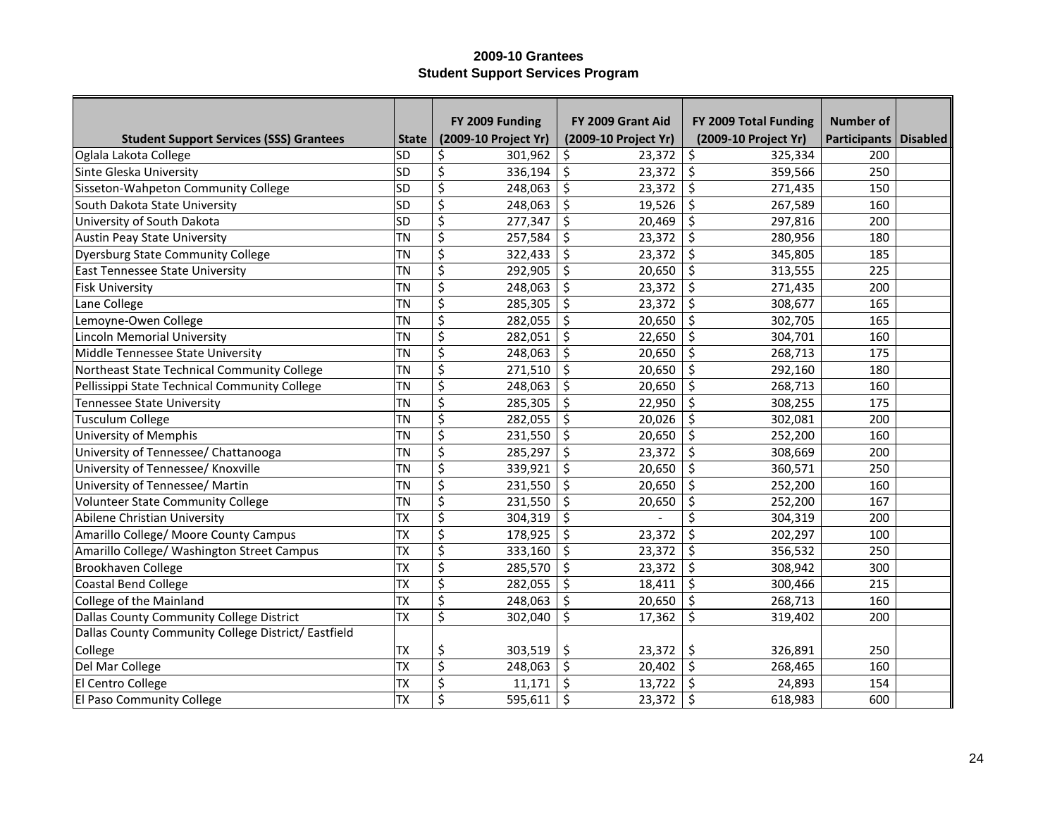|                                                     |              | FY 2009 Funding      | FY 2009 Grant Aid    | FY 2009 Total Funding | <b>Number of</b>        |  |
|-----------------------------------------------------|--------------|----------------------|----------------------|-----------------------|-------------------------|--|
| <b>Student Support Services (SSS) Grantees</b>      | <b>State</b> | (2009-10 Project Yr) | (2009-10 Project Yr) | (2009-10 Project Yr)  | Participants   Disabled |  |
| Oglala Lakota College                               | <b>SD</b>    | 301,962<br>\$        | \$<br>23,372         | \$<br>325,334         | 200                     |  |
| Sinte Gleska University                             | <b>SD</b>    | \$<br>336,194        | \$<br>23,372         | \$<br>359,566         | 250                     |  |
| Sisseton-Wahpeton Community College                 | <b>SD</b>    | \$<br>248,063        | \$<br>23,372         | \$<br>271,435         | 150                     |  |
| South Dakota State University                       | <b>SD</b>    | \$<br>248,063        | \$<br>19,526         | \$<br>267,589         | 160                     |  |
| University of South Dakota                          | <b>SD</b>    | \$<br>277,347        | \$<br>20,469         | \$<br>297,816         | 200                     |  |
| <b>Austin Peay State University</b>                 | <b>TN</b>    | \$<br>257,584        | \$<br>23,372         | \$<br>280,956         | 180                     |  |
| <b>Dyersburg State Community College</b>            | TN           | \$<br>322,433        | \$<br>23,372         | $\zeta$<br>345,805    | 185                     |  |
| East Tennessee State University                     | TN           | \$<br>292,905        | \$<br>20,650         | \$<br>313,555         | 225                     |  |
| <b>Fisk University</b>                              | TN           | \$<br>248,063        | \$<br>23,372         | \$<br>271,435         | 200                     |  |
| Lane College                                        | TN           | \$<br>285,305        | \$<br>23,372         | \$<br>308,677         | 165                     |  |
| Lemoyne-Owen College                                | <b>TN</b>    | \$<br>282,055        | \$<br>20,650         | $\zeta$<br>302,705    | 165                     |  |
| <b>Lincoln Memorial University</b>                  | TN           | \$<br>282,051        | \$<br>22,650         | $\zeta$<br>304,701    | 160                     |  |
| Middle Tennessee State University                   | TN           | \$<br>248,063        | \$<br>20,650         | \$<br>268,713         | 175                     |  |
| Northeast State Technical Community College         | TN           | \$<br>271,510        | \$<br>20,650         | \$<br>292,160         | 180                     |  |
| Pellissippi State Technical Community College       | TN           | \$<br>248,063        | \$<br>20,650         | \$<br>268,713         | 160                     |  |
| <b>Tennessee State University</b>                   | <b>TN</b>    | \$<br>285,305        | \$<br>22,950         | \$<br>308,255         | 175                     |  |
| <b>Tusculum College</b>                             | <b>TN</b>    | \$<br>282,055        | \$<br>20,026         | \$<br>302,081         | 200                     |  |
| University of Memphis                               | TN           | \$<br>231,550        | \$<br>20,650         | \$<br>252,200         | 160                     |  |
| University of Tennessee/ Chattanooga                | TN           | \$<br>285,297        | \$<br>23,372         | \$<br>308,669         | 200                     |  |
| University of Tennessee/ Knoxville                  | TN           | \$<br>339,921        | \$<br>20,650         | $\zeta$<br>360,571    | 250                     |  |
| University of Tennessee/ Martin                     | <b>TN</b>    | \$<br>231,550        | \$<br>20,650         | \$<br>252,200         | 160                     |  |
| <b>Volunteer State Community College</b>            | TN           | \$<br>231,550        | \$<br>20,650         | \$<br>252,200         | 167                     |  |
| Abilene Christian University                        | TX           | \$<br>304,319        | \$                   | \$<br>304,319         | 200                     |  |
| Amarillo College/ Moore County Campus               | <b>TX</b>    | \$<br>178,925        | \$<br>23,372         | \$<br>202,297         | 100                     |  |
| Amarillo College/ Washington Street Campus          | <b>TX</b>    | \$<br>333,160        | \$<br>23,372         | \$<br>356,532         | 250                     |  |
| Brookhaven College                                  | <b>TX</b>    | \$<br>285,570        | \$<br>23,372         | \$<br>308,942         | 300                     |  |
| <b>Coastal Bend College</b>                         | TX           | \$<br>282,055        | \$<br>18,411         | \$<br>300,466         | 215                     |  |
| College of the Mainland                             | TX           | \$<br>248,063        | \$<br>20,650         | \$<br>268,713         | 160                     |  |
| Dallas County Community College District            | <b>TX</b>    | \$<br>302,040        | \$<br>17,362         | \$<br>319,402         | 200                     |  |
| Dallas County Community College District/ Eastfield |              |                      |                      |                       |                         |  |
| College                                             | <b>TX</b>    | \$<br>303,519        | 23,372<br>\$         | \$<br>326,891         | 250                     |  |
| Del Mar College                                     | TX           | \$<br>248,063        | \$<br>20,402         | $\zeta$<br>268,465    | 160                     |  |
| El Centro College                                   | <b>TX</b>    | \$<br>11,171         | \$<br>13,722         | \$<br>24,893          | 154                     |  |
| El Paso Community College                           | <b>TX</b>    | \$<br>595,611        | \$<br>23,372         | \$<br>618,983         | 600                     |  |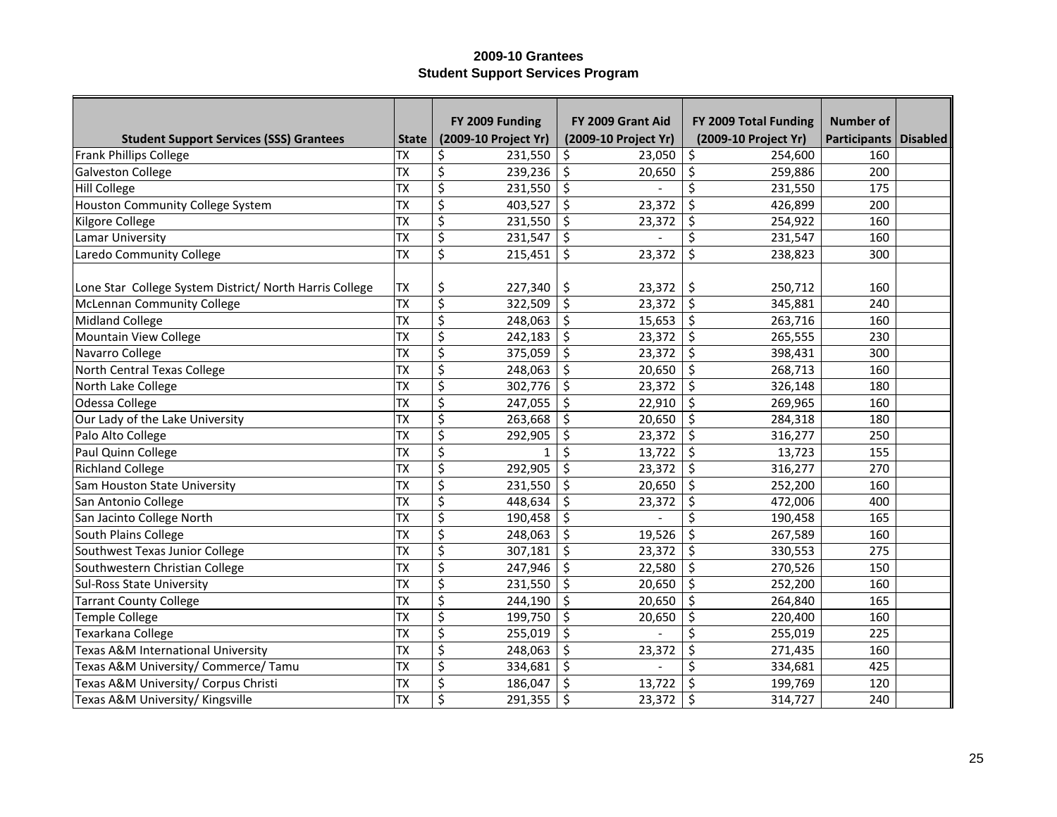|                                                         |              | FY 2009 Funding      | FY 2009 Grant Aid    | FY 2009 Total Funding | Number of               |  |
|---------------------------------------------------------|--------------|----------------------|----------------------|-----------------------|-------------------------|--|
| <b>Student Support Services (SSS) Grantees</b>          | <b>State</b> | (2009-10 Project Yr) | (2009-10 Project Yr) | (2009-10 Project Yr)  | Participants   Disabled |  |
| <b>Frank Phillips College</b>                           | <b>TX</b>    | 231,550<br>\$        | 23,050<br>\$         | \$<br>254,600         | 160                     |  |
| <b>Galveston College</b>                                | <b>TX</b>    | \$<br>239,236        | \$<br>20,650         | \$<br>259,886         | 200                     |  |
| Hill College                                            | <b>TX</b>    | \$<br>231,550        | \$                   | \$<br>231,550         | 175                     |  |
| <b>Houston Community College System</b>                 | TX           | \$<br>403,527        | \$<br>23,372         | \$<br>426,899         | 200                     |  |
| Kilgore College                                         | <b>TX</b>    | \$<br>231,550        | \$<br>23,372         | \$<br>254,922         | 160                     |  |
| Lamar University                                        | <b>TX</b>    | \$<br>231,547        | \$                   | \$<br>231,547         | 160                     |  |
| Laredo Community College                                | <b>TX</b>    | \$<br>215,451        | \$<br>23,372         | \$<br>238,823         | 300                     |  |
|                                                         |              |                      |                      |                       |                         |  |
| Lone Star College System District/ North Harris College | <b>TX</b>    | \$<br>227,340        | \$<br>23,372         | \$<br>250,712         | 160                     |  |
| <b>McLennan Community College</b>                       | <b>TX</b>    | \$<br>322,509        | \$<br>23,372         | $\zeta$<br>345,881    | 240                     |  |
| Midland College                                         | <b>TX</b>    | \$<br>248,063        | \$<br>15,653         | $\zeta$<br>263,716    | 160                     |  |
| Mountain View College                                   | <b>TX</b>    | \$<br>242,183        | \$<br>23,372         | $\zeta$<br>265,555    | 230                     |  |
| Navarro College                                         | TX           | \$<br>375,059        | \$<br>23,372         | $\zeta$<br>398,431    | 300                     |  |
| North Central Texas College                             | <b>TX</b>    | \$<br>248,063        | \$<br>20,650         | $\zeta$<br>268,713    | 160                     |  |
| North Lake College                                      | <b>TX</b>    | \$<br>302,776        | \$<br>23,372         | \$<br>326,148         | 180                     |  |
| Odessa College                                          | <b>TX</b>    | \$<br>247,055        | \$<br>22,910         | \$<br>269,965         | 160                     |  |
| Our Lady of the Lake University                         | <b>TX</b>    | \$<br>263,668        | \$<br>20,650         | \$<br>284,318         | 180                     |  |
| Palo Alto College                                       | <b>TX</b>    | \$<br>292,905        | \$<br>23,372         | \$<br>316,277         | 250                     |  |
| Paul Quinn College                                      | <b>TX</b>    | \$<br>1              | \$<br>13,722         | \$<br>13,723          | 155                     |  |
| <b>Richland College</b>                                 | <b>TX</b>    | \$<br>292,905        | \$<br>23,372         | $\zeta$<br>316,277    | 270                     |  |
| Sam Houston State University                            | <b>TX</b>    | \$<br>231,550        | \$<br>20,650         | \$<br>252,200         | 160                     |  |
| San Antonio College                                     | TX           | \$<br>448,634        | \$<br>23,372         | \$<br>472,006         | 400                     |  |
| San Jacinto College North                               | <b>TX</b>    | \$<br>190,458        | \$                   | \$<br>190,458         | 165                     |  |
| South Plains College                                    | <b>TX</b>    | \$<br>248,063        | \$<br>19,526         | \$<br>267,589         | 160                     |  |
| Southwest Texas Junior College                          | <b>TX</b>    | \$<br>307,181        | \$<br>23,372         | \$<br>330,553         | 275                     |  |
| Southwestern Christian College                          | <b>TX</b>    | \$<br>247,946        | \$<br>22,580         | \$<br>270,526         | 150                     |  |
| <b>Sul-Ross State University</b>                        | TX           | \$<br>231,550        | \$<br>20,650         | \$<br>252,200         | 160                     |  |
| <b>Tarrant County College</b>                           | TX           | \$<br>244,190        | \$<br>20,650         | \$<br>264,840         | 165                     |  |
| <b>Temple College</b>                                   | <b>TX</b>    | \$<br>199,750        | \$<br>20,650         | \$<br>220,400         | 160                     |  |
| Texarkana College                                       | TX           | \$<br>255,019        | \$                   | \$<br>255,019         | 225                     |  |
| Texas A&M International University                      | TX           | \$<br>248,063        | \$<br>23,372         | \$<br>271,435         | 160                     |  |
| Texas A&M University/ Commerce/ Tamu                    | TX           | \$<br>334,681        | \$                   | \$<br>334,681         | 425                     |  |
| Texas A&M University/ Corpus Christi                    | <b>TX</b>    | \$<br>186,047        | \$<br>13,722         | \$<br>199,769         | 120                     |  |
| Texas A&M University/ Kingsville                        | <b>TX</b>    | \$<br>291,355        | \$<br>23,372         | \$<br>314,727         | 240                     |  |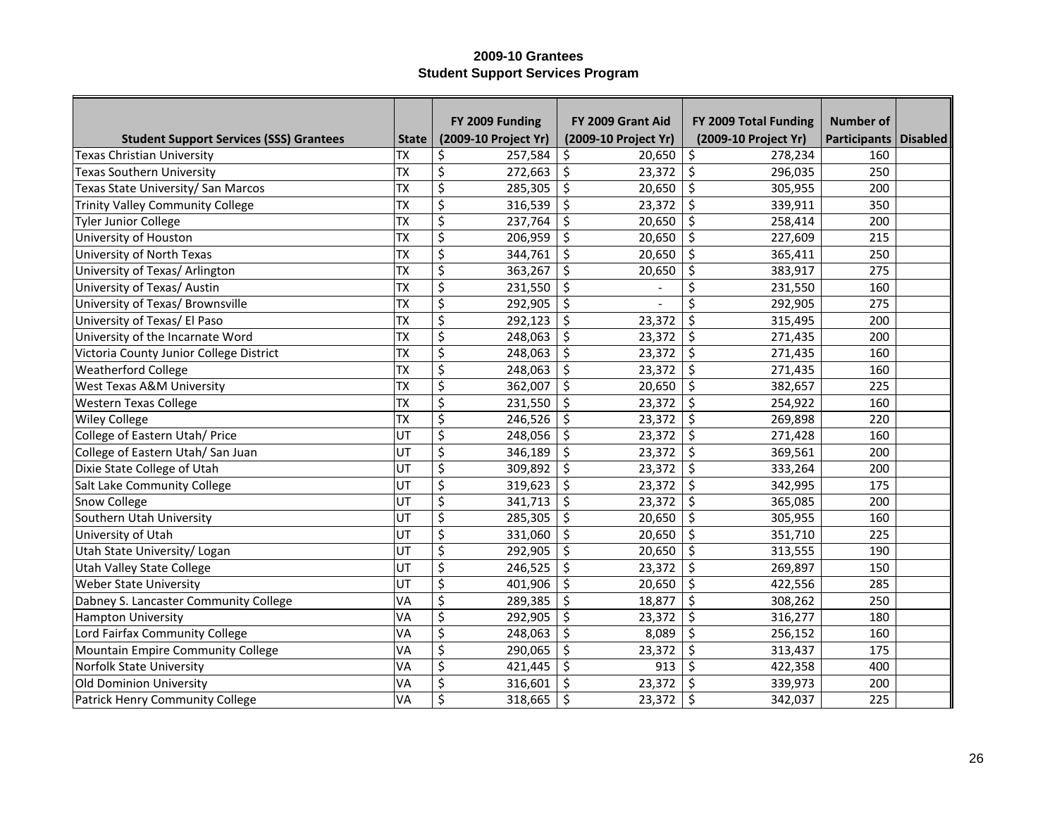|                                                |              | FY 2009 Funding      | FY 2009 Grant Aid    | FY 2009 Total Funding | <b>Number of</b>        |  |
|------------------------------------------------|--------------|----------------------|----------------------|-----------------------|-------------------------|--|
| <b>Student Support Services (SSS) Grantees</b> | <b>State</b> | (2009-10 Project Yr) | (2009-10 Project Yr) | (2009-10 Project Yr)  | Participants   Disabled |  |
| <b>Texas Christian University</b>              | <b>TX</b>    | \$<br>257,584        | \$<br>20,650         | \$<br>278,234         | 160                     |  |
| <b>Texas Southern University</b>               | <b>TX</b>    | \$<br>272,663        | \$<br>23,372         | \$<br>296,035         | 250                     |  |
| Texas State University/ San Marcos             | <b>TX</b>    | \$<br>285,305        | \$<br>20,650         | \$<br>305,955         | 200                     |  |
| <b>Trinity Valley Community College</b>        | <b>TX</b>    | \$<br>316,539        | \$<br>23,372         | \$<br>339,911         | 350                     |  |
| <b>Tyler Junior College</b>                    | <b>TX</b>    | \$<br>237,764        | \$<br>20,650         | \$<br>258,414         | 200                     |  |
| University of Houston                          | <b>TX</b>    | \$<br>206,959        | \$<br>20,650         | \$<br>227,609         | 215                     |  |
| University of North Texas                      | <b>TX</b>    | \$<br>344,761        | \$<br>20,650         | \$<br>365,411         | 250                     |  |
| University of Texas/ Arlington                 | <b>TX</b>    | \$<br>363,267        | \$<br>20,650         | \$<br>383,917         | 275                     |  |
| University of Texas/ Austin                    | <b>TX</b>    | \$<br>231,550        | \$                   | \$<br>231,550         | 160                     |  |
| University of Texas/ Brownsville               | <b>TX</b>    | \$<br>292,905        | \$                   | \$<br>292,905         | 275                     |  |
| University of Texas/ El Paso                   | <b>TX</b>    | \$<br>292,123        | \$<br>23,372         | \$<br>315,495         | 200                     |  |
| University of the Incarnate Word               | <b>TX</b>    | \$<br>248,063        | \$<br>23,372         | \$<br>271,435         | 200                     |  |
| Victoria County Junior College District        | <b>TX</b>    | \$<br>248,063        | \$<br>23,372         | \$<br>271,435         | 160                     |  |
| Weatherford College                            | <b>TX</b>    | \$<br>248,063        | \$<br>23,372         | \$<br>271,435         | 160                     |  |
| West Texas A&M University                      | <b>TX</b>    | \$<br>362,007        | \$<br>20,650         | \$<br>382,657         | 225                     |  |
| <b>Western Texas College</b>                   | <b>TX</b>    | \$<br>231,550        | \$<br>23,372         | \$<br>254,922         | 160                     |  |
| <b>Wiley College</b>                           | <b>TX</b>    | \$<br>246,526        | \$<br>23,372         | \$<br>269,898         | 220                     |  |
| College of Eastern Utah/ Price                 | UT           | \$<br>248,056        | \$<br>23,372         | \$<br>271,428         | 160                     |  |
| College of Eastern Utah/ San Juan              | UT           | \$<br>346,189        | \$<br>23,372         | \$<br>369,561         | 200                     |  |
| Dixie State College of Utah                    | UT           | \$<br>309,892        | \$<br>23,372         | \$<br>333,264         | 200                     |  |
| Salt Lake Community College                    | UT           | \$<br>319,623        | \$<br>23,372         | \$<br>342,995         | 175                     |  |
| Snow College                                   | UT           | \$<br>341,713        | \$<br>23,372         | \$<br>365,085         | 200                     |  |
| Southern Utah University                       | UT           | \$<br>285,305        | \$<br>20,650         | \$<br>305,955         | 160                     |  |
| University of Utah                             | UT           | \$<br>331,060        | \$<br>20,650         | \$<br>351,710         | 225                     |  |
| Utah State University/ Logan                   | UT           | \$<br>292,905        | \$<br>20,650         | \$<br>313,555         | 190                     |  |
| <b>Utah Valley State College</b>               | UT           | \$<br>246,525        | \$<br>23,372         | \$<br>269,897         | 150                     |  |
| <b>Weber State University</b>                  | UT           | \$<br>401,906        | \$<br>20,650         | \$<br>422,556         | 285                     |  |
| Dabney S. Lancaster Community College          | VA           | \$<br>289,385        | \$<br>18,877         | \$<br>308,262         | 250                     |  |
| <b>Hampton University</b>                      | VA           | \$<br>292,905        | \$<br>23,372         | \$<br>316,277         | 180                     |  |
| Lord Fairfax Community College                 | VA           | \$<br>248,063        | \$<br>8,089          | \$<br>256,152         | 160                     |  |
| Mountain Empire Community College              | VA           | \$<br>290,065        | \$<br>23,372         | \$<br>313,437         | 175                     |  |
| Norfolk State University                       | VA           | \$<br>421,445        | \$<br>913            | \$<br>422,358         | 400                     |  |
| Old Dominion University                        | VA           | \$<br>316,601        | \$<br>23,372         | Ś<br>339,973          | 200                     |  |
| Patrick Henry Community College                | VA           | \$<br>318,665        | \$<br>23,372         | \$<br>342,037         | 225                     |  |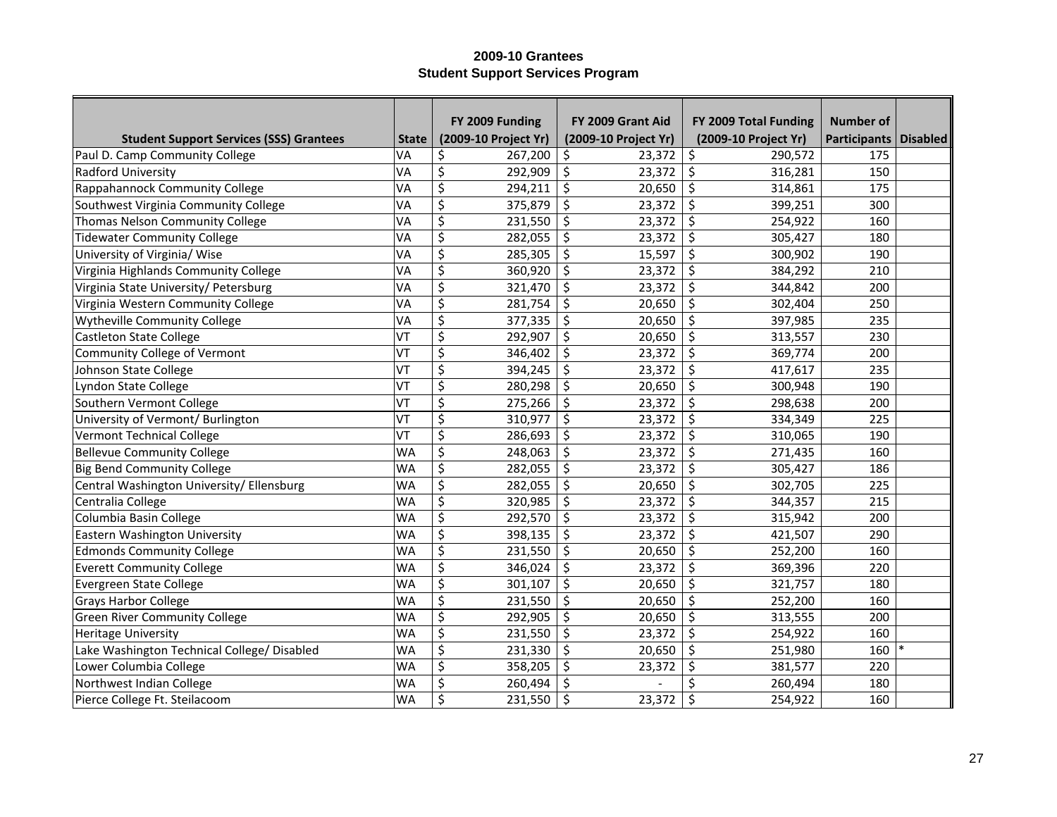|                                                |              | FY 2009 Funding      | FY 2009 Grant Aid    | FY 2009 Total Funding | <b>Number of</b>        |  |
|------------------------------------------------|--------------|----------------------|----------------------|-----------------------|-------------------------|--|
| <b>Student Support Services (SSS) Grantees</b> | <b>State</b> | (2009-10 Project Yr) | (2009-10 Project Yr) | (2009-10 Project Yr)  | Participants   Disabled |  |
| Paul D. Camp Community College                 | VA           | \$<br>267,200        | 23,372<br>\$         | \$<br>290,572         | 175                     |  |
| Radford University                             | VA           | \$<br>292,909        | \$<br>23,372         | \$<br>316,281         | 150                     |  |
| Rappahannock Community College                 | VA           | \$<br>294,211        | \$<br>20,650         | \$<br>314,861         | 175                     |  |
| Southwest Virginia Community College           | VA           | \$<br>375,879        | \$<br>23,372         | \$<br>399,251         | 300                     |  |
| Thomas Nelson Community College                | VA           | \$<br>231,550        | \$<br>23,372         | \$<br>254,922         | 160                     |  |
| <b>Tidewater Community College</b>             | VA           | \$<br>282,055        | \$<br>23,372         | \$<br>305,427         | 180                     |  |
| University of Virginia/ Wise                   | VA           | \$<br>285,305        | \$<br>15,597         | \$<br>300,902         | 190                     |  |
| Virginia Highlands Community College           | VA           | \$<br>360,920        | \$<br>23,372         | \$<br>384,292         | 210                     |  |
| Virginia State University/ Petersburg          | VA           | \$<br>321,470        | \$<br>23,372         | \$<br>344,842         | 200                     |  |
| Virginia Western Community College             | VA           | \$<br>281,754        | \$<br>20,650         | \$<br>302,404         | 250                     |  |
| Wytheville Community College                   | VA           | \$<br>377,335        | \$<br>20,650         | \$<br>397,985         | 235                     |  |
| <b>Castleton State College</b>                 | VT           | \$<br>292,907        | \$<br>20,650         | \$<br>313,557         | 230                     |  |
| Community College of Vermont                   | VT           | \$<br>346,402        | \$<br>23,372         | \$<br>369,774         | 200                     |  |
| Johnson State College                          | VT           | \$<br>394,245        | \$<br>23,372         | \$<br>417,617         | 235                     |  |
| Lyndon State College                           | VT           | \$<br>280,298        | \$<br>20,650         | \$<br>300,948         | 190                     |  |
| Southern Vermont College                       | VT           | \$<br>275,266        | \$<br>23,372         | \$<br>298,638         | 200                     |  |
| University of Vermont/ Burlington              | VT           | \$<br>310,977        | \$<br>23,372         | \$<br>334,349         | 225                     |  |
| <b>Vermont Technical College</b>               | VT           | \$<br>286,693        | \$<br>23,372         | \$<br>310,065         | 190                     |  |
| <b>Bellevue Community College</b>              | <b>WA</b>    | \$<br>248,063        | \$<br>23,372         | \$<br>271,435         | 160                     |  |
| <b>Big Bend Community College</b>              | <b>WA</b>    | \$<br>282,055        | \$<br>23,372         | \$<br>305,427         | 186                     |  |
| Central Washington University/ Ellensburg      | <b>WA</b>    | \$<br>282,055        | \$<br>20,650         | \$<br>302,705         | 225                     |  |
| Centralia College                              | <b>WA</b>    | \$<br>320,985        | \$<br>23,372         | \$<br>344,357         | 215                     |  |
| Columbia Basin College                         | <b>WA</b>    | \$<br>292,570        | \$<br>23,372         | \$<br>315,942         | 200                     |  |
| Eastern Washington University                  | <b>WA</b>    | \$<br>398,135        | \$<br>23,372         | \$<br>421,507         | 290                     |  |
| <b>Edmonds Community College</b>               | <b>WA</b>    | \$<br>231,550        | \$<br>20,650         | \$<br>252,200         | 160                     |  |
| <b>Everett Community College</b>               | <b>WA</b>    | \$<br>346,024        | \$<br>23,372         | \$<br>369,396         | 220                     |  |
| Evergreen State College                        | <b>WA</b>    | \$<br>301,107        | \$<br>20,650         | \$<br>321,757         | 180                     |  |
| <b>Grays Harbor College</b>                    | <b>WA</b>    | \$<br>231,550        | \$<br>20,650         | \$<br>252,200         | 160                     |  |
| <b>Green River Community College</b>           | <b>WA</b>    | \$<br>292,905        | \$<br>20,650         | \$<br>313,555         | 200                     |  |
| <b>Heritage University</b>                     | <b>WA</b>    | \$<br>231,550        | \$<br>23,372         | \$<br>254,922         | 160                     |  |
| Lake Washington Technical College/ Disabled    | <b>WA</b>    | \$<br>231,330        | \$<br>20,650         | \$<br>251,980         | 160                     |  |
| Lower Columbia College                         | <b>WA</b>    | \$<br>358,205        | \$<br>23,372         | \$<br>381,577         | 220                     |  |
| Northwest Indian College                       | <b>WA</b>    | \$<br>260,494        | \$                   | Ś<br>260,494          | 180                     |  |
| Pierce College Ft. Steilacoom                  | <b>WA</b>    | \$<br>231,550        | \$<br>23,372         | \$<br>254,922         | 160                     |  |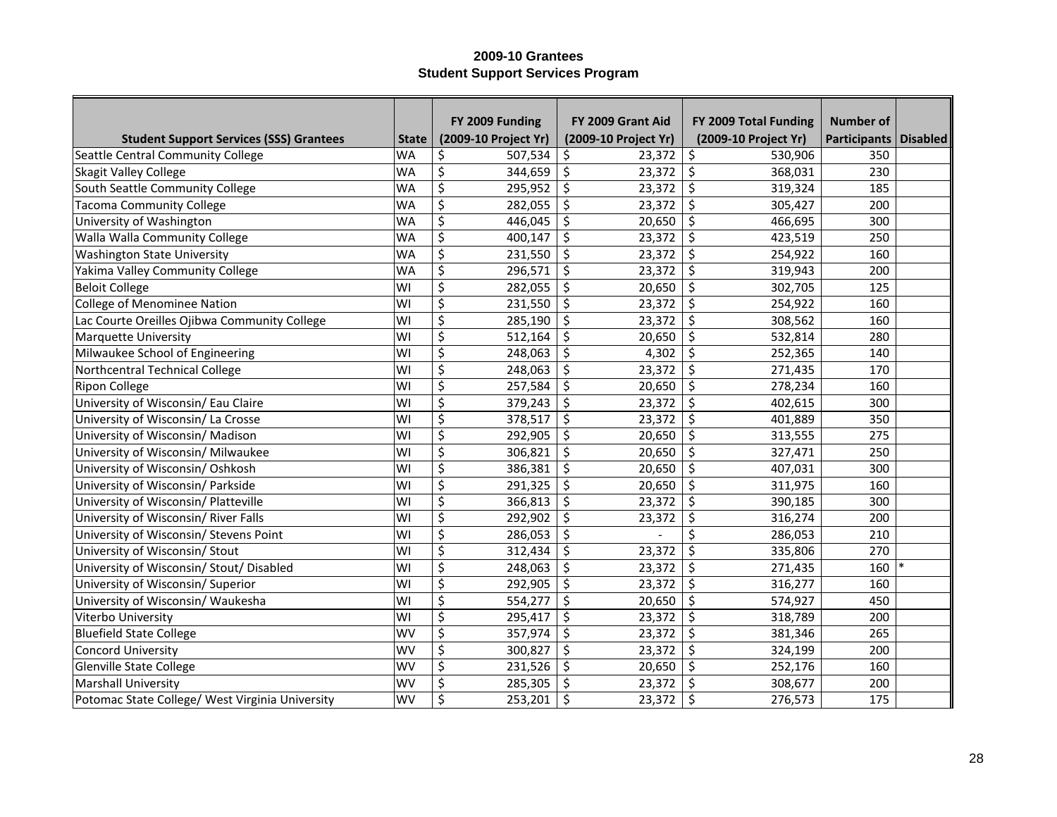|                                                 |              | FY 2009 Funding             | FY 2009 Grant Aid    | FY 2009 Total Funding              | <b>Number of</b>        |  |
|-------------------------------------------------|--------------|-----------------------------|----------------------|------------------------------------|-------------------------|--|
| <b>Student Support Services (SSS) Grantees</b>  | <b>State</b> | (2009-10 Project Yr)        | (2009-10 Project Yr) | (2009-10 Project Yr)               | Participants   Disabled |  |
| Seattle Central Community College               | <b>WA</b>    | \$<br>507,534               | \$<br>23,372         | \$<br>530,906                      | 350                     |  |
| <b>Skagit Valley College</b>                    | <b>WA</b>    | \$<br>344,659               | \$<br>23,372         | \$<br>368,031                      | 230                     |  |
| South Seattle Community College                 | <b>WA</b>    | \$<br>295,952               | \$<br>23,372         | \$<br>319,324                      | 185                     |  |
| <b>Tacoma Community College</b>                 | WA           | \$<br>282,055               | \$<br>23,372         | \$<br>305,427                      | 200                     |  |
| University of Washington                        | <b>WA</b>    | \$<br>446,045               | \$<br>20,650         | \$<br>466,695                      | 300                     |  |
| Walla Walla Community College                   | <b>WA</b>    | \$<br>400,147               | \$<br>23,372         | Ŝ.<br>423,519                      | 250                     |  |
| <b>Washington State University</b>              | <b>WA</b>    | \$<br>231,550               | \$<br>23,372         | \$<br>254,922                      | 160                     |  |
| Yakima Valley Community College                 | <b>WA</b>    | \$<br>296,571               | \$<br>23,372         | $\zeta$<br>319,943                 | 200                     |  |
| <b>Beloit College</b>                           | WI           | \$<br>282,055               | \$<br>20,650         | \$<br>302,705                      | 125                     |  |
| College of Menominee Nation                     | WI           | \$<br>231,550               | \$<br>23,372         | \$<br>254,922                      | 160                     |  |
| Lac Courte Oreilles Ojibwa Community College    | WI           | $\overline{\xi}$<br>285,190 | \$<br>23,372         | $\zeta$<br>308,562                 | 160                     |  |
| <b>Marquette University</b>                     | WI           | \$<br>512,164               | \$<br>20,650         | $\zeta$<br>532,814                 | 280                     |  |
| Milwaukee School of Engineering                 | WI           | \$<br>248,063               | \$<br>4,302          | $\zeta$<br>252,365                 | 140                     |  |
| Northcentral Technical College                  | WI           | \$<br>248,063               | \$<br>23,372         | $\zeta$<br>271,435                 | 170                     |  |
| <b>Ripon College</b>                            | WI           | \$<br>257,584               | \$<br>20,650         | $\zeta$<br>278,234                 | 160                     |  |
| University of Wisconsin/ Eau Claire             | WI           | \$<br>379,243               | \$<br>23,372         | \$<br>402,615                      | 300                     |  |
| University of Wisconsin/La Crosse               | WI           | \$<br>378,517               | \$<br>23,372         | \$<br>401,889                      | 350                     |  |
| University of Wisconsin/ Madison                | WI           | \$<br>292,905               | \$<br>20,650         | \$<br>313,555                      | 275                     |  |
| University of Wisconsin/ Milwaukee              | WI           | \$<br>306,821               | \$<br>20,650         | \$<br>327,471                      | 250                     |  |
| University of Wisconsin/Oshkosh                 | WI           | \$<br>386,381               | \$<br>20,650         | \$<br>407,031                      | 300                     |  |
| University of Wisconsin/ Parkside               | WI           | \$<br>291,325               | \$<br>20,650         | $\overline{\mathsf{S}}$<br>311,975 | 160                     |  |
| University of Wisconsin/ Platteville            | WI           | \$<br>366,813               | \$<br>23,372         | \$<br>390,185                      | 300                     |  |
| University of Wisconsin/ River Falls            | WI           | \$<br>292,902               | \$<br>23,372         | \$<br>316,274                      | 200                     |  |
| University of Wisconsin/ Stevens Point          | WI           | \$<br>286,053               | \$                   | \$<br>286,053                      | 210                     |  |
| University of Wisconsin/ Stout                  | WI           | \$<br>312,434               | \$<br>23,372         | \$<br>335,806                      | 270                     |  |
| University of Wisconsin/ Stout/ Disabled        | WI           | \$<br>248,063               | \$<br>23,372         | \$<br>271,435                      | 160                     |  |
| University of Wisconsin/ Superior               | WI           | \$<br>292,905               | \$<br>23,372         | \$<br>316,277                      | 160                     |  |
| University of Wisconsin/ Waukesha               | WI           | \$<br>554,277               | \$<br>20,650         | \$<br>574,927                      | 450                     |  |
| Viterbo University                              | WI           | \$<br>295,417               | \$<br>23,372         | \$<br>318,789                      | 200                     |  |
| <b>Bluefield State College</b>                  | <b>WV</b>    | \$<br>357,974               | \$<br>23,372         | \$<br>381,346                      | 265                     |  |
| <b>Concord University</b>                       | <b>WV</b>    | \$<br>300,827               | \$<br>23,372         | \$<br>324,199                      | 200                     |  |
| Glenville State College                         | WV           | \$<br>231,526               | \$<br>20,650         | \$<br>252,176                      | 160                     |  |
| <b>Marshall University</b>                      | WV           | \$<br>285,305               | \$<br>23,372         | \$<br>308,677                      | 200                     |  |
| Potomac State College/ West Virginia University | WV           | \$<br>253,201               | \$<br>23,372         | \$<br>276,573                      | 175                     |  |